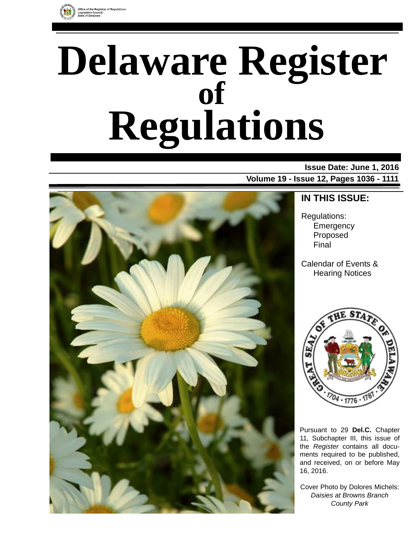

# **Delaware Register Regulations of**

# **Issue Date: June 1, 2016**

**Volume 19 - Issue 12, Pages 1036 - 1111**



# **IN THIS ISSUE:**

Regulations: **Emergency** Proposed Final

Calendar of Events & Hearing Notices



Pursuant to 29 **Del.C.** Chapter 11, Subchapter III, this issue of the *Register* contains all documents required to be published, and received, on or before May 16, 2016.

Cover Photo by Dolores Michels: *Daisies at Browns Branch County Park*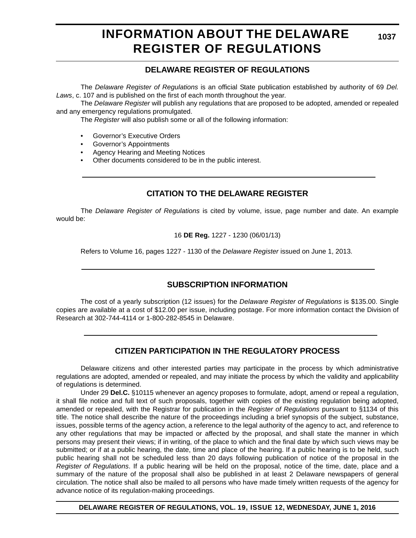# **INFORMATION ABOUT THE DELAWARE REGISTER OF REGULATIONS**

**1037**

# **DELAWARE REGISTER OF REGULATIONS**

The *Delaware Register of Regulations* is an official State publication established by authority of 69 *Del. Laws*, c. 107 and is published on the first of each month throughout the year.

The *Delaware Register* will publish any regulations that are proposed to be adopted, amended or repealed and any emergency regulations promulgated.

The *Register* will also publish some or all of the following information:

- Governor's Executive Orders
- Governor's Appointments
- Agency Hearing and Meeting Notices
- Other documents considered to be in the public interest.

# **CITATION TO THE DELAWARE REGISTER**

The *Delaware Register of Regulations* is cited by volume, issue, page number and date. An example would be:

16 **DE Reg.** 1227 - 1230 (06/01/13)

Refers to Volume 16, pages 1227 - 1130 of the *Delaware Register* issued on June 1, 2013.

# **SUBSCRIPTION INFORMATION**

The cost of a yearly subscription (12 issues) for the *Delaware Register of Regulations* is \$135.00. Single copies are available at a cost of \$12.00 per issue, including postage. For more information contact the Division of Research at 302-744-4114 or 1-800-282-8545 in Delaware.

# **CITIZEN PARTICIPATION IN THE REGULATORY PROCESS**

Delaware citizens and other interested parties may participate in the process by which administrative regulations are adopted, amended or repealed, and may initiate the process by which the validity and applicability of regulations is determined.

Under 29 **Del.C.** §10115 whenever an agency proposes to formulate, adopt, amend or repeal a regulation, it shall file notice and full text of such proposals, together with copies of the existing regulation being adopted, amended or repealed, with the Registrar for publication in the *Register of Regulations* pursuant to §1134 of this title. The notice shall describe the nature of the proceedings including a brief synopsis of the subject, substance, issues, possible terms of the agency action, a reference to the legal authority of the agency to act, and reference to any other regulations that may be impacted or affected by the proposal, and shall state the manner in which persons may present their views; if in writing, of the place to which and the final date by which such views may be submitted; or if at a public hearing, the date, time and place of the hearing. If a public hearing is to be held, such public hearing shall not be scheduled less than 20 days following publication of notice of the proposal in the *Register of Regulations*. If a public hearing will be held on the proposal, notice of the time, date, place and a summary of the nature of the proposal shall also be published in at least 2 Delaware newspapers of general circulation. The notice shall also be mailed to all persons who have made timely written requests of the agency for advance notice of its regulation-making proceedings.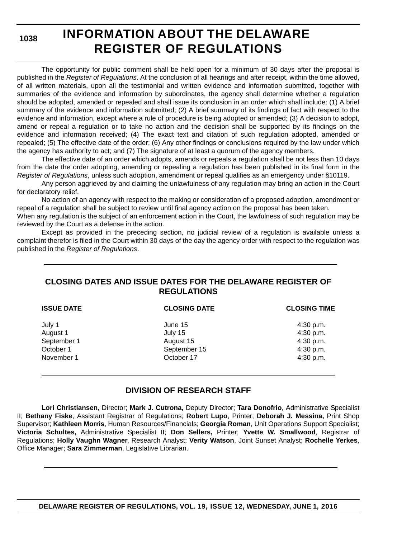# **INFORMATION ABOUT THE DELAWARE REGISTER OF REGULATIONS**

The opportunity for public comment shall be held open for a minimum of 30 days after the proposal is published in the *Register of Regulations*. At the conclusion of all hearings and after receipt, within the time allowed, of all written materials, upon all the testimonial and written evidence and information submitted, together with summaries of the evidence and information by subordinates, the agency shall determine whether a regulation should be adopted, amended or repealed and shall issue its conclusion in an order which shall include: (1) A brief summary of the evidence and information submitted; (2) A brief summary of its findings of fact with respect to the evidence and information, except where a rule of procedure is being adopted or amended; (3) A decision to adopt, amend or repeal a regulation or to take no action and the decision shall be supported by its findings on the evidence and information received; (4) The exact text and citation of such regulation adopted, amended or repealed; (5) The effective date of the order; (6) Any other findings or conclusions required by the law under which the agency has authority to act; and (7) The signature of at least a quorum of the agency members.

The effective date of an order which adopts, amends or repeals a regulation shall be not less than 10 days from the date the order adopting, amending or repealing a regulation has been published in its final form in the *Register of Regulations*, unless such adoption, amendment or repeal qualifies as an emergency under §10119.

Any person aggrieved by and claiming the unlawfulness of any regulation may bring an action in the Court for declaratory relief.

No action of an agency with respect to the making or consideration of a proposed adoption, amendment or repeal of a regulation shall be subject to review until final agency action on the proposal has been taken.

When any regulation is the subject of an enforcement action in the Court, the lawfulness of such regulation may be reviewed by the Court as a defense in the action.

Except as provided in the preceding section, no judicial review of a regulation is available unless a complaint therefor is filed in the Court within 30 days of the day the agency order with respect to the regulation was published in the *Register of Regulations*.

# **CLOSING DATES AND ISSUE DATES FOR THE DELAWARE REGISTER OF REGULATIONS**

| <b>ISSUE DATE</b>        | <b>CLOSING DATE</b>       | <b>CLOSING TIME</b>    |
|--------------------------|---------------------------|------------------------|
| July 1                   | June 15                   | 4:30 p.m.              |
| August 1                 | July 15                   | 4:30 p.m.              |
| September 1<br>October 1 | August 15<br>September 15 | 4:30 p.m.<br>4:30 p.m. |
| November 1               | October 17                | 4:30 p.m.              |
|                          |                           |                        |

# **DIVISION OF RESEARCH STAFF**

**Lori Christiansen,** Director; **Mark J. Cutrona,** Deputy Director; **Tara Donofrio**, Administrative Specialist II; **Bethany Fiske**, Assistant Registrar of Regulations; **Robert Lupo**, Printer; **Deborah J. Messina,** Print Shop Supervisor; **Kathleen Morris**, Human Resources/Financials; **Georgia Roman**, Unit Operations Support Specialist; **Victoria Schultes,** Administrative Specialist II; **Don Sellers,** Printer; **Yvette W. Smallwood**, Registrar of Regulations; **Holly Vaughn Wagner**, Research Analyst; **Verity Watson**, Joint Sunset Analyst; **Rochelle Yerkes**, Office Manager; **Sara Zimmerman**, Legislative Librarian.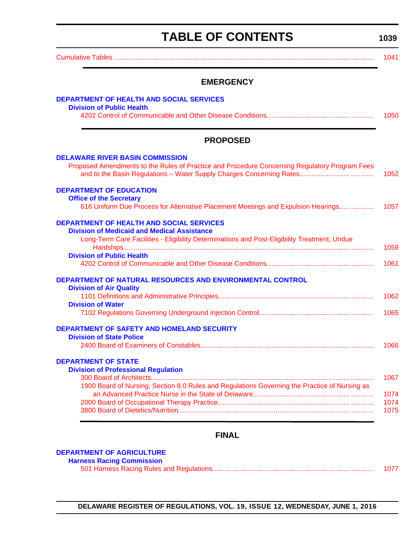# **TABLE OF CONTENTS**

**1039**

<span id="page-3-0"></span>[Cumulative Tables............................................................................................................................. ............ 1041](#page-5-0)

# **EMERGENCY**

| <b>DEPARTMENT OF HEALTH AND SOCIAL SERVICES</b>                                                                                                                                                       |              |
|-------------------------------------------------------------------------------------------------------------------------------------------------------------------------------------------------------|--------------|
| <b>Division of Public Health</b>                                                                                                                                                                      | 1050         |
| <b>PROPOSED</b>                                                                                                                                                                                       |              |
| <b>DELAWARE RIVER BASIN COMMISSION</b><br>Proposed Amendments to the Rules of Practice and Procedure Concerning Regulatory Program Fees                                                               | 1052         |
| <b>DEPARTMENT OF EDUCATION</b><br><b>Office of the Secretary</b>                                                                                                                                      |              |
| 616 Uniform Due Process for Alternative Placement Meetings and Expulsion Hearings                                                                                                                     | 1057         |
| <b>DEPARTMENT OF HEALTH AND SOCIAL SERVICES</b><br><b>Division of Medicaid and Medical Assistance</b><br>Long-Term Care Facilities - Eligibility Determinations and Post-Eligibility Treatment; Undue |              |
| <b>Division of Public Health</b>                                                                                                                                                                      | 1059<br>1061 |
| DEPARTMENT OF NATURAL RESOURCES AND ENVIRONMENTAL CONTROL<br><b>Division of Air Quality</b>                                                                                                           |              |
| <b>Division of Water</b>                                                                                                                                                                              | 1062         |
|                                                                                                                                                                                                       | 1065         |
| DEPARTMENT OF SAFETY AND HOMELAND SECURITY<br><b>Division of State Police</b>                                                                                                                         |              |
|                                                                                                                                                                                                       | 1066         |
| <b>DEPARTMENT OF STATE</b><br><b>Division of Professional Regulation</b>                                                                                                                              |              |
| 1900 Board of Nursing, Section 8.0 Rules and Regulations Governing the Practice of Nursing as                                                                                                         | 1067         |
|                                                                                                                                                                                                       | 1074<br>1074 |
|                                                                                                                                                                                                       | 1075         |

# **FINAL**

# **[DEPARTMENT OF AGRICULTURE](http://dda.delaware.gov/)**

| <b>Harness Racing Commission</b> |  |
|----------------------------------|--|
|                                  |  |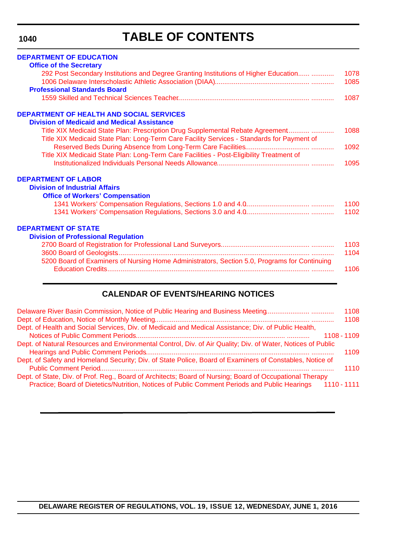**[DEPARTMENT OF EDUCATION](http://www.doe.k12.de.us/)**

# **TABLE OF CONTENTS**

| <b>Office of the Secretary</b>                                                               |      |
|----------------------------------------------------------------------------------------------|------|
| 292 Post Secondary Institutions and Degree Granting Institutions of Higher Education         | 1078 |
|                                                                                              | 1085 |
| <b>Professional Standards Board</b>                                                          |      |
|                                                                                              | 1087 |
| <b>DEPARTMENT OF HEALTH AND SOCIAL SERVICES</b>                                              |      |
| <b>Division of Medicaid and Medical Assistance</b>                                           |      |
| Title XIX Medicaid State Plan: Prescription Drug Supplemental Rebate Agreement               | 1088 |
| Title XIX Medicaid State Plan: Long-Term Care Facility Services - Standards for Payment of   |      |
|                                                                                              | 1092 |
| Title XIX Medicaid State Plan: Long-Term Care Facilities - Post-Eligibility Treatment of     |      |
|                                                                                              | 1095 |
| <b>DEPARTMENT OF LABOR</b>                                                                   |      |
| <b>Division of Industrial Affairs</b>                                                        |      |
| <b>Office of Workers' Compensation</b>                                                       |      |
|                                                                                              | 1100 |
|                                                                                              | 1102 |
| <b>DEPARTMENT OF STATE</b>                                                                   |      |
| <b>Division of Professional Regulation</b>                                                   |      |
|                                                                                              | 1103 |
|                                                                                              | 1104 |
| 5200 Board of Examiners of Nursing Home Administrators, Section 5.0, Programs for Continuing |      |
|                                                                                              | 1106 |
|                                                                                              |      |

# **CALENDAR OF EVENTS/HEARING NOTICES**

| Delaware River Basin Commission, Notice of Public Hearing and Business Meeting                                                                                                                                           | 1108 |
|--------------------------------------------------------------------------------------------------------------------------------------------------------------------------------------------------------------------------|------|
|                                                                                                                                                                                                                          | 1108 |
| Dept. of Health and Social Services, Div. of Medicaid and Medical Assistance; Div. of Public Health,<br>$1108 - 1109$                                                                                                    |      |
| Dept. of Natural Resources and Environmental Control, Div. of Air Quality; Div. of Water, Notices of Public                                                                                                              | 1109 |
| Dept. of Safety and Homeland Security; Div. of State Police, Board of Examiners of Constables, Notice of                                                                                                                 | 1110 |
| Dept. of State, Div. of Prof. Reg., Board of Architects; Board of Nursing; Board of Occupational Therapy<br>Practice; Board of Dietetics/Nutrition, Notices of Public Comment Periods and Public Hearings<br>1110 - 1111 |      |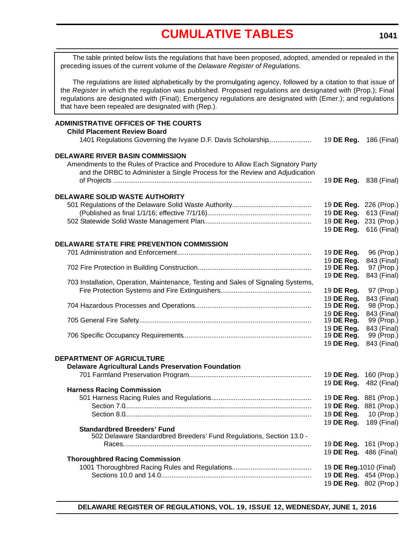<span id="page-5-0"></span>The table printed below lists the regulations that have been proposed, adopted, amended or repealed in the preceding issues of the current volume of the *Delaware Register of Regulations*.

The regulations are listed alphabetically by the promulgating agency, followed by a citation to that issue of the *Register* in which the regulation was published. Proposed regulations are designated with (Prop.); Final regulations are designated with (Final); Emergency regulations are designated with (Emer.); and regulations that have been repealed are designated with (Rep.).

# **ADMINISTRATIVE OFFICES OF THE COURTS Child Placement Review Board** 1401 Regulations Governing the Ivyane D.F. Davis Scholarship....................... 19 **DE Reg.** 186 (Final) **DELAWARE RIVER BASIN COMMISSION** Amendments to the Rules of Practice and Procedure to Allow Each Signatory Party and the DRBC to Administer a Single Process for the Review and Adjudication of Projects ......................................................................................................... 19 **DE Reg.** 838 (Final) **DELAWARE SOLID WASTE AUTHORITY** 501 Regulations of the Delaware Solid Waste Authority.......................................... 19 **DE Reg.** 226 (Prop.) (Published as final 1/1/16; effective 7/1/16)....................................................... 19 **DE Reg.** 613 (Final) 502 Statewide Solid Waste Management Plan......................................................... 19 **DE Reg.** 231 (Prop.) 19 **DE Reg.** 616 (Final) **DELAWARE STATE FIRE PREVENTION COMMISSION** 701 Administration and Enforcement ....................................................................... 19 **DE Reg.** 96 (Prop.) 19 **DE Reg.** 843 (Final) 702 Fire Protection in Building Construction............................................................. 19 **DE Reg.** 97 (Prop.) 19 **DE Reg.** 843 (Final) 703 Installation, Operation, Maintenance, Testing and Sales of Signaling Systems, Fire Protection Systems and Fire Extinguishers................................................ 19 **DE Reg.** 97 (Prop.) 19 **DE Reg.** 843 (Final) 704 Hazardous Processes and Operations.............................................................. 19 **DE Reg.** 98 (Prop.) 19 **DE Reg.** 843 (Final) 705 General Fire Safety............................................................................................ 19 **DE Reg.** 99 (Prop.) 19 **DE Reg.** 843 (Final) 706 Specific Occupancy Requirements.................................................................... 19 **DE Reg.** 99 (Prop.) 19 **DE Reg.** 843 (Final) **DEPARTMENT OF AGRICULTURE Delaware Agricultural Lands Preservation Foundation** 701 Farmland Preservation Program................................................................. 19 **DE Reg.** 160 (Prop.) 19 **DE Reg.** 482 (Final) **Harness Racing Commission** 501 Harness Racing Rules and Regulations...................................................... 19 **DE Reg.** 881 (Prop.) Section 7.0................................................................................................... 19 **DE Reg.** 881 (Prop.) Section 8.0................................................................................................... 19 **DE Reg.** 10 (Prop.) 19 **DE Reg.** 189 (Final) **Standardbred Breeders' Fund** 502 Delaware Standardbred Breeders' Fund Regulations, Section 13.0 - Races.................................................................................................... 19 **DE Reg.** 161 (Prop.) 19 **DE Reg.** 486 (Final) **Thoroughbred Racing Commission** 1001 Thoroughbred Racing Rules and Regulations.......................................... 19 **DE Reg.**1010 (Final) Sections 10.0 and 14.0................................................................................ 19 **DE Reg.** 454 (Prop.) 19 **DE Reg.** 802 (Prop.)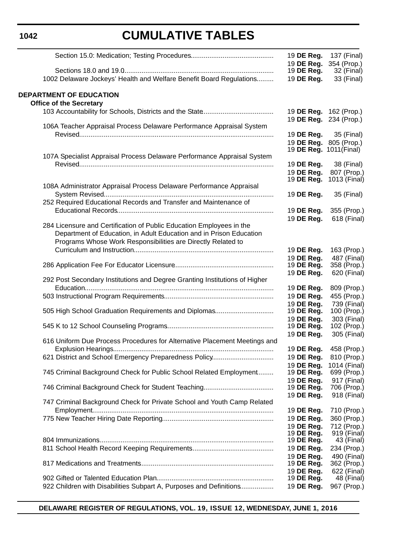# **CUMULATIVE TABLES**

|                                                                            | 19 DE Reg.                    | 137 (Final)                 |
|----------------------------------------------------------------------------|-------------------------------|-----------------------------|
|                                                                            | 19 DE Reg.                    | 354 (Prop.)                 |
|                                                                            | 19 DE Reg.                    | $32$ (Final)                |
| 1002 Delaware Jockeys' Health and Welfare Benefit Board Regulations        | 19 DE Reg.                    | 33 (Final)                  |
| DEPARTMENT OF EDUCATION                                                    |                               |                             |
| <b>Office of the Secretary</b>                                             |                               |                             |
|                                                                            |                               | 19 DE Reg. 162 (Prop.)      |
| 106A Teacher Appraisal Process Delaware Performance Appraisal System       |                               | 19 DE Reg. 234 (Prop.)      |
|                                                                            | 19 DE Reg.                    | 35 (Final)                  |
|                                                                            |                               | 19 DE Reg. 805 (Prop.)      |
|                                                                            | 19 <b>DE Reg.</b> 1011(Final) |                             |
| 107A Specialist Appraisal Process Delaware Performance Appraisal System    |                               |                             |
|                                                                            | 19 DE Reg.                    | 38 (Final)                  |
|                                                                            | 19 DE Reg.                    | 807 (Prop.)                 |
|                                                                            | 19 DE Reg.                    | 1013 (Final)                |
| 108A Administrator Appraisal Process Delaware Performance Appraisal        |                               |                             |
|                                                                            | 19 DE Reg.                    | 35 (Final)                  |
| 252 Required Educational Records and Transfer and Maintenance of           |                               |                             |
|                                                                            | 19 DE Reg.<br>19 DE Reg.      | 355 (Prop.)                 |
| 284 Licensure and Certification of Public Education Employees in the       |                               | 618 (Final)                 |
| Department of Education, in Adult Education and in Prison Education        |                               |                             |
| Programs Whose Work Responsibilities are Directly Related to               |                               |                             |
|                                                                            | 19 DE Reg.                    | 163 (Prop.)                 |
|                                                                            | 19 DE Reg.                    | 487 (Final)                 |
|                                                                            | 19 DE Reg.                    | 358 (Prop.)                 |
|                                                                            | 19 DE Reg.                    | 620 (Final)                 |
| 292 Post Secondary Institutions and Degree Granting Institutions of Higher |                               |                             |
|                                                                            | 19 DE Reg.                    | 809 (Prop.)                 |
|                                                                            | 19 DE Reg.                    | 455 (Prop.)                 |
|                                                                            | 19 DE Reg.                    | 739 (Final)                 |
| 505 High School Graduation Requirements and Diplomas                       | 19 DE Reg.                    | 100 (Prop.)                 |
|                                                                            | 19 DE Reg.                    | 303 (Final)                 |
|                                                                            | 19 DE Reg.                    | 102 (Prop.)                 |
|                                                                            | 19 DE Reg.                    | 305 (Final)                 |
| 616 Uniform Due Process Procedures for Alternative Placement Meetings and  |                               |                             |
|                                                                            | 19 DE Reg.                    | 458 (Prop.)                 |
| 621 District and School Emergency Preparedness Policy                      | 19 DE Reg.                    | 810 (Prop.)                 |
| 745 Criminal Background Check for Public School Related Employment         | 19 DE Reg.<br>19 DE Reg.      | 1014 (Final)<br>699 (Prop.) |
|                                                                            | 19 DE Reg.                    | 917 (Final)                 |
|                                                                            | 19 DE Reg.                    | 706 (Prop.)                 |
|                                                                            | 19 DE Reg.                    | 918 (Final)                 |
| 747 Criminal Background Check for Private School and Youth Camp Related    |                               |                             |
|                                                                            | 19 DE Reg.                    | 710 (Prop.)                 |
|                                                                            | 19 DE Reg.                    | 360 (Prop.)                 |
|                                                                            | 19 DE Reg.                    | 712 (Prop.)                 |
|                                                                            | 19 DE Reg.                    | 919 (Final)                 |
|                                                                            | 19 DE Reg.                    | 43 (Final)                  |
|                                                                            | 19 DE Reg.                    | 234 (Prop.)                 |
|                                                                            | 19 DE Reg.                    | 490 (Final)                 |
|                                                                            | 19 DE Reg.                    | 362 (Prop.)                 |
|                                                                            | 19 DE Reg.                    | 622 (Final)                 |
|                                                                            | 19 DE Reg.                    | 48 (Final)                  |
| 922 Children with Disabilities Subpart A, Purposes and Definitions         | 19 DE Reg.                    | 967 (Prop.)                 |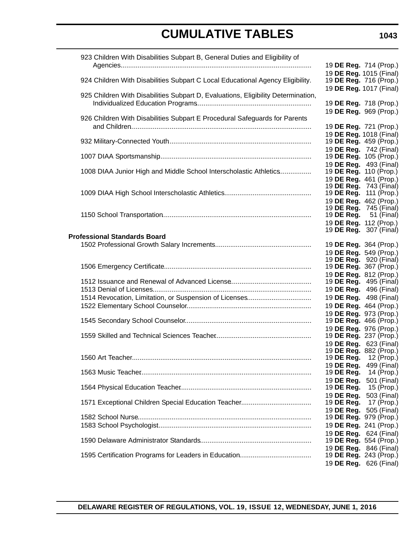| 923 Children With Disabilities Subpart B, General Duties and Eligibility of       | 19 DE Reg. 714 (Prop.)                                                                  |
|-----------------------------------------------------------------------------------|-----------------------------------------------------------------------------------------|
| 924 Children With Disabilities Subpart C Local Educational Agency Eligibility.    | 19 DE Reg. 1015 (Final)<br>19 <b>DE Reg.</b> 716 (Prop.)<br>19 DE Reg. 1017 (Final)     |
| 925 Children With Disabilities Subpart D, Evaluations, Eligibility Determination, | 19 DE Reg. 718 (Prop.)<br>19 DE Reg. 969 (Prop.)                                        |
| 926 Children With Disabilities Subpart E Procedural Safeguards for Parents        | 19 DE Reg. 721 (Prop.)                                                                  |
|                                                                                   | 19 DE Reg. 1018 (Final)<br>19 DE Reg. 459 (Prop.)                                       |
|                                                                                   | 19 DE Reg. 742 (Final)<br>19 <b>DE Reg.</b> 105 (Prop.)                                 |
| 1008 DIAA Junior High and Middle School Interscholastic Athletics                 | 19 DE Reg. 493 (Final)<br>19 <b>DE Reg.</b> 110 (Prop.)<br>19 DE Reg. 461 (Prop.)       |
|                                                                                   | 19 DE Reg. 743 (Final)<br>19 <b>DE Reg.</b> 111 (Prop.)<br>19 DE Reg. 462 (Prop.)       |
|                                                                                   | 19 <b>DE Reg.</b> 745 (Final)<br>19 <b>DE Reg.</b> 51 (Final)<br>19 DE Reg. 112 (Prop.) |
| <b>Professional Standards Board</b>                                               | 19 <b>DE Reg.</b> 307 (Final)                                                           |
|                                                                                   | 19 DE Reg. 364 (Prop.)<br>19 DE Reg. 549 (Prop.)                                        |
|                                                                                   | 19 <b>DE Reg.</b> 920 (Final)<br>19 <b>DE Reg.</b> 367 (Prop.)                          |
|                                                                                   | 19 DE Reg. 812 (Prop.)<br>19 <b>DE Reg.</b> 495 (Final)<br>19 DE Reg. 496 (Final)       |
|                                                                                   | 19 DE Reg. 498 (Final)<br>19 DE Reg. 464 (Prop.)                                        |
|                                                                                   | 19 DE Reg. 973 (Prop.)<br>19 <b>DE Reg.</b> 466 (Prop.)                                 |
|                                                                                   | 19 DE Reg. 976 (Prop.)<br>19 <b>DE Reg.</b> 237 (Prop.)<br>19 DE Reg. 623 (Final)       |
|                                                                                   | 19 <b>DE Reg.</b> 882 (Prop.)<br>19 <b>DE Reg.</b> 12 (Prop.)                           |
|                                                                                   | 19 DE Reg. 499 (Final)<br>19 DE Reg.<br>14 (Prop.)                                      |
|                                                                                   | 19 DE Reg. 501 (Final)<br>19 DE Reg.<br>15 (Prop.)                                      |
|                                                                                   | 19 DE Reg. 503 (Final)<br>19 DE Reg.<br>17 (Prop.)                                      |
|                                                                                   | 19 DE Reg. 505 (Final)<br>19 DE Reg. 979 (Prop.)                                        |
|                                                                                   | 19 DE Reg. 241 (Prop.)<br>19 DE Reg. 624 (Final)                                        |
|                                                                                   | 19 DE Reg. 554 (Prop.)<br>19 DE Reg. 846 (Final)                                        |
|                                                                                   | 19 <b>DE Reg.</b> 243 (Prop.)<br>19 <b>DE Reg.</b> 626 (Final)                          |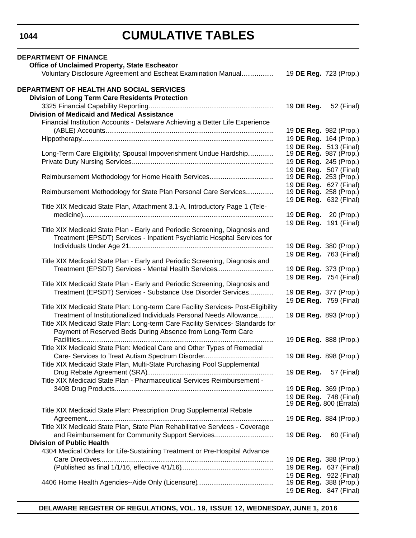| <b>DEPARTMENT OF FINANCE</b>                                                                                                                |                                                  |
|---------------------------------------------------------------------------------------------------------------------------------------------|--------------------------------------------------|
| <b>Office of Unclaimed Property, State Escheator</b>                                                                                        |                                                  |
| Voluntary Disclosure Agreement and Escheat Examination Manual                                                                               | 19 DE Reg. 723 (Prop.)                           |
| <b>DEPARTMENT OF HEALTH AND SOCIAL SERVICES</b>                                                                                             |                                                  |
| <b>Division of Long Term Care Residents Protection</b>                                                                                      |                                                  |
|                                                                                                                                             | 19 DE Reg.<br>52 (Final)                         |
| <b>Division of Medicaid and Medical Assistance</b>                                                                                          |                                                  |
| Financial Institution Accounts - Delaware Achieving a Better Life Experience                                                                |                                                  |
|                                                                                                                                             | 19 DE Reg. 982 (Prop.)                           |
|                                                                                                                                             | 19 DE Reg. 164 (Prop.)                           |
|                                                                                                                                             | 19 DE Reg. 513 (Final)                           |
| Long-Term Care Eligibility; Spousal Impoverishment Undue Hardship                                                                           | 19 DE Reg. 987 (Prop.)                           |
|                                                                                                                                             | 19 DE Reg. 245 (Prop.)                           |
|                                                                                                                                             | 19 DE Reg. 507 (Final)                           |
|                                                                                                                                             | 19 <b>DE Reg.</b> 253 (Prop.)                    |
| Reimbursement Methodology for State Plan Personal Care Services                                                                             | 19 DE Reg. 627 (Final)<br>19 DE Reg. 258 (Prop.) |
|                                                                                                                                             | 19 DE Reg. 632 (Final)                           |
| Title XIX Medicaid State Plan, Attachment 3.1-A, Introductory Page 1 (Tele-                                                                 |                                                  |
|                                                                                                                                             | 19 <b>DE Reg.</b> 20 (Prop.)                     |
|                                                                                                                                             | 19 DE Reg. 191 (Final)                           |
| Title XIX Medicaid State Plan - Early and Periodic Screening, Diagnosis and                                                                 |                                                  |
| Treatment (EPSDT) Services - Inpatient Psychiatric Hospital Services for                                                                    |                                                  |
|                                                                                                                                             | 19 DE Reg. 380 (Prop.)                           |
|                                                                                                                                             | 19 DE Reg. 763 (Final)                           |
| Title XIX Medicaid State Plan - Early and Periodic Screening, Diagnosis and                                                                 |                                                  |
| Treatment (EPSDT) Services - Mental Health Services                                                                                         | 19 DE Reg. 373 (Prop.)                           |
|                                                                                                                                             | 19 <b>DE Reg.</b> 754 (Final)                    |
| Title XIX Medicaid State Plan - Early and Periodic Screening, Diagnosis and<br>Treatment (EPSDT) Services - Substance Use Disorder Services |                                                  |
|                                                                                                                                             | 19 DE Reg. 377 (Prop.)<br>19 DE Reg. 759 (Final) |
| Title XIX Medicaid State Plan: Long-term Care Facility Services- Post-Eligibility                                                           |                                                  |
| Treatment of Institutionalized Individuals Personal Needs Allowance                                                                         | 19 DE Reg. 893 (Prop.)                           |
| Title XIX Medicaid State Plan: Long-term Care Facility Services- Standards for                                                              |                                                  |
| Payment of Reserved Beds During Absence from Long-Term Care                                                                                 |                                                  |
|                                                                                                                                             | 19 DE Reg. 888 (Prop.)                           |
| Title XIX Medicaid State Plan: Medical Care and Other Types of Remedial                                                                     |                                                  |
|                                                                                                                                             | 19 DE Reg. 898 (Prop.)                           |
| Title XIX Medicaid State Plan, Multi-State Purchasing Pool Supplemental                                                                     |                                                  |
|                                                                                                                                             | 19 DE Reg.<br>57 (Final)                         |
| Title XIX Medicaid State Plan - Pharmaceutical Services Reimbursement -                                                                     |                                                  |
|                                                                                                                                             | 19 DE Reg. 369 (Prop.)                           |
|                                                                                                                                             | 19 DE Reg. 748 (Final)                           |
| Title XIX Medicaid State Plan: Prescription Drug Supplemental Rebate                                                                        | 19 <b>DE Reg.</b> 800 (Errata)                   |
|                                                                                                                                             | 19 DE Reg. 884 (Prop.)                           |
| Title XIX Medicaid State Plan, State Plan Rehabilitative Services - Coverage                                                                |                                                  |
| and Reimbursement for Community Support Services                                                                                            | 19 DE Reg.<br>60 (Final)                         |
| <b>Division of Public Health</b>                                                                                                            |                                                  |
| 4304 Medical Orders for Life-Sustaining Treatment or Pre-Hospital Advance                                                                   |                                                  |
|                                                                                                                                             | 19 DE Reg. 388 (Prop.)                           |
|                                                                                                                                             | 19 <b>DE Reg.</b> 637 (Final)                    |
|                                                                                                                                             | 19 DE Reg. 922 (Final)                           |
|                                                                                                                                             | 19 DE Reg. 388 (Prop.)                           |
|                                                                                                                                             | 19 <b>DE Reg.</b> 847 (Final)                    |

# **1044**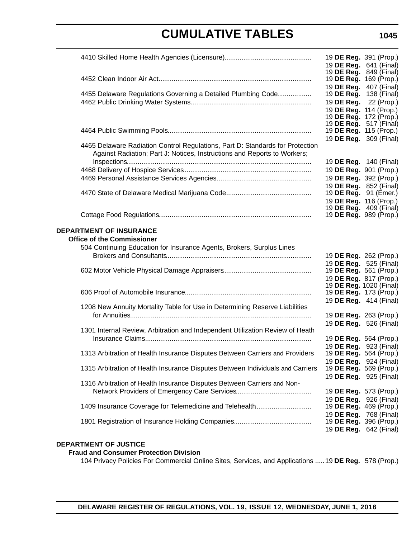|                                                                                                                                                           | 19 DE Reg. 391 (Prop.)<br>19 DE Reg. 641 (Final)<br>19 <b>DE Reg.</b> 849 (Final) |  |
|-----------------------------------------------------------------------------------------------------------------------------------------------------------|-----------------------------------------------------------------------------------|--|
|                                                                                                                                                           | 19 DE Reg. 169 (Prop.)<br>19 DE Reg. 407 (Final)                                  |  |
| 4455 Delaware Regulations Governing a Detailed Plumbing Code                                                                                              | 19 DE Reg. 138 (Final)<br>19 <b>DE Reg.</b> 22 (Prop.)                            |  |
|                                                                                                                                                           | 19 DE Reg. 114 (Prop.)<br>19 <b>DE Reg.</b> 172 (Prop.)                           |  |
|                                                                                                                                                           | 19 <b>DE Reg.</b> 517 (Final)<br>19 DE Reg. 115 (Prop.)                           |  |
|                                                                                                                                                           | 19 DE Reg. 309 (Final)                                                            |  |
| 4465 Delaware Radiation Control Regulations, Part D: Standards for Protection<br>Against Radiation; Part J: Notices, Instructions and Reports to Workers; |                                                                                   |  |
|                                                                                                                                                           | 19 <b>DE Reg.</b> 140 (Final)<br>19 DE Reg. 901 (Prop.)                           |  |
|                                                                                                                                                           | 19 DE Reg. 392 (Prop.)                                                            |  |
|                                                                                                                                                           | 19 DE Reg. 852 (Final)                                                            |  |
|                                                                                                                                                           | 19 <b>DE Reg.</b> 91 (Emer.)<br>19 DE Reg. 116 (Prop.)                            |  |
|                                                                                                                                                           | 19 <b>DE Reg.</b> 409 (Final)                                                     |  |
|                                                                                                                                                           | 19 <b>DE Reg.</b> 989 (Prop.)                                                     |  |
| <b>DEPARTMENT OF INSURANCE</b>                                                                                                                            |                                                                                   |  |
| <b>Office of the Commissioner</b>                                                                                                                         |                                                                                   |  |
| 504 Continuing Education for Insurance Agents, Brokers, Surplus Lines                                                                                     | 19 DE Reg. 262 (Prop.)                                                            |  |
|                                                                                                                                                           | 19 DE Reg. 525 (Final)<br>19 <b>DE Reg.</b> 561 (Prop.)                           |  |
|                                                                                                                                                           | 19 DE Reg. 817 (Prop.)                                                            |  |
|                                                                                                                                                           | 19 DE Reg. 1020 (Final)                                                           |  |
|                                                                                                                                                           | 19 <b>DE Reg.</b> 173 (Prop.)<br>19 <b>DE Reg.</b> 414 (Final)                    |  |
| 1208 New Annuity Mortality Table for Use in Determining Reserve Liabilities                                                                               |                                                                                   |  |
|                                                                                                                                                           | 19 DE Reg. 263 (Prop.)<br>19 DE Reg. 526 (Final)                                  |  |
| 1301 Internal Review, Arbitration and Independent Utilization Review of Heath                                                                             |                                                                                   |  |
|                                                                                                                                                           | 19 DE Reg. 564 (Prop.)                                                            |  |
|                                                                                                                                                           | 19 DE Reg. 923 (Final)                                                            |  |
| 1313 Arbitration of Health Insurance Disputes Between Carriers and Providers                                                                              | 19 <b>DE Reg.</b> 564 (Prop.)<br>19 <b>DE Reg.</b> 924 (Final)                    |  |
| 1315 Arbitration of Health Insurance Disputes Between Individuals and Carriers                                                                            | 19 DE Reg. 569 (Prop.)                                                            |  |
|                                                                                                                                                           | 19 DE Reg. 925 (Final)                                                            |  |
| 1316 Arbitration of Health Insurance Disputes Between Carriers and Non-                                                                                   | 19 DE Reg. 573 (Prop.)                                                            |  |
|                                                                                                                                                           | 19 DE Reg. 926 (Final)                                                            |  |
| 1409 Insurance Coverage for Telemedicine and Telehealth                                                                                                   | 19 DE Reg. 469 (Prop.)                                                            |  |
|                                                                                                                                                           | 19 DE Reg. 768 (Final)                                                            |  |
|                                                                                                                                                           | 19 DE Reg. 396 (Prop.)<br>19 DE Reg. 642 (Final)                                  |  |
|                                                                                                                                                           |                                                                                   |  |

### **DEPARTMENT OF JUSTICE**

**Fraud and Consumer Protection Division**

104 Privacy Policies For Commercial Online Sites, Services, and Applications .....19 **DE Reg.** 578 (Prop.)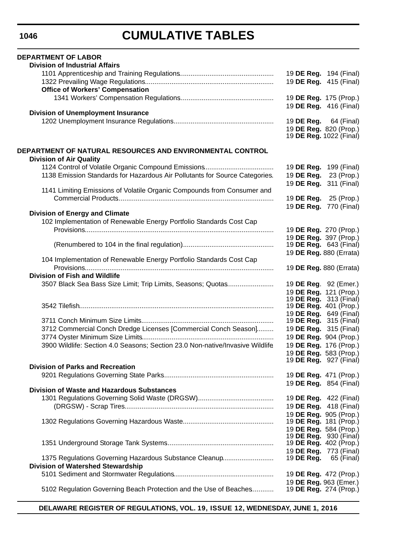| <b>DEPARTMENT OF LABOR</b><br><b>Division of Industrial Affairs</b>                                |                                                                                          |
|----------------------------------------------------------------------------------------------------|------------------------------------------------------------------------------------------|
| <b>Office of Workers' Compensation</b>                                                             | 19 <b>DE Reg.</b> 194 (Final)<br>19 DE Reg. 415 (Final)                                  |
|                                                                                                    | 19 DE Reg. 175 (Prop.)<br>19 DE Reg. 416 (Final)                                         |
| <b>Division of Unemployment Insurance</b>                                                          |                                                                                          |
|                                                                                                    | 19 <b>DE Reg.</b> 64 (Final)<br>19 DE Reg. 820 (Prop.)<br>19 <b>DE Reg.</b> 1022 (Final) |
| DEPARTMENT OF NATURAL RESOURCES AND ENVIRONMENTAL CONTROL<br><b>Division of Air Quality</b>        |                                                                                          |
|                                                                                                    | 19 <b>DE Reg.</b> 199 (Final)                                                            |
| 1138 Emission Standards for Hazardous Air Pollutants for Source Categories.                        | 19 DE Reg. 23 (Prop.)                                                                    |
| 1141 Limiting Emissions of Volatile Organic Compounds from Consumer and                            | 19 DE Reg. 311 (Final)<br>19 <b>DE Reg.</b> 25 (Prop.)                                   |
|                                                                                                    | 19 DE Reg. 770 (Final)                                                                   |
| <b>Division of Energy and Climate</b>                                                              |                                                                                          |
| 102 Implementation of Renewable Energy Portfolio Standards Cost Cap                                | 19 DE Reg. 270 (Prop.)                                                                   |
|                                                                                                    | 19 DE Reg. 397 (Prop.)                                                                   |
|                                                                                                    | 19 <b>DE Reg.</b> 643 (Final)                                                            |
| 104 Implementation of Renewable Energy Portfolio Standards Cost Cap                                | 19 DE Reg. 880 (Errata)                                                                  |
|                                                                                                    | 19 DE Reg. 880 (Errata)                                                                  |
| <b>Division of Fish and Wildlife</b>                                                               |                                                                                          |
| 3507 Black Sea Bass Size Limit; Trip Limits, Seasons; Quotas                                       | 19 DE Reg. 92 (Emer.)<br>19 DE Reg. 121 (Prop.)                                          |
|                                                                                                    | 19 <b>DE Reg.</b> 313 (Final)                                                            |
|                                                                                                    | 19 DE Reg. 401 (Prop.)<br>19 DE Reg. 649 (Final)                                         |
|                                                                                                    | 19 <b>DE Reg.</b> 315 (Final)                                                            |
| 3712 Commercial Conch Dredge Licenses [Commercial Conch Season]                                    | 19 DE Reg. 315 (Final)                                                                   |
| 3900 Wildlife: Section 4.0 Seasons; Section 23.0 Non-native/Invasive Wildlife                      | 19 DE Reg. 904 (Prop.)<br>19 DE Reg. 176 (Prop.)                                         |
|                                                                                                    | 19 DE Reg. 583 (Prop.)                                                                   |
| <b>Division of Parks and Recreation</b>                                                            | 19 <b>DE Reg.</b> 927 (Final)                                                            |
|                                                                                                    | 19 DE Reg. 471 (Prop.)                                                                   |
|                                                                                                    | 19 <b>DE Reg.</b> 854 (Final)                                                            |
| Division of Waste and Hazardous Substances                                                         |                                                                                          |
|                                                                                                    | 19 DE Reg. 422 (Final)<br>19 DE Reg. 418 (Final)                                         |
|                                                                                                    | 19 DE Reg. 905 (Prop.)                                                                   |
|                                                                                                    | 19 DE Reg. 181 (Prop.)                                                                   |
|                                                                                                    | 19 DE Reg. 584 (Prop.)<br>19 <b>DE Reg.</b> 930 (Final)                                  |
|                                                                                                    | 19 DE Reg. 402 (Prop.)                                                                   |
|                                                                                                    | 19 DE Reg. 773 (Final)                                                                   |
| 1375 Regulations Governing Hazardous Substance Cleanup<br><b>Division of Watershed Stewardship</b> | 19 <b>DE Reg.</b> 65 (Final)                                                             |
|                                                                                                    | 19 <b>DE Reg.</b> 472 (Prop.)                                                            |
|                                                                                                    | 19 DE Reg. 963 (Emer.)                                                                   |
| 5102 Regulation Governing Beach Protection and the Use of Beaches                                  | 19 <b>DE Reg.</b> 274 (Prop.)                                                            |

**DELAWARE REGISTER OF REGULATIONS, VOL. 19, ISSUE 12, WEDNESDAY, JUNE 1, 2016**

# **1046**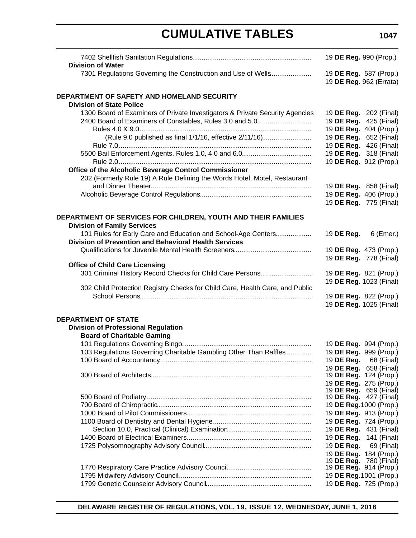| <b>Division of Water</b>                                                                                               |            | 19 DE Reg. 990 (Prop.)                            |
|------------------------------------------------------------------------------------------------------------------------|------------|---------------------------------------------------|
| 7301 Regulations Governing the Construction and Use of Wells                                                           |            | 19 DE Reg. 587 (Prop.)<br>19 DE Reg. 962 (Errata) |
| DEPARTMENT OF SAFETY AND HOMELAND SECURITY                                                                             |            |                                                   |
| <b>Division of State Police</b>                                                                                        |            |                                                   |
| 1300 Board of Examiners of Private Investigators & Private Security Agencies                                           |            | 19 DE Reg. 202 (Final)                            |
| 2400 Board of Examiners of Constables, Rules 3.0 and 5.0                                                               |            | 19 DE Reg. 425 (Final)                            |
|                                                                                                                        |            | 19 DE Reg. 404 (Prop.)                            |
| (Rule 9.0 published as final 1/1/16, effective 2/11/16)                                                                |            | 19 DE Reg. 652 (Final)                            |
|                                                                                                                        |            | 19 DE Reg. 426 (Final)                            |
|                                                                                                                        |            | 19 DE Reg. 318 (Final)                            |
|                                                                                                                        |            | 19 DE Reg. 912 (Prop.)                            |
| Office of the Alcoholic Beverage Control Commissioner                                                                  |            |                                                   |
| 202 (Formerly Rule 19) A Rule Defining the Words Hotel, Motel, Restaurant                                              |            |                                                   |
|                                                                                                                        |            | 19 DE Reg. 858 (Final)<br>19 DE Reg. 406 (Prop.)  |
|                                                                                                                        |            | 19 DE Reg. 775 (Final)                            |
|                                                                                                                        |            |                                                   |
| DEPARTMENT OF SERVICES FOR CHILDREN, YOUTH AND THEIR FAMILIES<br><b>Division of Family Services</b>                    |            |                                                   |
| 101 Rules for Early Care and Education and School-Age Centers<br>Division of Prevention and Behavioral Health Services | 19 DE Reg. | 6 (Emer.)                                         |
|                                                                                                                        |            | 19 DE Reg. 473 (Prop.)                            |
|                                                                                                                        |            | 19 DE Reg. 778 (Final)                            |
| <b>Office of Child Care Licensing</b>                                                                                  |            |                                                   |
| 301 Criminal History Record Checks for Child Care Persons                                                              |            | 19 DE Reg. 821 (Prop.)                            |
| 302 Child Protection Registry Checks for Child Care, Health Care, and Public                                           |            | 19 DE Reg. 1023 (Final)                           |
|                                                                                                                        |            | 19 DE Reg. 822 (Prop.)                            |
|                                                                                                                        |            | 19 DE Reg. 1025 (Final)                           |
|                                                                                                                        |            |                                                   |
| <b>DEPARTMENT OF STATE</b><br><b>Division of Professional Regulation</b><br><b>Board of Charitable Gaming</b>          |            |                                                   |
|                                                                                                                        |            | 19 DE Reg. 994 (Prop.)                            |
| 103 Regulations Governing Charitable Gambling Other Than Raffles                                                       |            | 19 DE Reg. 999 (Prop.)                            |
|                                                                                                                        | 19 DE Reg. | 68 (Final)                                        |
|                                                                                                                        |            | 19 DE Reg. 658 (Final)                            |
|                                                                                                                        |            | 19 DE Reg. 124 (Prop.)                            |
|                                                                                                                        |            | 19 DE Reg. 275 (Prop.)                            |
|                                                                                                                        |            | 19 <b>DE Reg.</b> 659 (Final)                     |
|                                                                                                                        |            | 19 DE Reg. 427 (Final)                            |
|                                                                                                                        |            | 19 DE Reg. 1000 (Prop.)                           |
|                                                                                                                        |            | 19 DE Reg. 913 (Prop.)                            |
|                                                                                                                        |            | 19 DE Reg. 724 (Prop.)<br>19 DE Reg. 431 (Final)  |
|                                                                                                                        | 19 DE Reg. | 141 (Final)                                       |
|                                                                                                                        | 19 DE Reg. | 69 (Final)                                        |
|                                                                                                                        |            | 19 DE Reg. 184 (Prop.)                            |
|                                                                                                                        |            | 19 DE Reg. 780 (Final)                            |
|                                                                                                                        |            | 19 DE Reg. 914 (Prop.)                            |
|                                                                                                                        |            | 19 DE Reg. 1001 (Prop.)                           |
|                                                                                                                        |            | 19 DE Reg. 725 (Prop.)                            |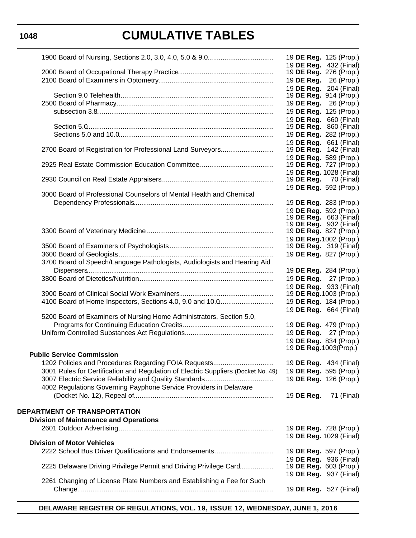# **CUMULATIVE TABLES**

|                                                                                   | 19 DE Reg. 125 (Prop.)                                  |            |
|-----------------------------------------------------------------------------------|---------------------------------------------------------|------------|
|                                                                                   | 19 DE Reg. 432 (Final)<br>19 <b>DE Reg.</b> 276 (Prop.) |            |
|                                                                                   | 19 DE Reg.                                              | 26 (Prop.) |
|                                                                                   | 19 DE Reg. 204 (Final)                                  |            |
|                                                                                   | 19 <b>DE Reg.</b> 914 (Prop.)                           |            |
|                                                                                   | 19 DE Reg. 26 (Prop.)                                   |            |
|                                                                                   | 19 DE Reg. 125 (Prop.)                                  |            |
|                                                                                   | 19 DE Req. 660 (Final)                                  |            |
|                                                                                   | 19 DE Reg. 860 (Final)                                  |            |
|                                                                                   | 19 DE Reg. 282 (Prop.)                                  |            |
|                                                                                   | 19 DE Reg. 661 (Final)                                  |            |
| 2700 Board of Registration for Professional Land Surveyors                        | 19 <b>DE Reg.</b> 142 (Final)                           |            |
|                                                                                   | 19 DE Reg. 589 (Prop.)                                  |            |
|                                                                                   | 19 DE Reg. 727 (Prop.)                                  |            |
|                                                                                   | 19 DE Reg. 1028 (Final)                                 |            |
|                                                                                   | 19 <b>DE Reg.</b> 70 (Final)                            |            |
| 3000 Board of Professional Counselors of Mental Health and Chemical               | 19 DE Reg. 592 (Prop.)                                  |            |
|                                                                                   | 19 DE Reg. 283 (Prop.)                                  |            |
|                                                                                   | 19 DE Reg. 592 (Prop.)                                  |            |
|                                                                                   | 19 <b>DE Reg.</b> 663 (Final)                           |            |
|                                                                                   | 19 <b>DE Reg.</b> 932 (Final)                           |            |
|                                                                                   | 19 <b>DE Reg.</b> 827 (Prop.)                           |            |
|                                                                                   | 19 DE Reg. 1002 (Prop.)                                 |            |
|                                                                                   | 19 <b>DE Reg.</b> 319 (Final)                           |            |
|                                                                                   | 19 DE Reg. 827 (Prop.)                                  |            |
| 3700 Board of Speech/Language Pathologists, Audiologists and Hearing Aid          |                                                         |            |
|                                                                                   | 19 DE Reg. 284 (Prop.)                                  |            |
|                                                                                   | 19 DE Reg. 27 (Prop.)                                   |            |
|                                                                                   | 19 DE Reg. 933 (Final)                                  |            |
|                                                                                   | 19 DE Reg. 1003 (Prop.)                                 |            |
| 4100 Board of Home Inspectors, Sections 4.0, 9.0 and 10.0                         | 19 DE Reg. 184 (Prop.)                                  |            |
|                                                                                   | 19 DE Reg. 664 (Final)                                  |            |
| 5200 Board of Examiners of Nursing Home Administrators, Section 5.0,              |                                                         |            |
|                                                                                   | 19 DE Reg. 479 (Prop.)<br>19 <b>DE Reg.</b> 27 (Prop.)  |            |
|                                                                                   | 19 DE Reg. 834 (Prop.)                                  |            |
|                                                                                   | 19 DE Reg. 1003 (Prop.)                                 |            |
| <b>Public Service Commission</b>                                                  |                                                         |            |
| 1202 Policies and Procedures Regarding FOIA Requests                              | 19 <b>DE Reg.</b> 434 (Final)                           |            |
| 3001 Rules for Certification and Regulation of Electric Suppliers (Docket No. 49) | 19 DE Reg. 595 (Prop.)                                  |            |
|                                                                                   | 19 DE Reg. 126 (Prop.)                                  |            |
| 4002 Regulations Governing Payphone Service Providers in Delaware                 |                                                         |            |
|                                                                                   | 19 DE Reg.                                              | 71 (Final) |
|                                                                                   |                                                         |            |
| DEPARTMENT OF TRANSPORTATION                                                      |                                                         |            |
| <b>Division of Maintenance and Operations</b>                                     |                                                         |            |
|                                                                                   | 19 DE Reg. 728 (Prop.)                                  |            |
|                                                                                   | 19 DE Reg. 1029 (Final)                                 |            |
| <b>Division of Motor Vehicles</b>                                                 |                                                         |            |
| 2222 School Bus Driver Qualifications and Endorsements                            | 19 DE Reg. 597 (Prop.)                                  |            |
|                                                                                   | 19 DE Reg. 936 (Final)                                  |            |
| 2225 Delaware Driving Privilege Permit and Driving Privilege Card                 | 19 <b>DE Reg.</b> 603 (Prop.)                           |            |
| 2261 Changing of License Plate Numbers and Establishing a Fee for Such            | 19 <b>DE Reg.</b> 937 (Final)                           |            |
|                                                                                   | 19 <b>DE Reg.</b> 527 (Final)                           |            |
|                                                                                   |                                                         |            |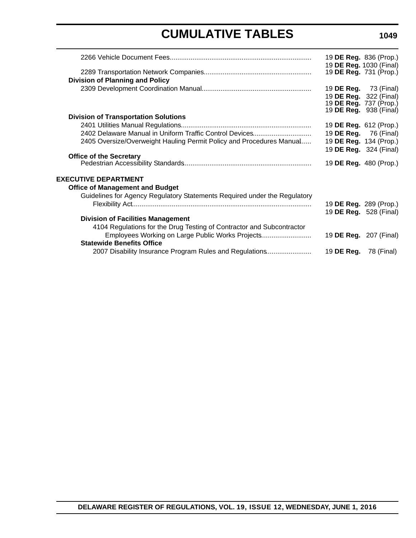|                                                                           |            | 19 DE Reg. 836 (Prop.)        |
|---------------------------------------------------------------------------|------------|-------------------------------|
|                                                                           |            | 19 DE Reg. 1030 (Final)       |
|                                                                           |            | 19 DE Reg. 731 (Prop.)        |
| <b>Division of Planning and Policy</b>                                    |            |                               |
|                                                                           |            | 19 <b>DE Reg.</b> 73 (Final)  |
|                                                                           |            |                               |
|                                                                           |            | 19 <b>DE Reg.</b> 322 (Final) |
|                                                                           |            | 19 <b>DE Reg.</b> 737 (Prop.) |
|                                                                           |            | 19 <b>DE Reg.</b> 938 (Final) |
| <b>Division of Transportation Solutions</b>                               |            |                               |
|                                                                           |            | 19 DE Reg. 612 (Prop.)        |
| 2402 Delaware Manual in Uniform Traffic Control Devices                   |            | 19 <b>DE Reg.</b> 76 (Final)  |
| 2405 Oversize/Overweight Hauling Permit Policy and Procedures Manual      |            | 19 DE Reg. 134 (Prop.)        |
|                                                                           |            | 19 <b>DE Reg.</b> 324 (Final) |
| <b>Office of the Secretary</b>                                            |            |                               |
|                                                                           |            | 19 DE Reg. 480 (Prop.)        |
|                                                                           |            |                               |
|                                                                           |            |                               |
| <b>EXECUTIVE DEPARTMENT</b>                                               |            |                               |
| <b>Office of Management and Budget</b>                                    |            |                               |
| Guidelines for Agency Regulatory Statements Required under the Regulatory |            |                               |
|                                                                           |            | 19 DE Reg. 289 (Prop.)        |
|                                                                           |            | 19 DE Reg. 528 (Final)        |
| <b>Division of Facilities Management</b>                                  |            |                               |
| 4104 Regulations for the Drug Testing of Contractor and Subcontractor     |            |                               |
|                                                                           |            |                               |
| Employees Working on Large Public Works Projects                          |            | 19 DE Reg. 207 (Final)        |
| <b>Statewide Benefits Office</b>                                          |            |                               |
| 2007 Disability Insurance Program Rules and Regulations                   | 19 DE Reg. | 78 (Final)                    |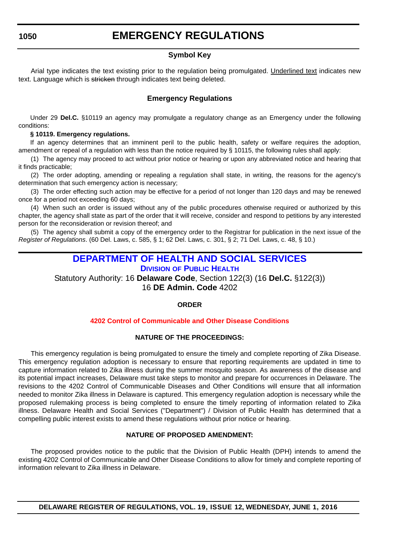# **EMERGENCY REGULATIONS**

# **Symbol Key**

<span id="page-14-0"></span>Arial type indicates the text existing prior to the regulation being promulgated. Underlined text indicates new text. Language which is stricken through indicates text being deleted.

# **Emergency Regulations**

Under 29 **Del.C.** §10119 an agency may promulgate a regulatory change as an Emergency under the following conditions:

### **§ 10119. Emergency regulations.**

If an agency determines that an imminent peril to the public health, safety or welfare requires the adoption, amendment or repeal of a regulation with less than the notice required by § 10115, the following rules shall apply:

(1) The agency may proceed to act without prior notice or hearing or upon any abbreviated notice and hearing that it finds practicable;

(2) The order adopting, amending or repealing a regulation shall state, in writing, the reasons for the agency's determination that such emergency action is necessary;

(3) The order effecting such action may be effective for a period of not longer than 120 days and may be renewed once for a period not exceeding 60 days;

(4) When such an order is issued without any of the public procedures otherwise required or authorized by this chapter, the agency shall state as part of the order that it will receive, consider and respond to petitions by any interested person for the reconsideration or revision thereof; and

(5) The agency shall submit a copy of the emergency order to the Registrar for publication in the next issue of the *Register of Regulations*. (60 Del. Laws, c. 585, § 1; 62 Del. Laws, c. 301, § 2; 71 Del. Laws, c. 48, § 10.)

# **[DEPARTMENT OF HEALTH AND SOCIAL SERVICES](http://www.dhss.delaware.gov/dhss/index.html)**

# **DIVISION [OF PUBLIC HEALTH](http://www.dhss.delaware.gov/dhss/dph/index.html)**

Statutory Authority: 16 **Delaware Code**, Section 122(3) (16 **Del.C.** §122(3)) 16 **DE Admin. Code** 4202

# **ORDER**

# **[4202 Control of Communicable and Other Disease Conditions](#page-3-0)**

#### **NATURE OF THE PROCEEDINGS:**

This emergency regulation is being promulgated to ensure the timely and complete reporting of Zika Disease. This emergency regulation adoption is necessary to ensure that reporting requirements are updated in time to capture information related to Zika illness during the summer mosquito season. As awareness of the disease and its potential impact increases, Delaware must take steps to monitor and prepare for occurrences in Delaware. The revisions to the 4202 Control of Communicable Diseases and Other Conditions will ensure that all information needed to monitor Zika illness in Delaware is captured. This emergency regulation adoption is necessary while the proposed rulemaking process is being completed to ensure the timely reporting of information related to Zika illness. Delaware Health and Social Services ("Department") / Division of Public Health has determined that a compelling public interest exists to amend these regulations without prior notice or hearing.

# **NATURE OF PROPOSED AMENDMENT:**

The proposed provides notice to the public that the Division of Public Health (DPH) intends to amend the existing 4202 Control of Communicable and Other Disease Conditions to allow for timely and complete reporting of information relevant to Zika illness in Delaware.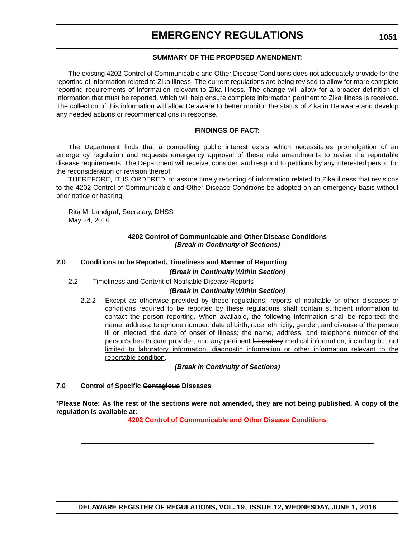# **EMERGENCY REGULATIONS**

### **SUMMARY OF THE PROPOSED AMENDMENT:**

The existing 4202 Control of Communicable and Other Disease Conditions does not adequately provide for the reporting of information related to Zika illness. The current regulations are being revised to allow for more complete reporting requirements of information relevant to Zika illness. The change will allow for a broader definition of information that must be reported, which will help ensure complete information pertinent to Zika illness is received. The collection of this information will allow Delaware to better monitor the status of Zika in Delaware and develop any needed actions or recommendations in response.

### **FINDINGS OF FACT:**

The Department finds that a compelling public interest exists which necessitates promulgation of an emergency regulation and requests emergency approval of these rule amendments to revise the reportable disease requirements. The Department will receive, consider, and respond to petitions by any interested person for the reconsideration or revision thereof.

THEREFORE, IT IS ORDERED, to assure timely reporting of information related to Zika illness that revisions to the 4202 Control of Communicable and Other Disease Conditions be adopted on an emergency basis without prior notice or hearing.

Rita M. Landgraf, Secretary, DHSS May 24, 2016

# **4202 Control of Communicable and Other Disease Conditions** *(Break in Continuity of Sections)*

### **2.0 Conditions to be Reported, Timeliness and Manner of Reporting** *(Break in Continuity Within Section)*

2.2 Timeliness and Content of Notifiable Disease Reports

# *(Break in Continuity Within Section)*

2.2.2 Except as otherwise provided by these regulations, reports of notifiable or other diseases or conditions required to be reported by these regulations shall contain sufficient information to contact the person reporting. When available, the following information shall be reported: the name, address, telephone number, date of birth, race, ethnicity, gender, and disease of the person ill or infected, the date of onset of illness; the name, address, and telephone number of the person's health care provider; and any pertinent laboratory medical information, including but not limited to laboratory information, diagnostic information or other information relevant to the reportable condition.

*(Break in Continuity of Sections)*

#### **7.0 Control of Specific Contagious Diseases**

**\*Please Note: As the rest of the sections were not amended, they are not being published. A copy of the regulation is available at:**

**[4202 Control of Communicable and Other Disease Conditions](http://regulations.delaware.gov/register/june2016/emergency/19 DE Reg 1050 06-01-16.htm)**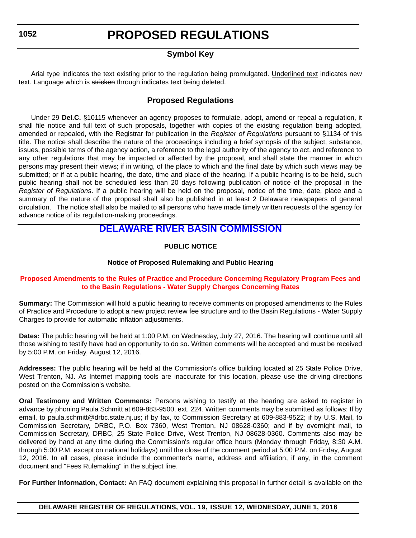# **PROPOSED REGULATIONS**

# **Symbol Key**

<span id="page-16-0"></span>Arial type indicates the text existing prior to the regulation being promulgated. Underlined text indicates new text. Language which is stricken through indicates text being deleted.

# **Proposed Regulations**

Under 29 **Del.C.** §10115 whenever an agency proposes to formulate, adopt, amend or repeal a regulation, it shall file notice and full text of such proposals, together with copies of the existing regulation being adopted, amended or repealed, with the Registrar for publication in the *Register of Regulations* pursuant to §1134 of this title. The notice shall describe the nature of the proceedings including a brief synopsis of the subject, substance, issues, possible terms of the agency action, a reference to the legal authority of the agency to act, and reference to any other regulations that may be impacted or affected by the proposal, and shall state the manner in which persons may present their views; if in writing, of the place to which and the final date by which such views may be submitted; or if at a public hearing, the date, time and place of the hearing. If a public hearing is to be held, such public hearing shall not be scheduled less than 20 days following publication of notice of the proposal in the *Register of Regulations*. If a public hearing will be held on the proposal, notice of the time, date, place and a summary of the nature of the proposal shall also be published in at least 2 Delaware newspapers of general circulation. The notice shall also be mailed to all persons who have made timely written requests of the agency for advance notice of its regulation-making proceedings.

# **[DELAWARE RIVER BASIN COMMISSION](http://www.nj.gov/drbc/)**

# **PUBLIC NOTICE**

# **Notice of Proposed Rulemaking and Public Hearing**

# **[Proposed Amendments to the Rules of Practice and Procedure Concerning Regulatory Program Fees and](#page-3-0)  to the Basin Regulations - Water Supply Charges Concerning Rates**

**Summary:** The Commission will hold a public hearing to receive comments on proposed amendments to the Rules of Practice and Procedure to adopt a new project review fee structure and to the Basin Regulations - Water Supply Charges to provide for automatic inflation adjustments.

**Dates:** The public hearing will be held at 1:00 P.M. on Wednesday, July 27, 2016. The hearing will continue until all those wishing to testify have had an opportunity to do so. Written comments will be accepted and must be received by 5:00 P.M. on Friday, August 12, 2016.

**Addresses:** The public hearing will be held at the Commission's office building located at 25 State Police Drive, West Trenton, NJ. As Internet mapping tools are inaccurate for this location, please use the driving directions posted on the Commission's website.

**Oral Testimony and Written Comments:** Persons wishing to testify at the hearing are asked to register in advance by phoning Paula Schmitt at 609-883-9500, ext. 224. Written comments may be submitted as follows: If by email, to paula.schmitt@drbc.state.nj.us; if by fax, to Commission Secretary at 609-883-9522; if by U.S. Mail, to Commission Secretary, DRBC, P.O. Box 7360, West Trenton, NJ 08628-0360; and if by overnight mail, to Commission Secretary, DRBC, 25 State Police Drive, West Trenton, NJ 08628-0360. Comments also may be delivered by hand at any time during the Commission's regular office hours (Monday through Friday, 8:30 A.M. through 5:00 P.M. except on national holidays) until the close of the comment period at 5:00 P.M. on Friday, August 12, 2016. In all cases, please include the commenter's name, address and affiliation, if any, in the comment document and "Fees Rulemaking" in the subject line.

**For Further Information, Contact:** An FAQ document explaining this proposal in further detail is available on the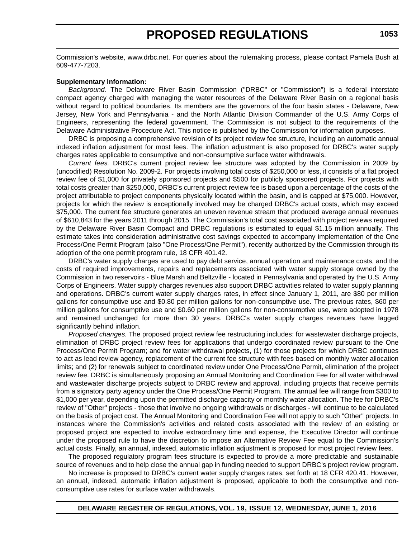Commission's website, www.drbc.net. For queries about the rulemaking process, please contact Pamela Bush at 609-477-7203.

#### **Supplementary Information:**

*Background.* The Delaware River Basin Commission ("DRBC" or "Commission") is a federal interstate compact agency charged with managing the water resources of the Delaware River Basin on a regional basis without regard to political boundaries. Its members are the governors of the four basin states - Delaware, New Jersey, New York and Pennsylvania - and the North Atlantic Division Commander of the U.S. Army Corps of Engineers, representing the federal government. The Commission is not subject to the requirements of the Delaware Administrative Procedure Act. This notice is published by the Commission for information purposes.

DRBC is proposing a comprehensive revision of its project review fee structure, including an automatic annual indexed inflation adjustment for most fees. The inflation adjustment is also proposed for DRBC's water supply charges rates applicable to consumptive and non-consumptive surface water withdrawals.

*Current fees.* DRBC's current project review fee structure was adopted by the Commission in 2009 by (uncodified) Resolution No. 2009-2. For projects involving total costs of \$250,000 or less, it consists of a flat project review fee of \$1,000 for privately sponsored projects and \$500 for publicly sponsored projects. For projects with total costs greater than \$250,000, DRBC's current project review fee is based upon a percentage of the costs of the project attributable to project components physically located within the basin, and is capped at \$75,000. However, projects for which the review is exceptionally involved may be charged DRBC's actual costs, which may exceed \$75,000. The current fee structure generates an uneven revenue stream that produced average annual revenues of \$610,843 for the years 2011 through 2015. The Commission's total cost associated with project reviews required by the Delaware River Basin Compact and DRBC regulations is estimated to equal \$1.15 million annually. This estimate takes into consideration administrative cost savings expected to accompany implementation of the One Process/One Permit Program (also "One Process/One Permit"), recently authorized by the Commission through its adoption of the one permit program rule, 18 CFR 401.42.

DRBC's water supply charges are used to pay debt service, annual operation and maintenance costs, and the costs of required improvements, repairs and replacements associated with water supply storage owned by the Commission in two reservoirs - Blue Marsh and Beltzville - located in Pennsylvania and operated by the U.S. Army Corps of Engineers. Water supply charges revenues also support DRBC activities related to water supply planning and operations. DRBC's current water supply charges rates, in effect since January 1, 2011, are \$80 per million gallons for consumptive use and \$0.80 per million gallons for non-consumptive use. The previous rates, \$60 per million gallons for consumptive use and \$0.60 per million gallons for non-consumptive use, were adopted in 1978 and remained unchanged for more than 30 years. DRBC's water supply charges revenues have lagged significantly behind inflation.

*Proposed changes.* The proposed project review fee restructuring includes: for wastewater discharge projects, elimination of DRBC project review fees for applications that undergo coordinated review pursuant to the One Process/One Permit Program; and for water withdrawal projects, (1) for those projects for which DRBC continues to act as lead review agency, replacement of the current fee structure with fees based on monthly water allocation limits; and (2) for renewals subject to coordinated review under One Process/One Permit, elimination of the project review fee. DRBC is simultaneously proposing an Annual Monitoring and Coordination Fee for all water withdrawal and wastewater discharge projects subject to DRBC review and approval, including projects that receive permits from a signatory party agency under the One Process/One Permit Program. The annual fee will range from \$300 to \$1,000 per year, depending upon the permitted discharge capacity or monthly water allocation. The fee for DRBC's review of "Other" projects - those that involve no ongoing withdrawals or discharges - will continue to be calculated on the basis of project cost. The Annual Monitoring and Coordination Fee will not apply to such "Other" projects. In instances where the Commission's activities and related costs associated with the review of an existing or proposed project are expected to involve extraordinary time and expense, the Executive Director will continue under the proposed rule to have the discretion to impose an Alternative Review Fee equal to the Commission's actual costs. Finally, an annual, indexed, automatic inflation adjustment is proposed for most project review fees.

The proposed regulatory program fees structure is expected to provide a more predictable and sustainable source of revenues and to help close the annual gap in funding needed to support DRBC's project review program.

No increase is proposed to DRBC's current water supply charges rates, set forth at 18 CFR 420.41. However, an annual, indexed, automatic inflation adjustment is proposed, applicable to both the consumptive and nonconsumptive use rates for surface water withdrawals.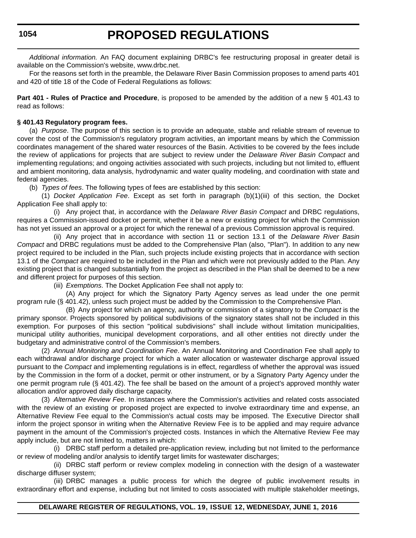# **PROPOSED REGULATIONS**

*Additional information.* An FAQ document explaining DRBC's fee restructuring proposal in greater detail is available on the Commission's website, www.drbc.net.

For the reasons set forth in the preamble, the Delaware River Basin Commission proposes to amend parts 401 and 420 of title 18 of the Code of Federal Regulations as follows:

**Part 401 - Rules of Practice and Procedure**, is proposed to be amended by the addition of a new § 401.43 to read as follows:

# **§ 401.43 Regulatory program fees.**

(a) *Purpose*. The purpose of this section is to provide an adequate, stable and reliable stream of revenue to cover the cost of the Commission's regulatory program activities, an important means by which the Commission coordinates management of the shared water resources of the Basin. Activities to be covered by the fees include the review of applications for projects that are subject to review under the *Delaware River Basin Compact* and implementing regulations; and ongoing activities associated with such projects, including but not limited to, effluent and ambient monitoring, data analysis, hydrodynamic and water quality modeling, and coordination with state and federal agencies.

(b) *Types of fees*. The following types of fees are established by this section:

(1) *Docket Application Fee*. Except as set forth in paragraph (b)(1)(iii) of this section, the Docket Application Fee shall apply to:

(i) Any project that, in accordance with the *Delaware River Basin Compact* and DRBC regulations, requires a Commission-issued docket or permit, whether it be a new or existing project for which the Commission has not yet issued an approval or a project for which the renewal of a previous Commission approval is required.

(ii) Any project that in accordance with section 11 or section 13.1 of the *Delaware River Basin Compact* and DRBC regulations must be added to the Comprehensive Plan (also, "Plan"). In addition to any new project required to be included in the Plan, such projects include existing projects that in accordance with section 13.1 of the *Compact* are required to be included in the Plan and which were not previously added to the Plan. Any existing project that is changed substantially from the project as described in the Plan shall be deemed to be a new and different project for purposes of this section.

(iii) *Exemptions*. The Docket Application Fee shall not apply to:

(A) Any project for which the Signatory Party Agency serves as lead under the one permit program rule (§ 401.42), unless such project must be added by the Commission to the Comprehensive Plan.

(B) Any project for which an agency, authority or commission of a signatory to the *Compact* is the primary sponsor. Projects sponsored by political subdivisions of the signatory states shall not be included in this exemption. For purposes of this section "political subdivisions" shall include without limitation municipalities, municipal utility authorities, municipal development corporations, and all other entities not directly under the budgetary and administrative control of the Commission's members.

(2) *Annual Monitoring and Coordination Fee*. An Annual Monitoring and Coordination Fee shall apply to each withdrawal and/or discharge project for which a water allocation or wastewater discharge approval issued pursuant to the *Compact* and implementing regulations is in effect, regardless of whether the approval was issued by the Commission in the form of a docket, permit or other instrument, or by a Signatory Party Agency under the one permit program rule (§ 401.42). The fee shall be based on the amount of a project's approved monthly water allocation and/or approved daily discharge capacity.

(3) *Alternative Review Fee*. In instances where the Commission's activities and related costs associated with the review of an existing or proposed project are expected to involve extraordinary time and expense, an Alternative Review Fee equal to the Commission's actual costs may be imposed. The Executive Director shall inform the project sponsor in writing when the Alternative Review Fee is to be applied and may require advance payment in the amount of the Commission's projected costs. Instances in which the Alternative Review Fee may apply include, but are not limited to, matters in which:

(i) DRBC staff perform a detailed pre-application review, including but not limited to the performance or review of modeling and/or analysis to identify target limits for wastewater discharges;

(ii) DRBC staff perform or review complex modeling in connection with the design of a wastewater discharge diffuser system;

(iii) DRBC manages a public process for which the degree of public involvement results in extraordinary effort and expense, including but not limited to costs associated with multiple stakeholder meetings,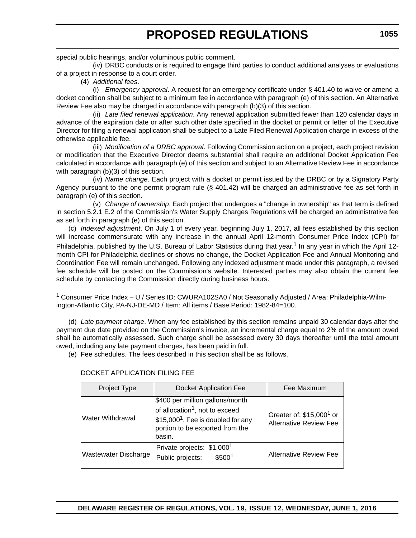special public hearings, and/or voluminous public comment.

(iv) DRBC conducts or is required to engage third parties to conduct additional analyses or evaluations of a project in response to a court order.

(4) *Additional fees*.

(i) *Emergency approval*. A request for an emergency certificate under § 401.40 to waive or amend a docket condition shall be subject to a minimum fee in accordance with paragraph (e) of this section. An Alternative Review Fee also may be charged in accordance with paragraph (b)(3) of this section.

(ii) *Late filed renewal application*. Any renewal application submitted fewer than 120 calendar days in advance of the expiration date or after such other date specified in the docket or permit or letter of the Executive Director for filing a renewal application shall be subject to a Late Filed Renewal Application charge in excess of the otherwise applicable fee.

(iii) *Modification of a DRBC approval*. Following Commission action on a project, each project revision or modification that the Executive Director deems substantial shall require an additional Docket Application Fee calculated in accordance with paragraph (e) of this section and subject to an Alternative Review Fee in accordance with paragraph (b)(3) of this section.

(iv) *Name change*. Each project with a docket or permit issued by the DRBC or by a Signatory Party Agency pursuant to the one permit program rule (§ 401.42) will be charged an administrative fee as set forth in paragraph (e) of this section.

(v) *Change of ownership*. Each project that undergoes a "change in ownership" as that term is defined in section 5.2.1 E.2 of the Commission's Water Supply Charges Regulations will be charged an administrative fee as set forth in paragraph (e) of this section.

(c) *Indexed adjustment*. On July 1 of every year, beginning July 1, 2017, all fees established by this section will increase commensurate with any increase in the annual April 12-month Consumer Price Index (CPI) for Philadelphia, published by the U.S. Bureau of Labor Statistics during that year.<sup>1</sup> In any year in which the April 12month CPI for Philadelphia declines or shows no change, the Docket Application Fee and Annual Monitoring and Coordination Fee will remain unchanged. Following any indexed adjustment made under this paragraph, a revised fee schedule will be posted on the Commission's website. Interested parties may also obtain the current fee schedule by contacting the Commission directly during business hours.

<sup>1</sup> Consumer Price Index – U / Series ID: CWURA102SA0 / Not Seasonally Adjusted / Area: Philadelphia-Wilmington-Atlantic City, PA-NJ-DE-MD / Item: All items / Base Period: 1982-84=100.

(d) *Late payment charge*. When any fee established by this section remains unpaid 30 calendar days after the payment due date provided on the Commission's invoice, an incremental charge equal to 2% of the amount owed shall be automatically assessed. Such charge shall be assessed every 30 days thereafter until the total amount owed, including any late payment charges, has been paid in full.

(e) Fee schedules. The fees described in this section shall be as follows.

| <b>Project Type</b>         | <b>Docket Application Fee</b>                                                                                                                                     | Fee Maximum                                                           |
|-----------------------------|-------------------------------------------------------------------------------------------------------------------------------------------------------------------|-----------------------------------------------------------------------|
| <b>Water Withdrawal</b>     | \$400 per million gallons/month<br>of allocation <sup>1</sup> , not to exceed<br>$$15,0001$ . Fee is doubled for any<br>portion to be exported from the<br>basin. | Greater of: \$15,000 <sup>1</sup> or<br><b>Alternative Review Fee</b> |
| <b>Wastewater Discharge</b> | Private projects: \$1,000 <sup>1</sup><br>\$500 <sup>1</sup><br>Public projects:                                                                                  | Alternative Review Fee                                                |

# DOCKET APPLICATION FILING FEE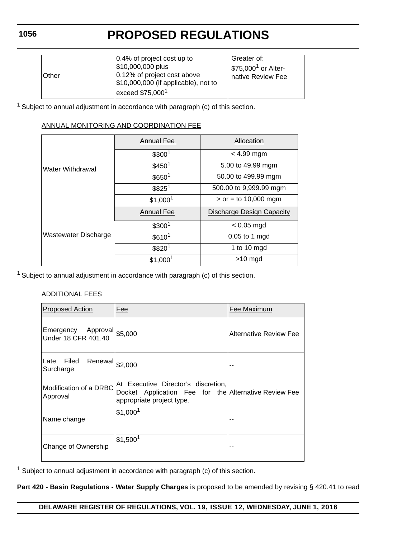| <b>Other</b> | 0.4% of project cost up to<br>\$10,000,000 plus<br>0.12% of project cost above<br>$\vert$ \$10,000,000 (if applicable), not to<br>exceed \$75,000 <sup>1</sup> | Greater of:<br>\$75,000 <sup>1</sup> or Alter-<br>native Review Fee |
|--------------|----------------------------------------------------------------------------------------------------------------------------------------------------------------|---------------------------------------------------------------------|
|              |                                                                                                                                                                |                                                                     |

1 Subject to annual adjustment in accordance with paragraph (c) of this section.

# ANNUAL MONITORING AND COORDINATION FEE

| Water Withdrawal     | <b>Annual Fee</b>    | Allocation                       |
|----------------------|----------------------|----------------------------------|
|                      | \$300 <sup>1</sup>   | $< 4.99$ mgm                     |
|                      | \$450 <sup>1</sup>   | 5.00 to 49.99 mgm                |
|                      | \$650 <sup>1</sup>   | 50.00 to 499.99 mgm              |
|                      | $$825^1$             | 500.00 to 9,999.99 mgm           |
|                      | \$1,000 <sup>1</sup> | $>$ or = to 10,000 mgm           |
| Wastewater Discharge | Annual Fee           | <b>Discharge Design Capacity</b> |
|                      | \$300 <sup>1</sup>   | $< 0.05$ mgd                     |
|                      | \$610 <sup>1</sup>   | 0.05 to 1 mgd                    |
|                      | \$8201               | 1 to 10 $mgd$                    |
|                      | \$1,000 <sup>1</sup> | $>10$ mgd                        |

<sup>1</sup> Subject to annual adjustment in accordance with paragraph (c) of this section.

# ADDITIONAL FEES

| <b>Proposed Action</b>                            | Fee                                                                                                                       | Fee Maximum                   |
|---------------------------------------------------|---------------------------------------------------------------------------------------------------------------------------|-------------------------------|
| Emergency Approval \$5,000<br>Under 18 CFR 401.40 |                                                                                                                           | <b>Alternative Review Fee</b> |
| Filed Renewal $ $2,000$<br>Late<br>Surcharge      |                                                                                                                           |                               |
| Modification of a DRBC<br>Approval                | At Executive Director's discretion,<br>Docket Application Fee for the Alternative Review Fee<br>appropriate project type. |                               |
| Name change                                       | \$1,000 <sup>1</sup>                                                                                                      |                               |
| Change of Ownership                               | \$1,500 <sup>1</sup>                                                                                                      |                               |

 $1$  Subject to annual adjustment in accordance with paragraph (c) of this section.

**Part 420 - Basin Regulations - Water Supply Charges** is proposed to be amended by revising § 420.41 to read

# **DELAWARE REGISTER OF REGULATIONS, VOL. 19, ISSUE 12, WEDNESDAY, JUNE 1, 2016**

**1056**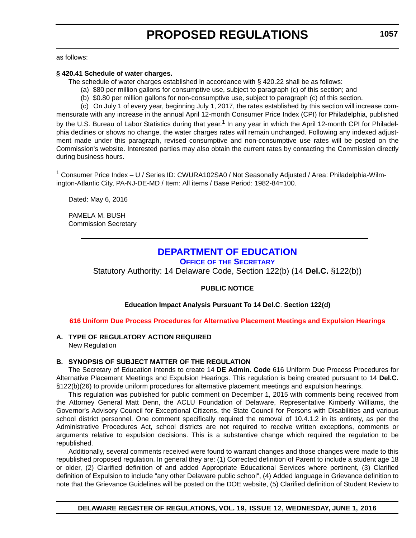<span id="page-21-0"></span>as follows:

### **§ 420.41 Schedule of water charges.**

The schedule of water charges established in accordance with § 420.22 shall be as follows:

- (a) \$80 per million gallons for consumptive use, subject to paragraph (c) of this section; and
- (b) \$0.80 per million gallons for non-consumptive use, subject to paragraph (c) of this section.

(c) On July 1 of every year, beginning July 1, 2017, the rates established by this section will increase commensurate with any increase in the annual April 12-month Consumer Price Index (CPI) for Philadelphia, published by the U.S. Bureau of Labor Statistics during that year.<sup>1</sup> In any year in which the April 12-month CPI for Philadelphia declines or shows no change, the water charges rates will remain unchanged. Following any indexed adjustment made under this paragraph, revised consumptive and non-consumptive use rates will be posted on the Commission's website. Interested parties may also obtain the current rates by contacting the Commission directly during business hours.

<sup>1</sup> Consumer Price Index – U / Series ID: CWURA102SA0 / Not Seasonally Adjusted / Area: Philadelphia-Wilmington-Atlantic City, PA-NJ-DE-MD / Item: All items / Base Period: 1982-84=100.

Dated: May 6, 2016

PAMELA M. BUSH Commission Secretary

# **[DEPARTMENT OF EDUCATION](http://www.doe.k12.de.us/)**

**OFFICE OF [THE SECRETARY](https://pubapps.doe.k12.de.us/EducationalDirectoryPublic/pages/DDOE/Branches.aspx?page=branches&BID=1)**

Statutory Authority: 14 Delaware Code, Section 122(b) (14 **Del.C.** §122(b))

# **PUBLIC NOTICE**

# **Education Impact Analysis Pursuant To 14 Del.C**. **Section 122(d)**

# **[616 Uniform Due Process Procedures for Alternative Placement Meetings and Expulsion Hearings](#page-3-0)**

# **A. TYPE OF REGULATORY ACTION REQUIRED**

New Regulation

# **B. SYNOPSIS OF SUBJECT MATTER OF THE REGULATION**

The Secretary of Education intends to create 14 **DE Admin. Code** 616 Uniform Due Process Procedures for Alternative Placement Meetings and Expulsion Hearings. This regulation is being created pursuant to 14 **Del.C.** §122(b)(26) to provide uniform procedures for alternative placement meetings and expulsion hearings.

This regulation was published for public comment on December 1, 2015 with comments being received from the Attorney General Matt Denn, the ACLU Foundation of Delaware, Representative Kimberly Williams, the Governor's Advisory Council for Exceptional Citizens, the State Council for Persons with Disabilities and various school district personnel. One comment specifically required the removal of 10.4.1.2 in its entirety, as per the Administrative Procedures Act, school districts are not required to receive written exceptions, comments or arguments relative to expulsion decisions. This is a substantive change which required the regulation to be republished.

Additionally, several comments received were found to warrant changes and those changes were made to this republished proposed regulation. In general they are: (1) Corrected definition of Parent to include a student age 18 or older, (2) Clarified definition of and added Appropriate Educational Services where pertinent, (3) Clarified definition of Expulsion to include "any other Delaware public school", (4) Added language in Grievance definition to note that the Grievance Guidelines will be posted on the DOE website, (5) Clarified definition of Student Review to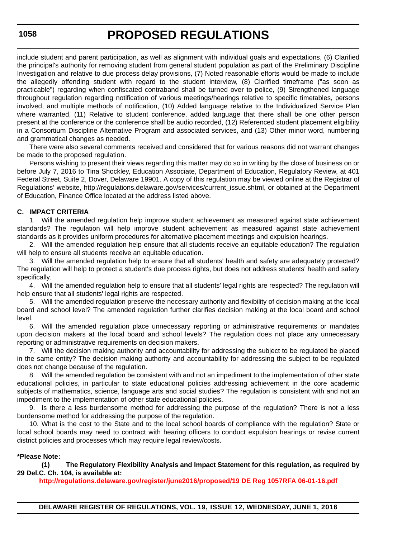include student and parent participation, as well as alignment with individual goals and expectations, (6) Clarified the principal's authority for removing student from general student population as part of the Preliminary Discipline Investigation and relative to due process delay provisions, (7) Noted reasonable efforts would be made to include the allegedly offending student with regard to the student interview, (8) Clarified timeframe ("as soon as practicable") regarding when confiscated contraband shall be turned over to police, (9) Strengthened language throughout regulation regarding notification of various meetings/hearings relative to specific timetables, persons involved, and multiple methods of notification, (10) Added language relative to the Individualized Service Plan where warranted, (11) Relative to student conference, added language that there shall be one other person present at the conference or the conference shall be audio recorded, (12) Referenced student placement eligibility in a Consortium Discipline Alternative Program and associated services, and (13) Other minor word, numbering and grammatical changes as needed.

There were also several comments received and considered that for various reasons did not warrant changes be made to the proposed regulation.

Persons wishing to present their views regarding this matter may do so in writing by the close of business on or before July 7, 2016 to Tina Shockley, Education Associate, Department of Education, Regulatory Review, at 401 Federal Street, Suite 2, Dover, Delaware 19901. A copy of this regulation may be viewed online at the Registrar of Regulations' website, http://regulations.delaware.gov/services/current\_issue.shtml, or obtained at the Department of Education, Finance Office located at the address listed above.

# **C. IMPACT CRITERIA**

1. Will the amended regulation help improve student achievement as measured against state achievement standards? The regulation will help improve student achievement as measured against state achievement standards as it provides uniform procedures for alternative placement meetings and expulsion hearings.

2. Will the amended regulation help ensure that all students receive an equitable education? The regulation will help to ensure all students receive an equitable education.

3. Will the amended regulation help to ensure that all students' health and safety are adequately protected? The regulation will help to protect a student's due process rights, but does not address students' health and safety specifically.

4. Will the amended regulation help to ensure that all students' legal rights are respected? The regulation will help ensure that all students' legal rights are respected.

5. Will the amended regulation preserve the necessary authority and flexibility of decision making at the local board and school level? The amended regulation further clarifies decision making at the local board and school level.

6. Will the amended regulation place unnecessary reporting or administrative requirements or mandates upon decision makers at the local board and school levels? The regulation does not place any unnecessary reporting or administrative requirements on decision makers.

7. Will the decision making authority and accountability for addressing the subject to be regulated be placed in the same entity? The decision making authority and accountability for addressing the subject to be regulated does not change because of the regulation.

8. Will the amended regulation be consistent with and not an impediment to the implementation of other state educational policies, in particular to state educational policies addressing achievement in the core academic subjects of mathematics, science, language arts and social studies? The regulation is consistent with and not an impediment to the implementation of other state educational policies.

9. Is there a less burdensome method for addressing the purpose of the regulation? There is not a less burdensome method for addressing the purpose of the regulation.

10. What is the cost to the State and to the local school boards of compliance with the regulation? State or local school boards may need to contract with hearing officers to conduct expulsion hearings or revise current district policies and processes which may require legal review/costs.

#### **\*Please Note:**

**(1) The Regulatory Flexibility Analysis and Impact Statement for this regulation, as required by 29 Del.C. Ch. 104, is available at:**

**<http://regulations.delaware.gov/register/june2016/proposed/19 DE Reg 1057RFA 06-01-16.pdf>**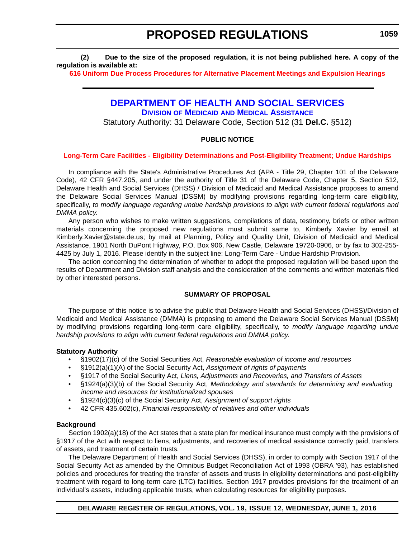<span id="page-23-0"></span>**(2) Due to the size of the proposed regulation, it is not being published here. A copy of the regulation is available at:**

**[616 Uniform Due Process Procedures for Alternative Placement Meetings and Expulsion Hearings](http://regulations.delaware.gov/register/june2016/proposed/19 DE Reg 1057 06-01-16.htm)**

# **[DEPARTMENT OF HEALTH AND SOCIAL SERVICES](http://dhss.delaware.gov/dhss/)**

**DIVISION OF MEDICAID [AND MEDICAL ASSISTANCE](http://www.dhss.delaware.gov/dhss/dmma/)**

Statutory Authority: 31 Delaware Code, Section 512 (31 **Del.C.** §512)

### **PUBLIC NOTICE**

#### **[Long-Term Care Facilities - Eligibility Determinations and Post-Eligibility Treatment; Undue Hardships](#page-3-0)**

In compliance with the State's Administrative Procedures Act (APA - Title 29, Chapter 101 of the Delaware Code), 42 CFR §447.205, and under the authority of Title 31 of the Delaware Code, Chapter 5, Section 512, Delaware Health and Social Services (DHSS) / Division of Medicaid and Medical Assistance proposes to amend the Delaware Social Services Manual (DSSM) by modifying provisions regarding long-term care eligibility, specifically, *to modify language regarding undue hardship provisions to align with current federal regulations and DMMA policy.*

Any person who wishes to make written suggestions, compilations of data, testimony, briefs or other written materials concerning the proposed new regulations must submit same to, Kimberly Xavier by email at Kimberly.Xavier@state.de.us; by mail at Planning, Policy and Quality Unit, Division of Medicaid and Medical Assistance, 1901 North DuPont Highway, P.O. Box 906, New Castle, Delaware 19720-0906, or by fax to 302-255- 4425 by July 1, 2016. Please identify in the subject line: Long-Term Care - Undue Hardship Provision.

The action concerning the determination of whether to adopt the proposed regulation will be based upon the results of Department and Division staff analysis and the consideration of the comments and written materials filed by other interested persons.

#### **SUMMARY OF PROPOSAL**

The purpose of this notice is to advise the public that Delaware Health and Social Services (DHSS)/Division of Medicaid and Medical Assistance (DMMA) is proposing to amend the Delaware Social Services Manual (DSSM) by modifying provisions regarding long-term care eligibility, specifically, t*o modify language regarding undue hardship provisions to align with current federal regulations and DMMA policy*.

#### **Statutory Authority**

- §1902(17)(c) of the Social Securities Act, *Reasonable evaluation of income and resources*
- §1912(a)(1)(A) of the Social Security Act, *Assignment of rights of payments*
- §1917 of the Social Security Act, *Liens, Adjustments and Recoveries, and Transfers of Assets*
- §1924(a)(3)(b) of the Social Security Act, *Methodology and standards for determining and evaluating income and resources for institutionalized spouses*
- §1924(c)(3)(c) of the Social Security Act, *Assignment of support rights*
- 42 CFR 435.602(c), *Financial responsibility of relatives and other individuals*

#### **Background**

Section 1902(a)(18) of the Act states that a state plan for medical insurance must comply with the provisions of §1917 of the Act with respect to liens, adjustments, and recoveries of medical assistance correctly paid, transfers of assets, and treatment of certain trusts.

The Delaware Department of Health and Social Services (DHSS), in order to comply with Section 1917 of the Social Security Act as amended by the Omnibus Budget Reconciliation Act of 1993 (OBRA '93), has established policies and procedures for treating the transfer of assets and trusts in eligibility determinations and post-eligibility treatment with regard to long-term care (LTC) facilities. Section 1917 provides provisions for the treatment of an individual's assets, including applicable trusts, when calculating resources for eligibility purposes.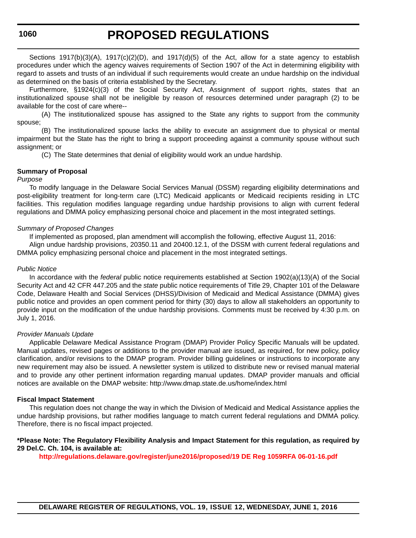# **PROPOSED REGULATIONS**

Sections 1917(b)(3)(A), 1917(c)(2)(D), and 1917(d)(5) of the Act, allow for a state agency to establish procedures under which the agency waives requirements of Section 1907 of the Act in determining eligibility with regard to assets and trusts of an individual if such requirements would create an undue hardship on the individual as determined on the basis of criteria established by the Secretary.

Furthermore, §1924(c)(3) of the Social Security Act, Assignment of support rights, states that an institutionalized spouse shall not be ineligible by reason of resources determined under paragraph (2) to be available for the cost of care where--

(A) The institutionalized spouse has assigned to the State any rights to support from the community spouse;

(B) The institutionalized spouse lacks the ability to execute an assignment due to physical or mental impairment but the State has the right to bring a support proceeding against a community spouse without such assignment; or

(C) The State determines that denial of eligibility would work an undue hardship.

### **Summary of Proposal**

### *Purpose*

To modify language in the Delaware Social Services Manual (DSSM) regarding eligibility determinations and post-eligibility treatment for long-term care (LTC) Medicaid applicants or Medicaid recipients residing in LTC facilities. This regulation modifies language regarding undue hardship provisions to align with current federal regulations and DMMA policy emphasizing personal choice and placement in the most integrated settings.

### *Summary of Proposed Changes*

If implemented as proposed, plan amendment will accomplish the following, effective August 11, 2016:

Align undue hardship provisions, 20350.11 and 20400.12.1, of the DSSM with current federal regulations and DMMA policy emphasizing personal choice and placement in the most integrated settings.

### *Public Notice*

In accordance with the *federal* public notice requirements established at Section 1902(a)(13)(A) of the Social Security Act and 42 CFR 447.205 and the *state* public notice requirements of Title 29, Chapter 101 of the Delaware Code, Delaware Health and Social Services (DHSS)/Division of Medicaid and Medical Assistance (DMMA) gives public notice and provides an open comment period for thirty (30) days to allow all stakeholders an opportunity to provide input on the modification of the undue hardship provisions. Comments must be received by 4:30 p.m. on July 1, 2016.

#### *Provider Manuals Update*

Applicable Delaware Medical Assistance Program (DMAP) Provider Policy Specific Manuals will be updated. Manual updates, revised pages or additions to the provider manual are issued, as required, for new policy, policy clarification, and/or revisions to the DMAP program. Provider billing guidelines or instructions to incorporate any new requirement may also be issued. A newsletter system is utilized to distribute new or revised manual material and to provide any other pertinent information regarding manual updates. DMAP provider manuals and official notices are available on the DMAP website: http://www.dmap.state.de.us/home/index.html

#### **Fiscal Impact Statement**

This regulation does not change the way in which the Division of Medicaid and Medical Assistance applies the undue hardship provisions, but rather modifies language to match current federal regulations and DMMA policy. Therefore, there is no fiscal impact projected.

### **\*Please Note: The Regulatory Flexibility Analysis and Impact Statement for this regulation, as required by 29 Del.C. Ch. 104, is available at:**

**<http://regulations.delaware.gov/register/june2016/proposed/19 DE Reg 1059RFA 06-01-16.pdf>**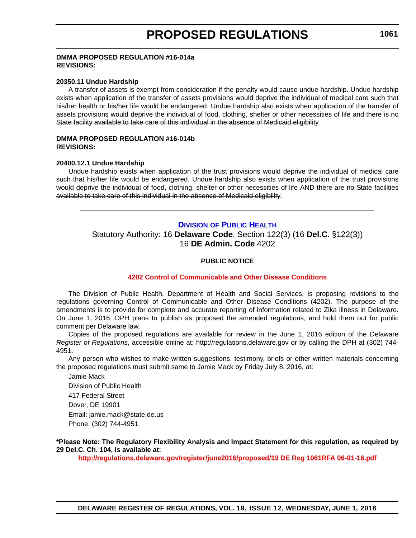### <span id="page-25-0"></span>**DMMA PROPOSED REGULATION #16-014a REVISIONS:**

#### **20350.11 Undue Hardship**

A transfer of assets is exempt from consideration if the penalty would cause undue hardship. Undue hardship exists when application of the transfer of assets provisions would deprive the individual of medical care such that his/her health or his/her life would be endangered. Undue hardship also exists when application of the transfer of assets provisions would deprive the individual of food, clothing, shelter or other necessities of life and there is no State facility available to take care of this individual in the absence of Medicaid eligibility.

### **DMMA PROPOSED REGULATION #16-014b REVISIONS:**

#### **20400.12.1 Undue Hardship**

Undue hardship exists when application of the trust provisions would deprive the individual of medical care such that his/her life would be endangered. Undue hardship also exists when application of the trust provisions would deprive the individual of food, clothing, shelter or other necessities of life AND there are no State facilities available to take care of this individual in the absence of Medicaid eligibility.

# **DIVISION [OF PUBLIC HEALTH](http://www.dhss.delaware.gov/dhss/dph/index.html)**

Statutory Authority: 16 **Delaware Code**, Section 122(3) (16 **Del.C.** §122(3)) 16 **DE Admin. Code** 4202

#### **PUBLIC NOTICE**

### **[4202 Control of Communicable and Other Disease Conditions](#page-3-0)**

The Division of Public Health, Department of Health and Social Services, is proposing revisions to the regulations governing Control of Communicable and Other Disease Conditions (4202). The purpose of the amendments is to provide for complete and accurate reporting of information related to Zika illness in Delaware. On June 1, 2016, DPH plans to publish as proposed the amended regulations, and hold them out for public comment per Delaware law.

Copies of the proposed regulations are available for review in the June 1, 2016 edition of the Delaware *Register of Regulations*, accessible online at: http://regulations.delaware.gov or by calling the DPH at (302) 744- 4951.

Any person who wishes to make written suggestions, testimony, briefs or other written materials concerning the proposed regulations must submit same to Jamie Mack by Friday July 8, 2016, at:

Jamie Mack Division of Public Health 417 Federal Street Dover, DE 19901 Email: jamie.mack@state.de.us Phone: (302) 744-4951

**\*Please Note: The Regulatory Flexibility Analysis and Impact Statement for this regulation, as required by 29 Del.C. Ch. 104, is available at:**

**<http://regulations.delaware.gov/register/june2016/proposed/19 DE Reg 1061RFA 06-01-16.pdf>**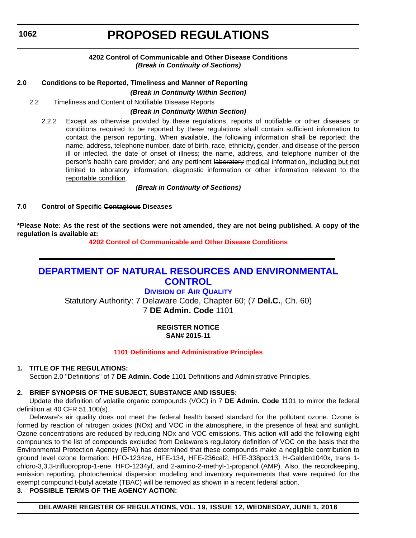# **PROPOSED REGULATIONS**

# **4202 Control of Communicable and Other Disease Conditions** *(Break in Continuity of Sections)*

# <span id="page-26-0"></span>**2.0 Conditions to be Reported, Timeliness and Manner of Reporting** *(Break in Continuity Within Section)*

2.2 Timeliness and Content of Notifiable Disease Reports

# *(Break in Continuity Within Section)*

2.2.2 Except as otherwise provided by these regulations, reports of notifiable or other diseases or conditions required to be reported by these regulations shall contain sufficient information to contact the person reporting. When available, the following information shall be reported: the name, address, telephone number, date of birth, race, ethnicity, gender, and disease of the person ill or infected, the date of onset of illness; the name, address, and telephone number of the person's health care provider; and any pertinent laboratory medical information, including but not limited to laboratory information, diagnostic information or other information relevant to the reportable condition.

# *(Break in Continuity of Sections)*

# **7.0 Control of Specific Contagious Diseases**

**\*Please Note: As the rest of the sections were not amended, they are not being published. A copy of the regulation is available at:**

**[4202 Control of Communicable and Other Disease Conditions](http://regulations.delaware.gov/register/june2016/proposed/19 DE Reg 1061 06-01-16.htm)**

# **[DEPARTMENT OF NATURAL RESOURCES AND ENVIRONMENTAL](http://www.dnrec.delaware.gov/Pages/Portal.aspx)  CONTROL**

# **DIVISION [OF AIR QUALITY](http://www.dnrec.delaware.gov/air/Pages/Default.aspx)**

Statutory Authority: 7 Delaware Code, Chapter 60; (7 **Del.C.**, Ch. 60) 7 **DE Admin. Code** 1101

# **REGISTER NOTICE SAN# 2015-11**

# **[1101 Definitions and Administrative Principles](#page-3-0)**

# **1. TITLE OF THE REGULATIONS:**

Section 2.0 "Definitions" of 7 **DE Admin. Code** 1101 Definitions and Administrative Principles.

# **2. BRIEF SYNOPSIS OF THE SUBJECT, SUBSTANCE AND ISSUES:**

Update the definition of volatile organic compounds (VOC) in 7 **DE Admin. Code** 1101 to mirror the federal definition at 40 CFR 51.100(s).

Delaware's air quality does not meet the federal health based standard for the pollutant ozone. Ozone is formed by reaction of nitrogen oxides (NOx) and VOC in the atmosphere, in the presence of heat and sunlight. Ozone concentrations are reduced by reducing NOx and VOC emissions. This action will add the following eight compounds to the list of compounds excluded from Delaware's regulatory definition of VOC on the basis that the Environmental Protection Agency (EPA) has determined that these compounds make a negligible contribution to ground level ozone formation: HFO-1234ze, HFE-134, HFE-236cal2, HFE-338pcc13, H-Galden1040x, trans 1 chloro-3,3,3-trifluoroprop-1-ene, HFO-1234yf, and 2-amino-2-methyl-1-propanol (AMP). Also, the recordkeeping, emission reporting, photochemical dispersion modeling and inventory requirements that were required for the exempt compound t-butyl acetate (TBAC) will be removed as shown in a recent federal action.

# **3. POSSIBLE TERMS OF THE AGENCY ACTION:**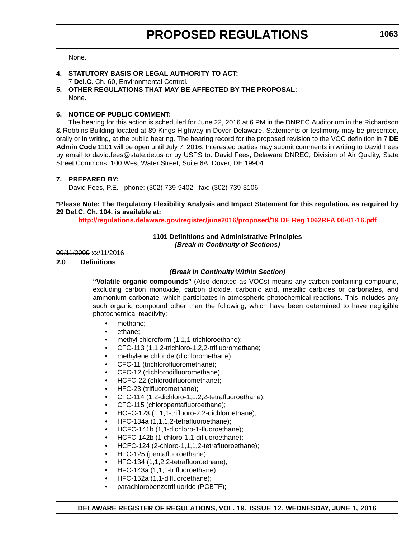None.

# **4. STATUTORY BASIS OR LEGAL AUTHORITY TO ACT:**

7 **Del.C.** Ch. 60, Environmental Control.

# **5. OTHER REGULATIONS THAT MAY BE AFFECTED BY THE PROPOSAL:**

None.

### **6. NOTICE OF PUBLIC COMMENT:**

The hearing for this action is scheduled for June 22, 2016 at 6 PM in the DNREC Auditorium in the Richardson & Robbins Building located at 89 Kings Highway in Dover Delaware. Statements or testimony may be presented, orally or in writing, at the public hearing. The hearing record for the proposed revision to the VOC definition in 7 **DE Admin Code** 1101 will be open until July 7, 2016. Interested parties may submit comments in writing to David Fees by email to david.fees@state.de.us or by USPS to: David Fees, Delaware DNREC, Division of Air Quality, State Street Commons, 100 West Water Street, Suite 6A, Dover, DE 19904.

### **7. PREPARED BY:**

David Fees, P.E. phone: (302) 739-9402 fax: (302) 739-3106

**\*Please Note: The Regulatory Flexibility Analysis and Impact Statement for this regulation, as required by 29 Del.C. Ch. 104, is available at:**

**<http://regulations.delaware.gov/register/june2016/proposed/19 DE Reg 1062RFA 06-01-16.pdf>**

# **1101 Definitions and Administrative Principles**

*(Break in Continuity of Sections)*

### 09/11/2009 xx/11/2016

# **2.0 Definitions**

# *(Break in Continuity Within Section)*

**"Volatile organic compounds"** (Also denoted as VOCs) means any carbon-containing compound, excluding carbon monoxide, carbon dioxide, carbonic acid, metallic carbides or carbonates, and ammonium carbonate, which participates in atmospheric photochemical reactions. This includes any such organic compound other than the following, which have been determined to have negligible photochemical reactivity:

- methane;
- ethane;
- methyl chloroform (1,1,1-trichloroethane);
- CFC-113 (1,1,2-trichloro-1,2,2-trifluoromethane;
- methylene chloride (dichloromethane);
- CFC-11 (trichlorofluoromethane);
- CFC-12 (dichlorodifluoromethane);
- HCFC-22 (chlorodifluoromethane);
- HFC-23 (trifluoromethane);
- CFC-114 (1,2-dichloro-1,1,2,2-tetrafluoroethane);
- CFC-115 (chloropentafluoroethane);
- HCFC-123 (1,1,1-trifluoro-2,2-dichloroethane);
- HFC-134a (1,1,1,2-tetrafluoroethane);
- HCFC-141b (1,1-dichloro-1-fluoroethane);
- HCFC-142b (1-chloro-1,1-difluoroethane);
- HCFC-124 (2-chloro-1,1,1,2-tetrafluoroethane);
- HFC-125 (pentafluoroethane);
- HFC-134 (1,1,2,2-tetrafluoroethane);
- HFC-143a (1,1,1-trifluoroethane);
- HFC-152a (1,1-difluoroethane);
- parachlorobenzotrifluoride (PCBTF);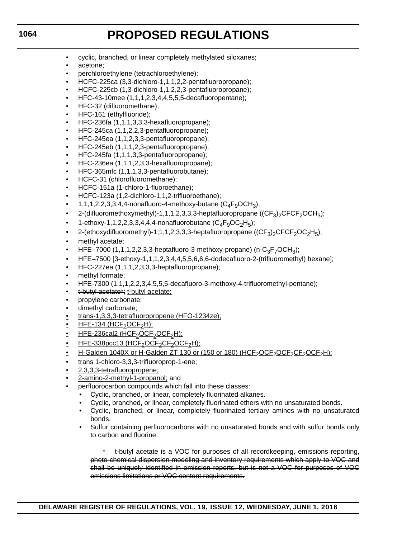- cyclic, branched, or linear completely methylated siloxanes;
- acetone;
- perchloroethylene (tetrachloroethylene);
- HCFC-225ca (3,3-dichloro-1,1,1,2,2-pentafluoropropane);
- HCFC-225cb (1,3-dichloro-1,1,2,2,3-pentafluoropropane);
- HFC-43-10mee (1,1,1,2,3,4,4,5,5,5-decafluoropentane);
- HFC-32 (difluoromethane);
- HFC-161 (ethylfluoride);
- HFC-236fa (1,1,1,3,3,3-hexafluoropropane);
- HFC-245ca (1,1,2,2,3-pentafluoropropane);
- HFC-245ea (1,1,2,3,3-pentafluoropropane);
- HFC-245eb (1,1,1,2,3-pentafluoropropane);
- HFC-245fa (1,1,1,3,3-pentafluoropropane);
- HFC-236ea (1,1,1,2,3,3-hexafluoropropane);
- HFC-365mfc (1,1,1,3,3-pentafluorobutane);
- HCFC-31 (chlorofluoromethane);
- HCFC-151a (1-chloro-1-fluoroethane);
- HCFC-123a (1,2-dichloro-1,1,2-trifluoroethane);
- 1,1,1,2,2,3,3,4,4-nonafluoro-4-methoxy-butane  $(C_4F_9OCH_3)$ ;
- 2-(difluoromethoxymethyl)-1,1,1,2,3,3,3-heptafluoropropane ( $(CF_3)_2$ CFCF<sub>2</sub>OCH<sub>3</sub>);
- 1-ethoxy-1,1,2,2,3,3,4,4,4-nonafluorobutane  $(C_4F_9OC_2H_5)$ ;
- 2-(ethoxydifluoromethyl)-1,1,1,2,3,3,3-heptafluoropropane ((CF<sub>3</sub>)<sub>2</sub>CFCF<sub>2</sub>OC<sub>2</sub>H<sub>5</sub>);
- methyl acetate;
- HFE–7000  $(1,1,1,2,2,3,3)$ -heptafluoro-3-methoxy-propane)  $(n-C_3F_7OCH_3);$
- HFE–7500 [3-ethoxy-1,1,1,2,3,4,4,5,5,6,6,6-dodecafluoro-2-(trifluoromethyl) hexane];
- HFC-227ea (1,1,1,2,3,3,3-heptafluoropropane);
- methyl formate;
- HFE-7300 (1,1,1,2,2,3,4,5,5,5-decafluoro-3-methoxy-4-trifluoromethyl-pentane);
- t-butyl acetate\*; t-butyl acetate;
- propylene carbonate;
- dimethyl carbonate;
- trans-1,3,3,3-tetrafluoropropene (HFO-1234ze);
- $\cdot$  HFE-134 (HCF<sub>2</sub>OCF<sub>2</sub>H);
- $\cdot$  HFE-236cal2 (HCF<sub>2</sub>OCF<sub>2</sub>OCF<sub>2</sub>H);
- $\cdot$  HFE-338pcc13 (HCF<sub>2</sub>OCF<sub>2</sub>CF<sub>2</sub>OCF<sub>2</sub>H);
- H-Galden 1040X or H-Galden ZT 130 or (150 or 180) (HCF<sub>2</sub>OCF<sub>2</sub>OCF<sub>2</sub>CF<sub>2</sub>OCF<sub>2</sub>H);
- trans 1-chloro-3,3,3-trifluoroprop-1-ene;
- 2,3,3,3-tetrafluoropropene;
- 2-amino-2-methyl-1-propanol; and
- perfluorocarbon compounds which fall into these classes:
	- Cyclic, branched, or linear, completely fluorinated alkanes.
		- Cyclic, branched, or linear, completely fluorinated ethers with no unsaturated bonds.
		- Cyclic, branched, or linear, completely fluorinated tertiary amines with no unsaturated bonds.
	- Sulfur containing perfluorocarbons with no unsaturated bonds and with sulfur bonds only to carbon and fluorine.

\* t-butyl acetate is a VOC for purposes of all recordkeeping, emissions reporting, photo-chemical dispersion modeling and inventory requirements which apply to VOC and shall be uniquely identified in emission reports, but is not a VOC for purposes of VOC emissions limitations or VOC content requirements.

# **1064**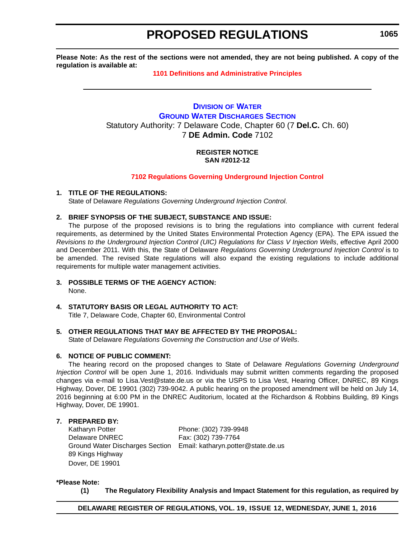<span id="page-29-0"></span>**Please Note: As the rest of the sections were not amended, they are not being published. A copy of the regulation is available at:**

# **[1101 Definitions and Administrative Principles](http://regulations.delaware.gov/register/june2016/proposed/19 DE Reg 1062 06-01-16.htm)**

# **DIVISION [OF WATER](http://www.dnrec.delaware.gov/wr/Pages/Default.aspx) [GROUND WATER DISCHARGES SECTION](http://www.dnrec.delaware.gov/wr/Services/Pages/GroundWaterDischarges.aspx)** Statutory Authority: 7 Delaware Code, Chapter 60 (7 **Del.C.** Ch. 60) 7 **DE Admin. Code** 7102

# **REGISTER NOTICE SAN #2012-12**

### **[7102 Regulations Governing Underground Injection Control](#page-3-0)**

### **1. TITLE OF THE REGULATIONS:**

State of Delaware *Regulations Governing Underground Injection Control*.

### **2. BRIEF SYNOPSIS OF THE SUBJECT, SUBSTANCE AND ISSUE:**

The purpose of the proposed revisions is to bring the regulations into compliance with current federal requirements, as determined by the United States Environmental Protection Agency (EPA). The EPA issued the *Revisions to the Underground Injection Control (UIC) Regulations for Class V Injection Wells*, effective April 2000 and December 2011. With this, the State of Delaware *Regulations Governing Underground Injection Control* is to be amended. The revised State regulations will also expand the existing regulations to include additional requirements for multiple water management activities.

# **3. POSSIBLE TERMS OF THE AGENCY ACTION:**

None.

# **4. STATUTORY BASIS OR LEGAL AUTHORITY TO ACT:**

Title 7, Delaware Code, Chapter 60, Environmental Control

# **5. OTHER REGULATIONS THAT MAY BE AFFECTED BY THE PROPOSAL:**

State of Delaware *Regulations Governing the Construction and Use of Wells*.

# **6. NOTICE OF PUBLIC COMMENT:**

The hearing record on the proposed changes to State of Delaware *Regulations Governing Underground Injection Control* will be open June 1, 2016. Individuals may submit written comments regarding the proposed changes via e-mail to Lisa.Vest@state.de.us or via the USPS to Lisa Vest, Hearing Officer, DNREC, 89 Kings Highway, Dover, DE 19901 (302) 739-9042. A public hearing on the proposed amendment will be held on July 14, 2016 beginning at 6:00 PM in the DNREC Auditorium, located at the Richardson & Robbins Building, 89 Kings Highway, Dover, DE 19901.

# **7. PREPARED BY:**

Katharyn Potter Phone: (302) 739-9948 Delaware DNREC Fax: (302) 739-7764 Ground Water Discharges Section Email: katharyn.potter@state.de.us 89 Kings Highway Dover, DE 19901

#### **\*Please Note:**

**(1) The Regulatory Flexibility Analysis and Impact Statement for this regulation, as required by**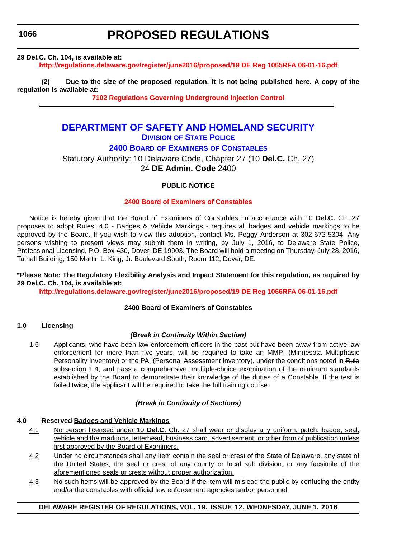# **PROPOSED REGULATIONS**

# <span id="page-30-0"></span>**29 Del.C. Ch. 104, is available at:**

**<http://regulations.delaware.gov/register/june2016/proposed/19 DE Reg 1065RFA 06-01-16.pdf>**

**(2) Due to the size of the proposed regulation, it is not being published here. A copy of the regulation is available at:**

**[7102 Regulations Governing Underground Injection Control](http://regulations.delaware.gov/register/june2016/proposed/19 DE Reg 1065 06-01-16.htm)**

# **[DEPARTMENT OF SAFETY AND HOMELAND SECURITY](http://dshs.delaware.gov/) DIVISION [OF STATE POLICE](http://dsp.delaware.gov/)**

**2400 BOARD OF EXAMINERS [OF CONSTABLES](http://dsp.delaware.gov/constables.shtml)**

Statutory Authority: 10 Delaware Code, Chapter 27 (10 **Del.C.** Ch. 27) 24 **DE Admin. Code** 2400

# **PUBLIC NOTICE**

# **[2400 Board of Examiners of Constables](#page-3-0)**

Notice is hereby given that the Board of Examiners of Constables, in accordance with 10 **Del.C.** Ch. 27 proposes to adopt Rules: 4.0 - Badges & Vehicle Markings - requires all badges and vehicle markings to be approved by the Board. If you wish to view this adoption, contact Ms. Peggy Anderson at 302-672-5304. Any persons wishing to present views may submit them in writing, by July 1, 2016, to Delaware State Police, Professional Licensing, P.O. Box 430, Dover, DE 19903. The Board will hold a meeting on Thursday, July 28, 2016, Tatnall Building, 150 Martin L. King, Jr. Boulevard South, Room 112, Dover, DE.

### **\*Please Note: The Regulatory Flexibility Analysis and Impact Statement for this regulation, as required by 29 Del.C. Ch. 104, is available at:**

**<http://regulations.delaware.gov/register/june2016/proposed/19 DE Reg 1066RFA 06-01-16.pdf>**

# **2400 Board of Examiners of Constables**

# **1.0 Licensing**

# *(Break in Continuity Within Section)*

1.6 Applicants, who have been law enforcement officers in the past but have been away from active law enforcement for more than five years, will be required to take an MMPI (Minnesota Multiphasic Personality Inventory) or the PAI (Personal Assessment Inventory), under the conditions noted in Rule subsection 1.4, and pass a comprehensive, multiple-choice examination of the minimum standards established by the Board to demonstrate their knowledge of the duties of a Constable. If the test is failed twice, the applicant will be required to take the full training course.

# *(Break in Continuity of Sections)*

# **4.0 Reserved Badges and Vehicle Markings**

- 4.1 No person licensed under 10 **Del.C.** Ch. 27 shall wear or display any uniform, patch, badge, seal, vehicle and the markings, letterhead, business card, advertisement, or other form of publication unless first approved by the Board of Examiners.
- 4.2 Under no circumstances shall any item contain the seal or crest of the State of Delaware, any state of the United States, the seal or crest of any county or local sub division, or any facsimile of the aforementioned seals or crests without proper authorization.
- 4.3 No such items will be approved by the Board if the item will mislead the public by confusing the entity and/or the constables with official law enforcement agencies and/or personnel.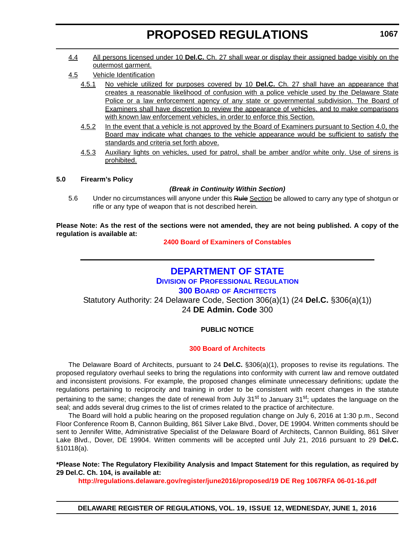- <span id="page-31-0"></span>4.4 All persons licensed under 10 **Del.C.** Ch. 27 shall wear or display their assigned badge visibly on the outermost garment.
- 4.5 Vehicle Identification
	- 4.5.1 No vehicle utilized for purposes covered by 10 **Del.C.** Ch. 27 shall have an appearance that creates a reasonable likelihood of confusion with a police vehicle used by the Delaware State Police or a law enforcement agency of any state or governmental subdivision. The Board of Examiners shall have discretion to review the appearance of vehicles, and to make comparisons with known law enforcement vehicles, in order to enforce this Section.
	- 4.5.2 In the event that a vehicle is not approved by the Board of Examiners pursuant to Section 4.0, the Board may indicate what changes to the vehicle appearance would be sufficient to satisfy the standards and criteria set forth above.
	- 4.5.3 Auxiliary lights on vehicles, used for patrol, shall be amber and/or white only. Use of sirens is prohibited.

# **5.0 Firearm's Policy**

# *(Break in Continuity Within Section)*

5.6 Under no circumstances will anyone under this Rule Section be allowed to carry any type of shotgun or rifle or any type of weapon that is not described herein.

**Please Note: As the rest of the sections were not amended, they are not being published. A copy of the regulation is available at:**

**[2400 Board of Examiners of Constables](http://regulations.delaware.gov/register/june2016/proposed/19 DE Reg 1066 06-01-16.htm)**

# **[DEPARTMENT OF STATE](http://sos.delaware.gov/)**

**DIVISION [OF PROFESSIONAL REGULATION](http://dpr.delaware.gov/)**

# **300 BOARD [OF ARCHITECTS](http://dpr.delaware.gov/boards/architects/index.shtml)**

Statutory Authority: 24 Delaware Code, Section 306(a)(1) (24 **Del.C.** §306(a)(1)) 24 **DE Admin. Code** 300

# **PUBLIC NOTICE**

# **[300 Board of Architects](#page-3-0)**

The Delaware Board of Architects, pursuant to 24 **Del.C.** §306(a)(1), proposes to revise its regulations. The proposed regulatory overhaul seeks to bring the regulations into conformity with current law and remove outdated and inconsistent provisions. For example, the proposed changes eliminate unnecessary definitions; update the regulations pertaining to reciprocity and training in order to be consistent with recent changes in the statute pertaining to the same; changes the date of renewal from July 31<sup>st</sup> to January 31<sup>st</sup>; updates the language on the seal; and adds several drug crimes to the list of crimes related to the practice of architecture.

The Board will hold a public hearing on the proposed regulation change on July 6, 2016 at 1:30 p.m., Second Floor Conference Room B, Cannon Building, 861 Silver Lake Blvd., Dover, DE 19904. Written comments should be sent to Jennifer Witte, Administrative Specialist of the Delaware Board of Architects, Cannon Building, 861 Silver Lake Blvd., Dover, DE 19904. Written comments will be accepted until July 21, 2016 pursuant to 29 **Del.C.** §10118(a).

**\*Please Note: The Regulatory Flexibility Analysis and Impact Statement for this regulation, as required by 29 Del.C. Ch. 104, is available at:**

**<http://regulations.delaware.gov/register/june2016/proposed/19 DE Reg 1067RFA 06-01-16.pdf>**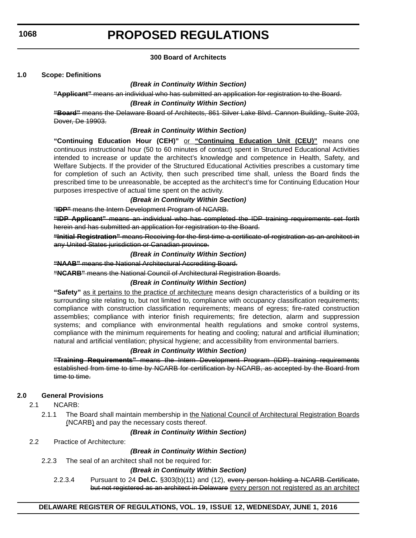# **300 Board of Architects**

### **1.0 Scope: Definitions**

### *(Break in Continuity Within Section)*

**"Applicant"** means an individual who has submitted an application for registration to the Board.

#### *(Break in Continuity Within Section)*

**"Board"** means the Delaware Board of Architects, 861 Silver Lake Blvd. Cannon Building, Suite 203, Dover, De 19903.

### *(Break in Continuity Within Section)*

**"Continuing Education Hour (CEH)"** or **"Continuing Education Unit (CEU)"** means one continuous instructional hour (50 to 60 minutes of contact) spent in Structured Educational Activities intended to increase or update the architect's knowledge and competence in Health, Safety, and Welfare Subjects. If the provider of the Structured Educational Activities prescribes a customary time for completion of such an Activity, then such prescribed time shall, unless the Board finds the prescribed time to be unreasonable, be accepted as the architect's time for Continuing Education Hour purposes irrespective of actual time spent on the activity.

### *(Break in Continuity Within Section)*

"**IDP"** means the Intern Development Program of NCARB.

**"IDP Applicant"** means an individual who has completed the IDP training requirements set forth herein and has submitted an application for registration to the Board.

**"Initial Registration"** means Receiving for the first time a certificate of registration as an architect in any United States jurisdiction or Canadian province.

### *(Break in Continuity Within Section)*

**"NAAB"** means the National Architectural Accrediting Board.

**"NCARB"** means the National Council of Architectural Registration Boards.

# *(Break in Continuity Within Section)*

**"Safety"** as it pertains to the practice of architecture means design characteristics of a building or its surrounding site relating to, but not limited to, compliance with occupancy classification requirements; compliance with construction classification requirements; means of egress; fire-rated construction assemblies; compliance with interior finish requirements; fire detection, alarm and suppression systems; and compliance with environmental health regulations and smoke control systems, compliance with the minimum requirements for heating and cooling; natural and artificial illumination; natural and artificial ventilation; physical hygiene; and accessibility from environmental barriers.

# *(Break in Continuity Within Section)*

**"Training Requirements"** means the Intern Development Program (IDP) training requirements established from time to time by NCARB for certification by NCARB, as accepted by the Board from time to time.

# **2.0 General Provisions**

- 2.1 NCARB:
	- 2.1.1 The Board shall maintain membership in the National Council of Architectural Registration Boards (NCARB) and pay the necessary costs thereof.

#### *(Break in Continuity Within Section)*

2.2 Practice of Architecture:

#### *(Break in Continuity Within Section)*

2.2.3 The seal of an architect shall not be required for:

#### *(Break in Continuity Within Section)*

2.2.3.4 Pursuant to 24 **Del.C.** §303(b)(11) and (12), every person holding a NCARB Certificate, but not registered as an architect in Delaware every person not registered as an architect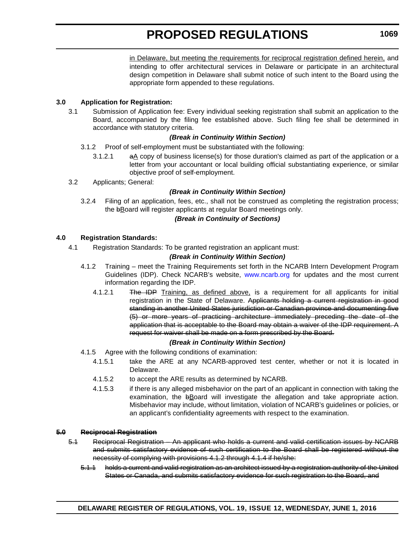in Delaware, but meeting the requirements for reciprocal registration defined herein, and intending to offer architectural services in Delaware or participate in an architectural design competition in Delaware shall submit notice of such intent to the Board using the appropriate form appended to these regulations.

# **3.0 Application for Registration:**

3.1 Submission of Application fee: Every individual seeking registration shall submit an application to the Board, accompanied by the filing fee established above. Such filing fee shall be determined in accordance with statutory criteria.

# *(Break in Continuity Within Section)*

- 3.1.2 Proof of self-employment must be substantiated with the following:
	- 3.1.2.1  $a\Delta$  copy of business license(s) for those duration's claimed as part of the application or a letter from your accountant or local building official substantiating experience, or similar objective proof of self-employment.
- 3.2 Applicants; General:

# *(Break in Continuity Within Section)*

3.2.4 Filing of an application, fees, etc., shall not be construed as completing the registration process; the bBoard will register applicants at regular Board meetings only.

# *(Break in Continuity of Sections)*

# **4.0 Registration Standards:**

4.1 Registration Standards: To be granted registration an applicant must:

# *(Break in Continuity Within Section)*

- 4.1.2 Training meet the Training Requirements set forth in the NCARB Intern Development Program Guidelines (IDP). Check NCARB's website, [www.ncarb.org](http://www.ncarb.org) for updates and the most current information regarding the IDP.
	- 4.1.2.1 The IDP Training, as defined above, is a requirement for all applicants for initial registration in the State of Delaware. Applicants holding a current registration in good standing in another United States jurisdiction or Canadian province and documenting five (5) or more years of practicing architecture immediately preceding the date of the application that is acceptable to the Board may obtain a waiver of the IDP requirement. A request for waiver shall be made on a form prescribed by the Board.

# *(Break in Continuity Within Section)*

- 4.1.5 Agree with the following conditions of examination:
	- 4.1.5.1 take the ARE at any NCARB-approved test center, whether or not it is located in Delaware.
	- 4.1.5.2 to accept the ARE results as determined by NCARB.
	- 4.1.5.3 if there is any alleged misbehavior on the part of an applicant in connection with taking the examination, the bBoard will investigate the allegation and take appropriate action. Misbehavior may include, without limitation, violation of NCARB's guidelines or policies, or an applicant's confidentiality agreements with respect to the examination.

# **5.0 Reciprocal Registration**

- 5.1 Reciprocal Registration An applicant who holds a current and valid certification issues by NCARB and submits satisfactory evidence of such certification to the Board shall be registered without the necessity of complying with provisions 4.1.2 through 4.1.4 if he/she:
	- 5.1.1 holds a current and valid registration as an architect issued by a registration authority of the United States or Canada, and submits satisfactory evidence for such registration to the Board, and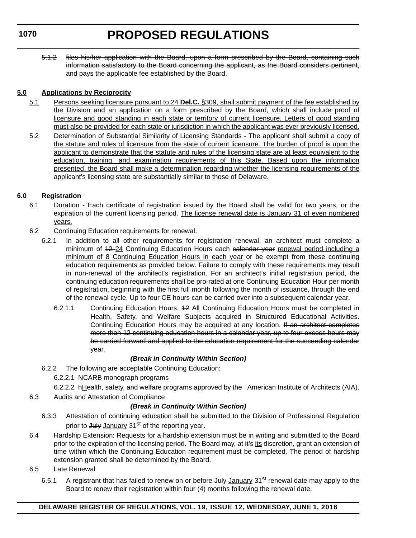# **PROPOSED REGULATIONS**

5.1.2 files his/her application with the Board, upon a form prescribed by the Board, containing such information satisfactory to the Board concerning the applicant, as the Board considers pertinent, and pays the applicable fee established by the Board.

# **5.0 Applications by Reciprocity**

- 5.1 Persons seeking licensure pursuant to 24 **Del.C.** §309, shall submit payment of the fee established by the Division and an application on a form prescribed by the Board, which shall include proof of licensure and good standing in each state or territory of current licensure. Letters of good standing must also be provided for each state or jurisdiction in which the applicant was ever previously licensed.
- 5.2 Determination of Substantial Similarity of Licensing Standards The applicant shall submit a copy of the statute and rules of licensure from the state of current licensure. The burden of proof is upon the applicant to demonstrate that the statute and rules of the licensing state are at least equivalent to the education, training, and examination requirements of this State. Based upon the information presented, the Board shall make a determination regarding whether the licensing requirements of the applicant's licensing state are substantially similar to those of Delaware.

# **6.0 Registration**

- 6.1 Duration Each certificate of registration issued by the Board shall be valid for two years, or the expiration of the current licensing period. The license renewal date is January 31 of even numbered years.
- 6.2 Continuing Education requirements for renewal.
	- 6.2.1 In addition to all other requirements for registration renewal, an architect must complete a minimum of 42-24 Continuing Education Hours each ealendar year renewal period including a minimum of 8 Continuing Education Hours in each year or be exempt from these continuing education requirements as provided below. Failure to comply with these requirements may result in non-renewal of the architect's registration. For an architect's initial registration period, the continuing education requirements shall be pro-rated at one Continuing Education Hour per month of registration, beginning with the first full month following the month of issuance, through the end of the renewal cycle. Up to four CE hours can be carried over into a subsequent calendar year.
		- 6.2.1.1 Continuing Education Hours. 12 All Continuing Education Hours must be completed in Health, Safety, and Welfare Subjects acquired in Structured Educational Activities. Continuing Education Hours may be acquired at any location. If an architect completes more than 12 continuing education hours in a calendar year, up to four excess hours may be carried forward and applied to the education requirement for the succeeding calendar year.

# *(Break in Continuity Within Section)*

- 6.2.2 The following are acceptable Continuing Education:
	- 6.2.2.1 NCARB monograph programs
	- 6.2.2.2 hHealth, safety, and welfare programs approved by the American Institute of Architects (AIA).
- 6.3 Audits and Attestation of Compliance

# *(Break in Continuity Within Section)*

- 6.3.3 Attestation of continuing education shall be submitted to the Division of Professional Regulation prior to July January 31<sup>st</sup> of the reporting year.
- 6.4 Hardship Extension: Requests for a hardship extension must be in writing and submitted to the Board prior to the expiration of the licensing period. The Board may, at it's its discretion, grant an extension of time within which the Continuing Education requirement must be completed. The period of hardship extension granted shall be determined by the Board.
- 6.5 Late Renewal
	- 6.5.1 A registrant that has failed to renew on or before July January 31<sup>st</sup> renewal date may apply to the Board to renew their registration within four (4) months following the renewal date.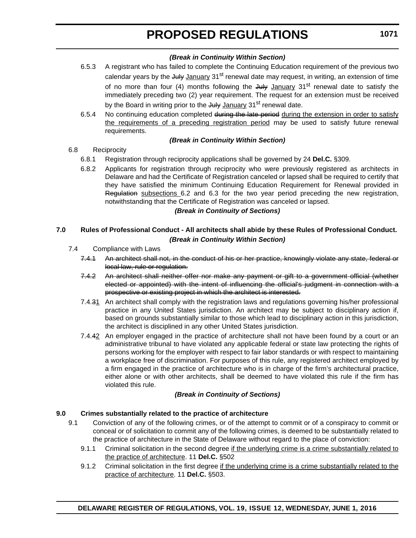# *(Break in Continuity Within Section)*

- 6.5.3 A registrant who has failed to complete the Continuing Education requirement of the previous two calendar years by the  $J_{\text{UV}}$  January 31<sup>st</sup> renewal date may request, in writing, an extension of time of no more than four (4) months following the  $J_{\text{u}}$  January 31<sup>st</sup> renewal date to satisfy the immediately preceding two (2) year requirement. The request for an extension must be received by the Board in writing prior to the July January 31<sup>st</sup> renewal date.
- 6.5.4 No continuing education completed during the late period during the extension in order to satisfy the requirements of a preceding registration period may be used to satisfy future renewal requirements.

# *(Break in Continuity Within Section)*

# 6.8 Reciprocity

- 6.8.1 Registration through reciprocity applications shall be governed by 24 **Del.C.** §309.
- 6.8.2 Applicants for registration through reciprocity who were previously registered as architects in Delaware and had the Certificate of Registration canceled or lapsed shall be required to certify that they have satisfied the minimum Continuing Education Requirement for Renewal provided in Regulation subsections 6.2 and 6.3 for the two year period preceding the new registration, notwithstanding that the Certificate of Registration was canceled or lapsed.

# *(Break in Continuity of Sections)*

# **7.0 Rules of Professional Conduct - All architects shall abide by these Rules of Professional Conduct.** *(Break in Continuity Within Section)*

- 7.4 Compliance with Laws
	- 7.4.1 An architect shall not, in the conduct of his or her practice, knowingly violate any state, federal or local law, rule or regulation.
	- 7.4.2 An architect shall neither offer nor make any payment or gift to a government official (whether elected or appointed) with the intent of influencing the official's judgment in connection with a prospective or existing project in which the architect is interested.
	- 7.4.31 An architect shall comply with the registration laws and regulations governing his/her professional practice in any United States jurisdiction. An architect may be subject to disciplinary action if, based on grounds substantially similar to those which lead to disciplinary action in this jurisdiction, the architect is disciplined in any other United States jurisdiction.
	- 7.4.42 An employer engaged in the practice of architecture shall not have been found by a court or an administrative tribunal to have violated any applicable federal or state law protecting the rights of persons working for the employer with respect to fair labor standards or with respect to maintaining a workplace free of discrimination. For purposes of this rule, any registered architect employed by a firm engaged in the practice of architecture who is in charge of the firm's architectural practice, either alone or with other architects, shall be deemed to have violated this rule if the firm has violated this rule.

# *(Break in Continuity of Sections)*

# **9.0 Crimes substantially related to the practice of architecture**

- 9.1 Conviction of any of the following crimes, or of the attempt to commit or of a conspiracy to commit or conceal or of solicitation to commit any of the following crimes, is deemed to be substantially related to the practice of architecture in the State of Delaware without regard to the place of conviction:
	- 9.1.1 Criminal solicitation in the second degree if the underlying crime is a crime substantially related to the practice of architecture. 11 **Del.C.** §502
	- 9.1.2 Criminal solicitation in the first degree if the underlying crime is a crime substantially related to the practice of architecture. 11 **Del.C.** §503.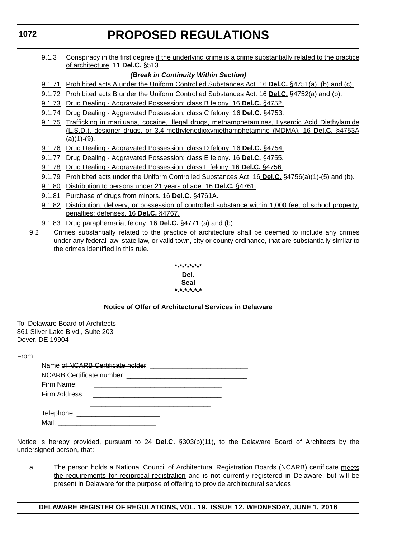# **PROPOSED REGULATIONS**

9.1.3 Conspiracy in the first degree if the underlying crime is a crime substantially related to the practice of architecture. 11 **Del.C.** §513.

# *(Break in Continuity Within Section)*

- 9.1.71 Prohibited acts A under the Uniform Controlled Substances Act. 16 **Del.C.** §4751(a), (b) and (c).
- 9.1.72 Prohibited acts B under the Uniform Controlled Substances Act. 16 **Del.C.** §4752(a) and (b).
- 9.1.73 Drug Dealing Aggravated Possession; class B felony. 16 **Del.C.** §4752.
- 9.1.74 Drug Dealing Aggravated Possession; class C felony. 16 **Del.C.** §4753.
- 9.1.75 Trafficking in marijuana, cocaine, illegal drugs, methamphetamines, Lysergic Acid Diethylamide (L.S.D.), designer drugs, or 3,4-methylenedioxymethamphetamine (MDMA). 16 **Del.C.** §4753A  $(a)(1)-(9)$ .
- 9.1.76 Drug Dealing Aggravated Possession; class D felony. 16 **Del.C.** §4754.
- 9.1.77 Drug Dealing Aggravated Possession; class E felony. 16 **Del.C.** §4755.
- 9.1.78 Drug Dealing Aggravated Possession; class F felony. 16 **Del.C.** §4756.
- 9.1.79 Prohibited acts under the Uniform Controlled Substances Act. 16 **Del.C.** §4756(a)(1)-(5) and (b).
- 9.1.80 Distribution to persons under 21 years of age. 16 **Del.C.** §4761.
- 9.1.81 Purchase of drugs from minors. 16 **Del.C.** §4761A.
- 9.1.82 Distribution, delivery, or possession of controlled substance within 1,000 feet of school property; penalties; defenses. 16 **Del.C.** §4767.
- 9.1.83 Drug paraphernalia; felony. 16 **Del.C.** §4771 (a) and (b).
- 9.2 Crimes substantially related to the practice of architecture shall be deemed to include any crimes under any federal law, state law, or valid town, city or county ordinance, that are substantially similar to the crimes identified in this rule.

**\*-\*-\*-\*-\*-\* Del. Seal \*-\*-\*-\*-\*-\***

# **Notice of Offer of Architectural Services in Delaware**

To: Delaware Board of Architects 861 Silver Lake Blvd., Suite 203 Dover, DE 19904

From:

|               | Name of NCARB Certificate holder:  |  |
|---------------|------------------------------------|--|
|               |                                    |  |
| Firm Name:    |                                    |  |
| Firm Address: |                                    |  |
|               |                                    |  |
|               | Telephone: _______________________ |  |

Mail:

Notice is hereby provided, pursuant to 24 **Del.C.** §303(b)(11), to the Delaware Board of Architects by the undersigned person, that:

a. The person holds a National Council of Architectural Registration Boards (NCARB) certificate meets the requirements for reciprocal registration and is not currently registered in Delaware, but will be present in Delaware for the purpose of offering to provide architectural services;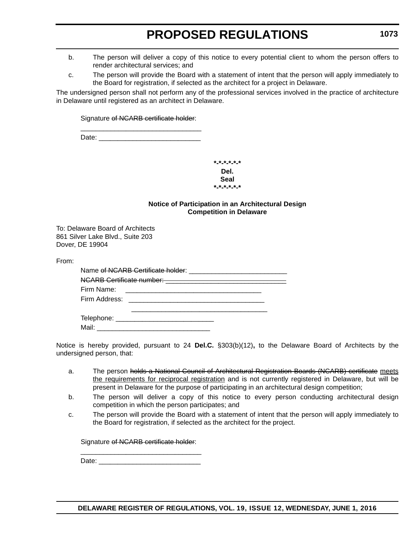# **PROPOSED REGULATIONS**

- b. The person will deliver a copy of this notice to every potential client to whom the person offers to render architectural services; and
- c. The person will provide the Board with a statement of intent that the person will apply immediately to the Board for registration, if selected as the architect for a project in Delaware.

The undersigned person shall not perform any of the professional services involved in the practice of architecture in Delaware until registered as an architect in Delaware.

Signature of NCARB certificate holder:

\_\_\_\_\_\_\_\_\_\_\_\_\_\_\_\_\_\_\_\_\_\_\_\_\_\_\_\_\_\_\_\_ Date:  $\Box$ 

> **\*-\*-\*-\*-\*-\* Del. Seal \*-\*-\*-\*-\*-\***

### **Notice of Participation in an Architectural Design Competition in Delaware**

To: Delaware Board of Architects 861 Silver Lake Blvd., Suite 203 Dover, DE 19904

From:

| Firm Name:                                                                      |  |
|---------------------------------------------------------------------------------|--|
| Firm Address:<br><u> 1980 - Jan Bernard Bernard, mension bernard bahasa per</u> |  |
| Mail:                                                                           |  |

Notice is hereby provided, pursuant to 24 **Del.C.** §303(b)(12)**,** to the Delaware Board of Architects by the undersigned person, that:

- a. The person holds a National Council of Architectural Registration Boards (NCARB) certificate meets the requirements for reciprocal registration and is not currently registered in Delaware, but will be present in Delaware for the purpose of participating in an architectural design competition;
- b. The person will deliver a copy of this notice to every person conducting architectural design competition in which the person participates; and
- c. The person will provide the Board with a statement of intent that the person will apply immediately to the Board for registration, if selected as the architect for the project.

Signature of NCARB certificate holder:

\_\_\_\_\_\_\_\_\_\_\_\_\_\_\_\_\_\_\_\_\_\_\_\_\_\_\_\_\_\_\_\_ Date: \_\_\_\_\_\_\_\_\_\_\_\_\_\_\_\_\_\_\_\_\_\_\_\_\_\_\_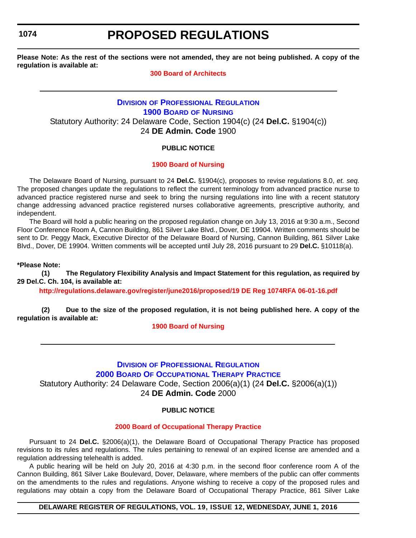# **PROPOSED REGULATIONS**

**Please Note: As the rest of the sections were not amended, they are not being published. A copy of the regulation is available at:**

#### **[300 Board of Architects](http://regulations.delaware.gov/register/june2016/proposed/19 DE Reg 1067 06-01-16.htm)**

# **DIVISION [OF PROFESSIONAL REGULATION](http://dpr.delaware.gov/) [1900 BOARD](http://dpr.delaware.gov/boards/nursing/index.shtml) OF NURSING** Statutory Authority: 24 Delaware Code, Section 1904(c) (24 **Del.C.** §1904(c))

24 **DE Admin. Code** 1900

# **PUBLIC NOTICE**

### **[1900 Board of Nursing](#page-3-0)**

The Delaware Board of Nursing, pursuant to 24 **Del.C.** §1904(c), proposes to revise regulations 8.0, *et. seq.* The proposed changes update the regulations to reflect the current terminology from advanced practice nurse to advanced practice registered nurse and seek to bring the nursing regulations into line with a recent statutory change addressing advanced practice registered nurses collaborative agreements, prescriptive authority, and independent.

The Board will hold a public hearing on the proposed regulation change on July 13, 2016 at 9:30 a.m., Second Floor Conference Room A, Cannon Building, 861 Silver Lake Blvd., Dover, DE 19904. Written comments should be sent to Dr. Peggy Mack, Executive Director of the Delaware Board of Nursing, Cannon Building, 861 Silver Lake Blvd., Dover, DE 19904. Written comments will be accepted until July 28, 2016 pursuant to 29 **Del.C.** §10118(a).

**\*Please Note:** 

**(1) The Regulatory Flexibility Analysis and Impact Statement for this regulation, as required by 29 Del.C. Ch. 104, is available at:**

**<http://regulations.delaware.gov/register/june2016/proposed/19 DE Reg 1074RFA 06-01-16.pdf>**

**(2) Due to the size of the proposed regulation, it is not being published here. A copy of the regulation is available at:**

#### **[1900 Board of Nursing](http://regulations.delaware.gov/register/june2016/proposed/19 DE Reg 1074 06-01-16.htm)**

# **DIVISION [OF PROFESSIONAL REGULATION](http://dpr.delaware.gov/) [2000 BOARD OF OCCUPATIONAL THERAPY PRACTICE](http://dpr.delaware.gov/boards/occupationaltherapy/index.shtml)** Statutory Authority: 24 Delaware Code, Section 2006(a)(1) (24 **Del.C.** §2006(a)(1)) 24 **DE Admin. Code** 2000

#### **PUBLIC NOTICE**

#### **[2000 Board of Occupational Therapy Practice](#page-3-0)**

Pursuant to 24 **Del.C.** §2006(a)(1), the Delaware Board of Occupational Therapy Practice has proposed revisions to its rules and regulations. The rules pertaining to renewal of an expired license are amended and a regulation addressing telehealth is added.

A public hearing will be held on July 20, 2016 at 4:30 p.m. in the second floor conference room A of the Cannon Building, 861 Silver Lake Boulevard, Dover, Delaware, where members of the public can offer comments on the amendments to the rules and regulations. Anyone wishing to receive a copy of the proposed rules and regulations may obtain a copy from the Delaware Board of Occupational Therapy Practice, 861 Silver Lake

### **DELAWARE REGISTER OF REGULATIONS, VOL. 19, ISSUE 12, WEDNESDAY, JUNE 1, 2016**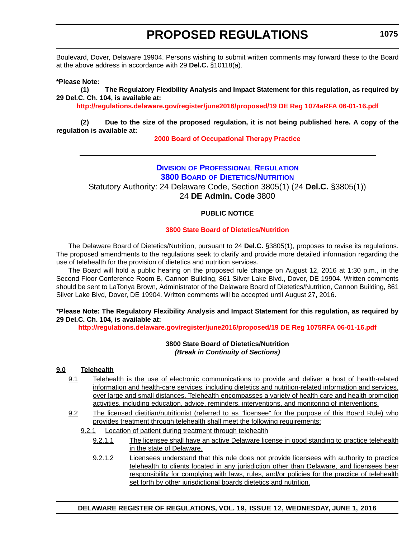# **PROPOSED REGULATIONS**

Boulevard, Dover, Delaware 19904. Persons wishing to submit written comments may forward these to the Board at the above address in accordance with 29 **Del.C.** §10118(a).

#### **\*Please Note:**

**(1) The Regulatory Flexibility Analysis and Impact Statement for this regulation, as required by 29 Del.C. Ch. 104, is available at:**

**<http://regulations.delaware.gov/register/june2016/proposed/19 DE Reg 1074aRFA 06-01-16.pdf>**

**(2) Due to the size of the proposed regulation, it is not being published here. A copy of the regulation is available at:**

**[2000 Board of Occupational Therapy Practice](http://regulations.delaware.gov/register/june2016/proposed/19 DE Reg 1074a 06-01-16.htm)**

## **DIVISION [OF PROFESSIONAL REGULATION](http://dpr.delaware.gov/) 3800 BOARD [OF DIETETICS/NUTRITION](http://dpr.delaware.gov/boards/dietitians/index.shtml)**

Statutory Authority: 24 Delaware Code, Section 3805(1) (24 **Del.C.** §3805(1)) 24 **DE Admin. Code** 3800

# **PUBLIC NOTICE**

# **[3800 State Board of Dietetics/Nutrition](#page-3-0)**

The Delaware Board of Dietetics/Nutrition, pursuant to 24 **Del.C.** §3805(1), proposes to revise its regulations. The proposed amendments to the regulations seek to clarify and provide more detailed information regarding the use of telehealth for the provision of dietetics and nutrition services.

The Board will hold a public hearing on the proposed rule change on August 12, 2016 at 1:30 p.m., in the Second Floor Conference Room B, Cannon Building, 861 Silver Lake Blvd., Dover, DE 19904. Written comments should be sent to LaTonya Brown, Administrator of the Delaware Board of Dietetics/Nutrition, Cannon Building, 861 Silver Lake Blvd, Dover, DE 19904. Written comments will be accepted until August 27, 2016.

### **\*Please Note: The Regulatory Flexibility Analysis and Impact Statement for this regulation, as required by 29 Del.C. Ch. 104, is available at:**

**<http://regulations.delaware.gov/register/june2016/proposed/19 DE Reg 1075RFA 06-01-16.pdf>**

### **3800 State Board of Dietetics/Nutrition** *(Break in Continuity of Sections)*

# **9.0 Telehealth**

- 9.1 Telehealth is the use of electronic communications to provide and deliver a host of health-related information and health-care services, including dietetics and nutrition-related information and services, over large and small distances. Telehealth encompasses a variety of health care and health promotion activities, including education, advice, reminders, interventions, and monitoring of interventions.
- 9.2 The licensed dietitian/nutritionist (referred to as "licensee" for the purpose of this Board Rule) who provides treatment through telehealth shall meet the following requirements:
	- 9.2.1 Location of patient during treatment through telehealth
		- 9.2.1.1 The licensee shall have an active Delaware license in good standing to practice telehealth in the state of Delaware.
		- 9.2.1.2 Licensees understand that this rule does not provide licensees with authority to practice telehealth to clients located in any jurisdiction other than Delaware, and licensees bear responsibility for complying with laws, rules, and/or policies for the practice of telehealth set forth by other jurisdictional boards dietetics and nutrition.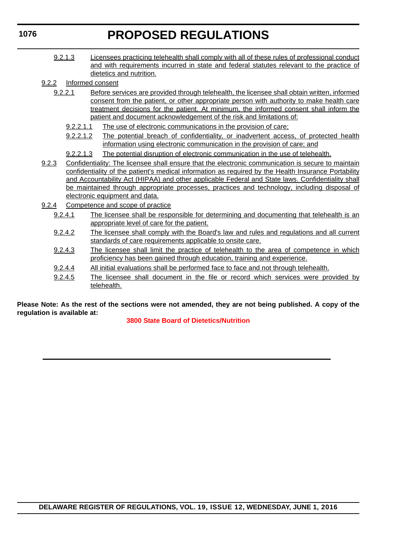# **PROPOSED REGULATIONS**

- 9.2.1.3 Licensees practicing telehealth shall comply with all of these rules of professional conduct and with requirements incurred in state and federal statutes relevant to the practice of dietetics and nutrition.
- 9.2.2 Informed consent
	- 9.2.2.1 Before services are provided through telehealth, the licensee shall obtain written, informed consent from the patient, or other appropriate person with authority to make health care treatment decisions for the patient. At minimum, the informed consent shall inform the patient and document acknowledgement of the risk and limitations of:
		- 9.2.2.1.1 The use of electronic communications in the provision of care;
		- 9.2.2.1.2 The potential breach of confidentiality, or inadvertent access, of protected health information using electronic communication in the provision of care; and
		- 9.2.2.1.3 The potential disruption of electronic communication in the use of telehealth.
- 9.2.3 Confidentiality: The licensee shall ensure that the electronic communication is secure to maintain confidentiality of the patient's medical information as required by the Health Insurance Portability and Accountability Act (HIPAA) and other applicable Federal and State laws. Confidentiality shall be maintained through appropriate processes, practices and technology, including disposal of electronic equipment and data.
- 9.2.4 Competence and scope of practice
	- 9.2.4.1 The licensee shall be responsible for determining and documenting that telehealth is an appropriate level of care for the patient.
	- 9.2.4.2 The licensee shall comply with the Board's law and rules and regulations and all current standards of care requirements applicable to onsite care.
	- 9.2.4.3 The licensee shall limit the practice of telehealth to the area of competence in which proficiency has been gained through education, training and experience.
	- 9.2.4.4 All initial evaluations shall be performed face to face and not through telehealth.
	- 9.2.4.5 The licensee shall document in the file or record which services were provided by telehealth.

**Please Note: As the rest of the sections were not amended, they are not being published. A copy of the regulation is available at:**

**[3800 State Board of Dietetics/Nutrition](http://regulations.delaware.gov/register/june2016/proposed/19 DE Reg 1075 06-01-16.htm)**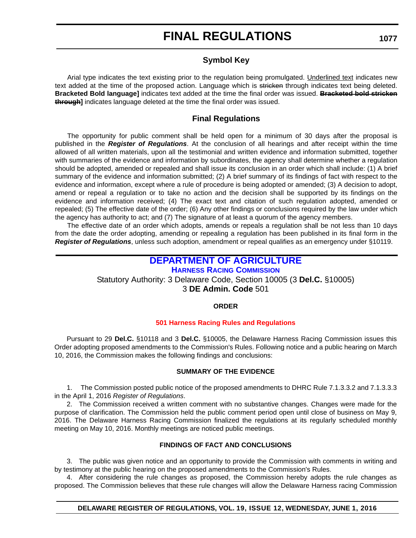# **Symbol Key**

Arial type indicates the text existing prior to the regulation being promulgated. Underlined text indicates new text added at the time of the proposed action. Language which is stricken through indicates text being deleted. **Bracketed Bold language]** indicates text added at the time the final order was issued. **Bracketed bold stricken through]** indicates language deleted at the time the final order was issued.

# **Final Regulations**

The opportunity for public comment shall be held open for a minimum of 30 days after the proposal is published in the *Register of Regulations*. At the conclusion of all hearings and after receipt within the time allowed of all written materials, upon all the testimonial and written evidence and information submitted, together with summaries of the evidence and information by subordinates, the agency shall determine whether a regulation should be adopted, amended or repealed and shall issue its conclusion in an order which shall include: (1) A brief summary of the evidence and information submitted; (2) A brief summary of its findings of fact with respect to the evidence and information, except where a rule of procedure is being adopted or amended; (3) A decision to adopt, amend or repeal a regulation or to take no action and the decision shall be supported by its findings on the evidence and information received; (4) The exact text and citation of such regulation adopted, amended or repealed; (5) The effective date of the order; (6) Any other findings or conclusions required by the law under which the agency has authority to act; and (7) The signature of at least a quorum of the agency members.

The effective date of an order which adopts, amends or repeals a regulation shall be not less than 10 days from the date the order adopting, amending or repealing a regulation has been published in its final form in the *Register of Regulations*, unless such adoption, amendment or repeal qualifies as an emergency under §10119.

# **[DEPARTMENT OF AGRICULTURE](http://dda.delaware.gov/)**

**[HARNESS RACING COMMISSION](http://dda.delaware.gov/harness/index.shtml)** Statutory Authority: 3 Delaware Code, Section 10005 (3 **Del.C.** §10005) 3 **DE Admin. Code** 501

# **ORDER**

# **[501 Harness Racing Rules and Regulations](#page-3-0)**

Pursuant to 29 **Del.C.** §10118 and 3 **Del.C.** §10005, the Delaware Harness Racing Commission issues this Order adopting proposed amendments to the Commission's Rules. Following notice and a public hearing on March 10, 2016, the Commission makes the following findings and conclusions:

#### **SUMMARY OF THE EVIDENCE**

1. The Commission posted public notice of the proposed amendments to DHRC Rule 7.1.3.3.2 and 7.1.3.3.3 in the April 1, 2016 *Register of Regulations*.

2. The Commission received a written comment with no substantive changes. Changes were made for the purpose of clarification. The Commission held the public comment period open until close of business on May 9, 2016. The Delaware Harness Racing Commission finalized the regulations at its regularly scheduled monthly meeting on May 10, 2016. Monthly meetings are noticed public meetings.

# **FINDINGS OF FACT AND CONCLUSIONS**

3. The public was given notice and an opportunity to provide the Commission with comments in writing and by testimony at the public hearing on the proposed amendments to the Commission's Rules.

4. After considering the rule changes as proposed, the Commission hereby adopts the rule changes as proposed. The Commission believes that these rule changes will allow the Delaware Harness racing Commission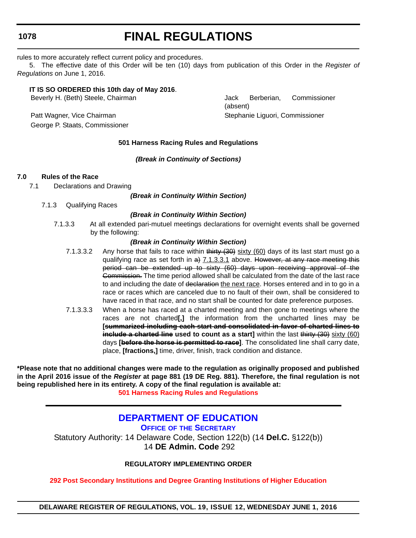# **FINAL REGULATIONS**

rules to more accurately reflect current policy and procedures.

5. The effective date of this Order will be ten (10) days from publication of this Order in the *Register of Regulations* on June 1, 2016.

## **IT IS SO ORDERED this 10th day of May 2016**.

George P. Staats, Commissioner

Beverly H. (Beth) Steele, Chairman Jack Berberian, Commissioner (absent) Patt Wagner, Vice Chairman Stephanie Liguori, Commissioner

# **501 Harness Racing Rules and Regulations**

*(Break in Continuity of Sections)*

# **7.0 Rules of the Race**

7.1 Declarations and Drawing

### *(Break in Continuity Within Section)*

7.1.3 Qualifying Races

# *(Break in Continuity Within Section)*

7.1.3.3 At all extended pari-mutuel meetings declarations for overnight events shall be governed by the following:

### *(Break in Continuity Within Section)*

- 7.1.3.3.2 Any horse that fails to race within thirty (30) sixty (60) days of its last start must go a qualifying race as set forth in  $a)$  7.1.3.3.1 above. However, at any race meeting this period can be extended up to sixty (60) days upon receiving approval of the Commission. The time period allowed shall be calculated from the date of the last race to and including the date of declaration the next race. Horses entered and in to go in a race or races which are canceled due to no fault of their own, shall be considered to have raced in that race, and no start shall be counted for date preference purposes.
- 7.1.3.3.3 When a horse has raced at a charted meeting and then gone to meetings where the races are not charted**[,]** the information from the uncharted lines may be **[summarized including each start and consolidated in favor of charted lines to include a charted line used to count as a start]** within the last thirty (30) sixty (60) days **[before the horse is permitted to race]**. The consolidated line shall carry date, place, **[fractions,]** time, driver, finish, track condition and distance.

**\*Please note that no additional changes were made to the regulation as originally proposed and published in the April 2016 issue of the** *Register* **at page 881 (19 DE Reg. 881). Therefore, the final regulation is not being republished here in its entirety. A copy of the final regulation is available at:**

**[501 Harness Racing Rules and Regulations](http://regulations.delaware.gov/register/june2016/final/19 DE Reg 1077 06-01-16.htm)**

# **[DEPARTMENT OF EDUCATION](http://www.doe.k12.de.us/)**

**OFFICE OF [THE SECRETARY](https://pubapps.doe.k12.de.us/EducationalDirectoryPublic/pages/DDOE/Branches.aspx?page=branches&BID=1)** Statutory Authority: 14 Delaware Code, Section 122(b) (14 **Del.C.** §122(b)) 14 **DE Admin. Code** 292

# **REGULATORY IMPLEMENTING ORDER**

**[292 Post Secondary Institutions and Degree Granting Institutions of Higher Education](#page-4-0)**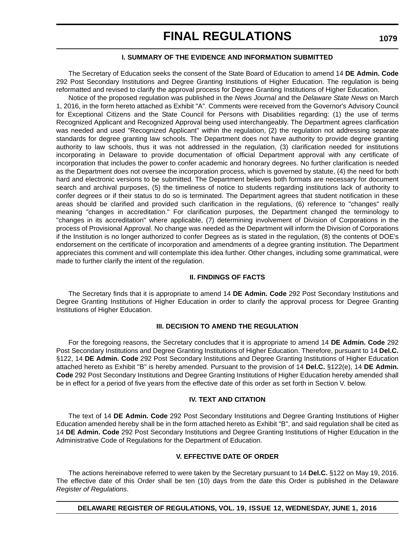The Secretary of Education seeks the consent of the State Board of Education to amend 14 **DE Admin. Code** 292 Post Secondary Institutions and Degree Granting Institutions of Higher Education. The regulation is being reformatted and revised to clarify the approval process for Degree Granting Institutions of Higher Education.

Notice of the proposed regulation was published in the *News Journal* and the *Delaware State News* on March 1, 2016, in the form hereto attached as Exhibit "A". Comments were received from the Governor's Advisory Council for Exceptional Citizens and the State Council for Persons with Disabilities regarding: (1) the use of terms Recognized Applicant and Recognized Approval being used interchangeably. The Department agrees clarification was needed and used "Recognized Applicant" within the regulation, (2) the regulation not addressing separate standards for degree granting law schools. The Department does not have authority to provide degree granting authority to law schools, thus it was not addressed in the regulation, (3) clarification needed for institutions incorporating in Delaware to provide documentation of official Department approval with any certificate of incorporation that includes the power to confer academic and honorary degrees. No further clarification is needed as the Department does not oversee the incorporation process, which is governed by statute, (4) the need for both hard and electronic versions to be submitted. The Department believes both formats are necessary for document search and archival purposes, (5) the timeliness of notice to students regarding institutions lack of authority to confer degrees or if their status to do so is terminated. The Department agrees that student notification in these areas should be clarified and provided such clarification in the regulations, (6) reference to "changes" really meaning "changes in accreditation." For clarification purposes, the Department changed the terminology to "changes in its accreditation" where applicable, (7) determining involvement of Division of Corporations in the process of Provisional Approval. No change was needed as the Department will inform the Division of Corporations if the Institution is no longer authorized to confer Degrees as is stated in the regulation, (8) the contents of DOE's endorsement on the certificate of incorporation and amendments of a degree granting institution. The Department appreciates this comment and will contemplate this idea further. Other changes, including some grammatical, were made to further clarify the intent of the regulation.

## **II. FINDINGS OF FACTS**

The Secretary finds that it is appropriate to amend 14 **DE Admin. Code** 292 Post Secondary Institutions and Degree Granting Institutions of Higher Education in order to clarify the approval process for Degree Granting Institutions of Higher Education.

#### **III. DECISION TO AMEND THE REGULATION**

For the foregoing reasons, the Secretary concludes that it is appropriate to amend 14 **DE Admin. Code** 292 Post Secondary Institutions and Degree Granting Institutions of Higher Education. Therefore, pursuant to 14 **Del.C.** §122, 14 **DE Admin. Code** 292 Post Secondary Institutions and Degree Granting Institutions of Higher Education attached hereto as Exhibit "B" is hereby amended. Pursuant to the provision of 14 **Del.C.** §122(e), 14 **DE Admin. Code** 292 Post Secondary Institutions and Degree Granting Institutions of Higher Education hereby amended shall be in effect for a period of five years from the effective date of this order as set forth in Section V. below.

# **IV. TEXT AND CITATION**

The text of 14 **DE Admin. Code** 292 Post Secondary Institutions and Degree Granting Institutions of Higher Education amended hereby shall be in the form attached hereto as Exhibit "B", and said regulation shall be cited as 14 **DE Admin. Code** 292 Post Secondary Institutions and Degree Granting Institutions of Higher Education in the Administrative Code of Regulations for the Department of Education.

### **V. EFFECTIVE DATE OF ORDER**

The actions hereinabove referred to were taken by the Secretary pursuant to 14 **Del.C.** §122 on May 19, 2016. The effective date of this Order shall be ten (10) days from the date this Order is published in the Delaware *Register of Regulations*.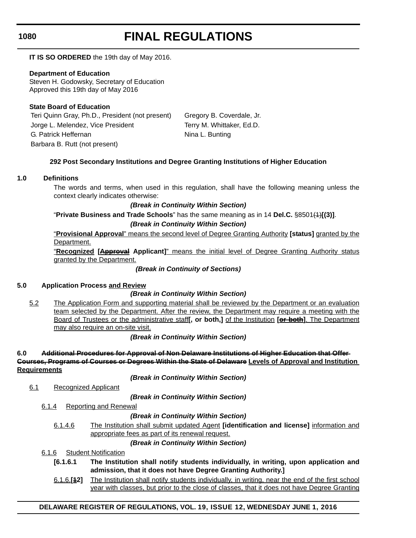# **FINAL REGULATIONS**

**IT IS SO ORDERED** the 19th day of May 2016.

## **Department of Education**

Steven H. Godowsky, Secretary of Education Approved this 19th day of May 2016

# **State Board of Education**

Teri Quinn Gray, Ph.D., President (not present) Gregory B. Coverdale, Jr. Jorge L. Melendez, Vice President Terry M. Whittaker, Ed.D. G. Patrick Heffernan Nina L. Bunting Barbara B. Rutt (not present)

# **292 Post Secondary Institutions and Degree Granting Institutions of Higher Education**

### **1.0 Definitions**

The words and terms, when used in this regulation, shall have the following meaning unless the context clearly indicates otherwise:

### *(Break in Continuity Within Section)*

# "**Private Business and Trade Schools**" has the same meaning as in 14 **Del.C.** §8501(1)**[(3)]**.

# *(Break in Continuity Within Section)*

"**Provisional Approval**" means the second level of Degree Granting Authority **[status]** granted by the Department.

"**Recognized [Approval Applicant]**" means the initial level of Degree Granting Authority status granted by the Department.

## *(Break in Continuity of Sections)*

# **5.0 Application Process and Review**

# *(Break in Continuity Within Section)*

5.2 The Application Form and supporting material shall be reviewed by the Department or an evaluation team selected by the Department. After the review, the Department may require a meeting with the Board of Trustees or the administrative staff**[, or both,]** of the Institution **[or both]**. The Department may also require an on-site visit.

*(Break in Continuity Within Section)*

**6.0 Additional Procedures for Approval of Non Delaware Institutions of Higher Education that Offer Courses, Programs of Courses or Degrees Within the State of Delaware Levels of Approval and Institution Requirements**

*(Break in Continuity Within Section)*

6.1 Recognized Applicant

*(Break in Continuity Within Section)*

6.1.4 Reporting and Renewal

*(Break in Continuity Within Section)*

6.1.4.6 The Institution shall submit updated Agent **[identification and license]** information and appropriate fees as part of its renewal request.

#### *(Break in Continuity Within Section)*

- 6.1.6 Student Notification
	- **[6.1.6.1 The Institution shall notify students individually, in writing, upon application and admission, that it does not have Degree Granting Authority.]**
	- 6.1.6.**[12]** The Institution shall notify students individually, in writing, near the end of the first school year with classes, but prior to the close of classes, that it does not have Degree Granting

# **DELAWARE REGISTER OF REGULATIONS, VOL. 19, ISSUE 12, WEDNESDAY JUNE 1, 2016**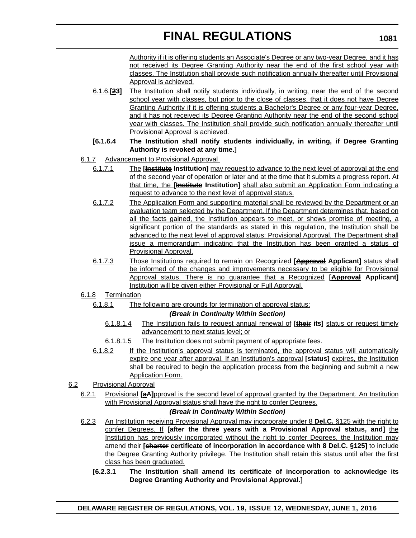Authority if it is offering students an Associate's Degree or any two-year Degree, and it has not received its Degree Granting Authority near the end of the first school year with classes. The Institution shall provide such notification annually thereafter until Provisional Approval is achieved.

- 6.1.6.**[23]** The Institution shall notify students individually, in writing, near the end of the second school year with classes, but prior to the close of classes, that it does not have Degree Granting Authority if it is offering students a Bachelor's Degree or any four-year Degree, and it has not received its Degree Granting Authority near the end of the second school year with classes. The Institution shall provide such notification annually thereafter until Provisional Approval is achieved.
- **[6.1.6.4 The Institution shall notify students individually, in writing, if Degree Granting Authority is revoked at any time.]**
- 6.1.7 Advancement to Provisional Approval
	- 6.1.7.1 The **[Institute Institution]** may request to advance to the next level of approval at the end of the second year of operation or later and at the time that it submits a progress report. At that time, the **[Institute Institution]** shall also submit an Application Form indicating a request to advance to the next level of approval status.
	- 6.1.7.2 The Application Form and supporting material shall be reviewed by the Department or an evaluation team selected by the Department. If the Department determines that, based on all the facts gained, the Institution appears to meet, or shows promise of meeting, a significant portion of the standards as stated in this regulation, the Institution shall be advanced to the next level of approval status: Provisional Approval. The Department shall issue a memorandum indicating that the Institution has been granted a status of Provisional Approval.
	- 6.1.7.3 Those Institutions required to remain on Recognized **[Approval Applicant]** status shall be informed of the changes and improvements necessary to be eligible for Provisional Approval status. There is no guarantee that a Recognized **[Approval Applicant]** Institution will be given either Provisional or Full Approval.
- 6.1.8 Termination
	- 6.1.8.1 The following are grounds for termination of approval status:

# *(Break in Continuity Within Section)*

- 6.1.8.1.4 The Institution fails to request annual renewal of **[their its]** status or request timely advancement to next status level; or
- 6.1.8.1.5 The Institution does not submit payment of appropriate fees.
- 6.1.8.2 If the Institution's approval status is terminated, the approval status will automatically expire one year after approval. If an Institution's approval **[status]** expires, the Institution shall be required to begin the application process from the beginning and submit a new Application Form.

# 6.2 Provisional Approval

6.2.1 Provisional **[aA]**pproval is the second level of approval granted by the Department. An Institution with Provisional Approval status shall have the right to confer Degrees.

# *(Break in Continuity Within Section)*

- 6.2.3 An Institution receiving Provisional Approval may incorporate under 8 **Del.C.** §125 with the right to confer Degrees. If **[after the three years with a Provisional Approval status, and]** the Institution has previously incorporated without the right to confer Degrees, the Institution may amend their **[charter certificate of incorporation in accordance with 8 Del.C. §125]** to include the Degree Granting Authority privilege. The Institution shall retain this status until after the first class has been graduated.
	- **[6.2.3.1 The Institution shall amend its certificate of incorporation to acknowledge its Degree Granting Authority and Provisional Approval.]**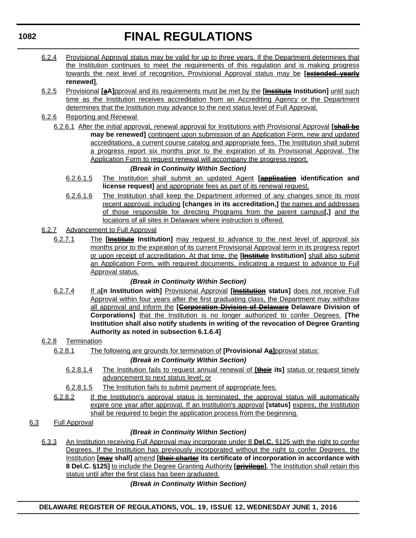- 6.2.4 Provisional Approval status may be valid for up to three years. If the Department determines that the Institution continues to meet the requirements of this regulation and is making progress towards the next level of recognition, Provisional Approval status may be **[extended yearly renewed]**.
- 6.2.5 Provisional **[aA]**pproval and its requirements must be met by the **[Institute Institution]** until such time as the Institution receives accreditation from an Accrediting Agency or the Department determines that the Institution may advance to the next status level of Full Approval.
- 6.2.6 Reporting and Renewal
	- 6.2.6.1 After the initial approval, renewal approval for Institutions with Provisional Approval **[shall be may be renewed]** contingent upon submission of an Application Form, new and updated accreditations, a current course catalog and appropriate fees. The Institution shall submit a progress report six months prior to the expiration of its Provisional Approval. The Application Form to request renewal will accompany the progress report.

# *(Break in Continuity Within Section)*

- 6.2.6.1.5 The Institution shall submit an updated Agent **[application identification and license request]** and appropriate fees as part of its renewal request.
- 6.2.6.1.6 The Institution shall keep the Department informed of any changes since its most recent approval, including **[changes in its accreditation,]** the names and addresses of those responsible for directing Programs from the parent campus**[,]** and the locations of all sites in Delaware where instruction is offered.
- 6.2.7 Advancement to Full Approval
	- 6.2.7.1 The **[Institute Institution]** may request to advance to the next level of approval six months prior to the expiration of its current Provisional Approval term in its progress report or upon receipt of accreditation. At that time, the **[Institute Institution]** shall also submit an Application Form, with required documents, indicating a request to advance to Full Approval status.

# *(Break in Continuity Within Section)*

6.2.7.4 If a**[n Institution with]** Provisional Approval **[Institution status]** does not receive Full Approval within four years after the first graduating class, the Department may withdraw all approval and inform the **[Corporation Division of Delaware Delaware Division of Corporations]** that the Institution is no longer authorized to confer Degrees. **[The Institution shall also notify students in writing of the revocation of Degree Granting Authority as noted in subsection 6.1.6.4]**

# 6.2.8 Termination

6.2.8.1 The following are grounds for termination of **[Provisional Aa]**pproval status:

# *(Break in Continuity Within Section)*

- 6.2.8.1.4 The Institution fails to request annual renewal of **[their its]** status or request timely advancement to next status level; or
- 6.2.8.1.5 The Institution fails to submit payment of appropriate fees.
- 6.2.8.2 If the Institution's approval status is terminated, the approval status will automatically expire one year after approval. If an Institution's approval **[status]** expires, the Institution shall be required to begin the application process from the beginning.

# 6.3 Full Approval

# *(Break in Continuity Within Section)*

6.3.3 An Institution receiving Full Approval may incorporate under 8 **Del.C.** §125 with the right to confer Degrees. If the Institution has previously incorporated without the right to confer Degrees, the Institution **[may shall]** amend **[their charter its certificate of incorporation in accordance with 8 Del.C. §125]** to include the Degree Granting Authority **[privilege]**. The Institution shall retain this status until after the first class has been graduated.

*(Break in Continuity Within Section)*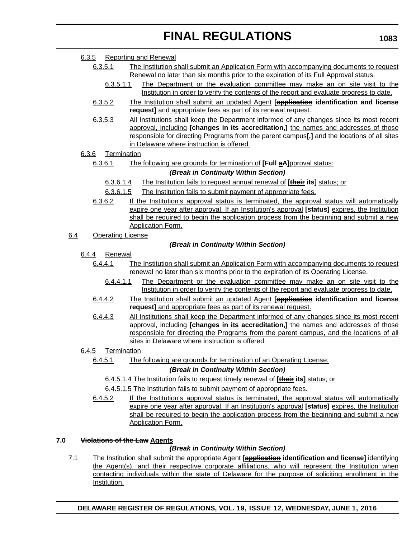## 6.3.5 Reporting and Renewal

- 6.3.5.1 The Institution shall submit an Application Form with accompanying documents to request Renewal no later than six months prior to the expiration of its Full Approval status.
	- 6.3.5.1.1 The Department or the evaluation committee may make an on site visit to the Institution in order to verify the contents of the report and evaluate progress to date.
- 6.3.5.2 The Institution shall submit an updated Agent **[application identification and license request]** and appropriate fees as part of its renewal request.
- 6.3.5.3 All Institutions shall keep the Department informed of any changes since its most recent approval, including **[changes in its accreditation,]** the names and addresses of those responsible for directing Programs from the parent campus**[,]** and the locations of all sites in Delaware where instruction is offered.

### 6.3.6 Termination

6.3.6.1 The following are grounds for termination of **[Full aA]**pproval status:

### *(Break in Continuity Within Section)*

- 6.3.6.1.4 The Institution fails to request annual renewal of **[their its]** status; or
- 6.3.6.1.5 The Institution fails to submit payment of appropriate fees.
- 6.3.6.2 If the Institution's approval status is terminated, the approval status will automatically expire one year after approval. If an Institution's approval **[status]** expires, the Institution shall be required to begin the application process from the beginning and submit a new Application Form.
- 6.4 Operating License

### *(Break in Continuity Within Section)*

#### 6.4.4 Renewal

- 6.4.4.1 The Institution shall submit an Application Form with accompanying documents to request renewal no later than six months prior to the expiration of its Operating License.
	- 6.4.4.1.1 The Department or the evaluation committee may make an on site visit to the Institution in order to verify the contents of the report and evaluate progress to date.
- 6.4.4.2 The Institution shall submit an updated Agent **[application identification and license request]** and appropriate fees as part of its renewal request.
- 6.4.4.3 All Institutions shall keep the Department informed of any changes since its most recent approval, including **[changes in its accreditation,]** the names and addresses of those responsible for directing the Programs from the parent campus, and the locations of all sites in Delaware where instruction is offered.

# 6.4.5 Termination

6.4.5.1 The following are grounds for termination of an Operating License:

#### *(Break in Continuity Within Section)*

- 6.4.5.1.4 The Institution fails to request timely renewal of **[their its]** status; or
- 6.4.5.1.5 The Institution fails to submit payment of appropriate fees.
- 6.4.5.2 If the Institution's approval status is terminated, the approval status will automatically expire one year after approval. If an Institution's approval **[status]** expires, the Institution shall be required to begin the application process from the beginning and submit a new Application Form.

# **7.0 Violations of the Law Agents**

# *(Break in Continuity Within Section)*

7.1 The Institution shall submit the appropriate Agent **[application identification and license]** identifying the Agent(s), and their respective corporate affiliations, who will represent the Institution when contacting individuals within the state of Delaware for the purpose of soliciting enrollment in the Institution.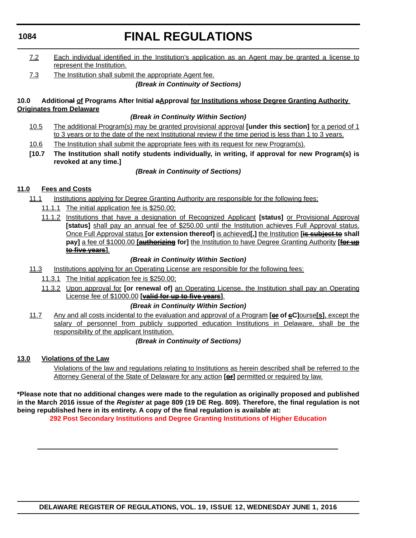# **FINAL REGULATIONS**

- 7.2 Each individual identified in the Institution's application as an Agent may be granted a license to represent the Institution.
- 7.3 The Institution shall submit the appropriate Agent fee.

# *(Break in Continuity of Sections)*

**10.0 Additional of Programs After Initial aApproval for Institutions whose Degree Granting Authority Originates from Delaware**

# *(Break in Continuity Within Section)*

- 10.5 The additional Program(s) may be granted provisional approval **[under this section]** for a period of 1 to 3 years or to the date of the next Institutional review if the time period is less than 1 to 3 years.
- 10.6 The Institution shall submit the appropriate fees with its request for new Program(s).
- **[10.7 The Institution shall notify students individually, in writing, if approval for new Program(s) is revoked at any time.]**

# *(Break in Continuity of Sections)*

# **11.0 Fees and Costs**

- 11.1 Institutions applying for Degree Granting Authority are responsible for the following fees:
	- 11.1.1 The initial application fee is \$250.00;
	- 11.1.2 Institutions that have a designation of Recognized Applicant **[status]** or Provisional Approval **[status]** shall pay an annual fee of \$250.00 until the Institution achieves Full Approval status. Once Full Approval status **[or extension thereof]** is achieved**[,]** the Institution **[is subject to shall pay]** a fee of \$1000.00 **[authorizing for]** the Institution to have Degree Granting Authority **[for up to five years]**.

# *(Break in Continuity Within Section)*

- 11.3 Institutions applying for an Operating License are responsible for the following fees:
	- 11.3.1 The Initial application fee is \$250.00;
	- 11.3.2 Upon approval for **[or renewal of]** an Operating License, the Institution shall pay an Operating License fee of \$1000.00 **[valid for up to five years]**.

# *(Break in Continuity Within Section)*

11.7 Any and all costs incidental to the evaluation and approval of a Program **[or of cC]**ourse**[s]**, except the salary of personnel from publicly supported education Institutions in Delaware, shall be the responsibility of the applicant Institution.

# *(Break in Continuity of Sections)*

# **13.0 Violations of the Law**

Violations of the law and regulations relating to Institutions as herein described shall be referred to the Attorney General of the State of Delaware for any action **[or]** permitted or required by law.

**\*Please note that no additional changes were made to the regulation as originally proposed and published in the March 2016 issue of the** *Register* **at page 809 (19 DE Reg. 809). Therefore, the final regulation is not being republished here in its entirety. A copy of the final regulation is available at:**

**[292 Post Secondary Institutions and Degree Granting Institutions of Higher Education](http://regulations.delaware.gov/register/june2016/final/19 DE Reg 1078 06-01-16.htm)**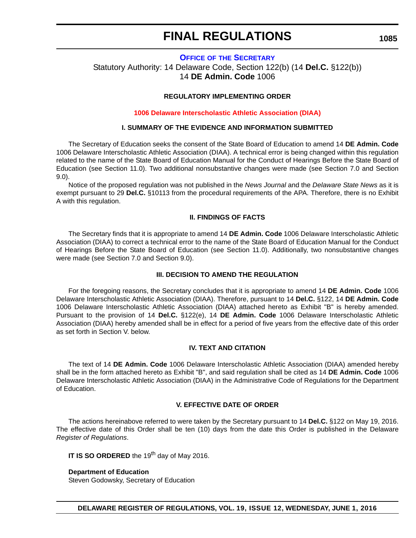# **OFFICE OF [THE SECRETARY](https://pubapps.doe.k12.de.us/EducationalDirectoryPublic/pages/DDOE/Branches.aspx?page=branches&BID=1)** Statutory Authority: 14 Delaware Code, Section 122(b) (14 **Del.C.** §122(b)) 14 **DE Admin. Code** 1006

### **REGULATORY IMPLEMENTING ORDER**

#### **[1006 Delaware Interscholastic Athletic Association \(DIAA\)](#page-4-0)**

#### **I. SUMMARY OF THE EVIDENCE AND INFORMATION SUBMITTED**

The Secretary of Education seeks the consent of the State Board of Education to amend 14 **DE Admin. Code** 1006 Delaware Interscholastic Athletic Association (DIAA). A technical error is being changed within this regulation related to the name of the State Board of Education Manual for the Conduct of Hearings Before the State Board of Education (see Section 11.0). Two additional nonsubstantive changes were made (see Section 7.0 and Section 9.0).

Notice of the proposed regulation was not published in the *News Journal* and the *Delaware State News* as it is exempt pursuant to 29 **Del.C.** §10113 from the procedural requirements of the APA. Therefore, there is no Exhibit A with this regulation.

#### **II. FINDINGS OF FACTS**

The Secretary finds that it is appropriate to amend 14 **DE Admin. Code** 1006 Delaware Interscholastic Athletic Association (DIAA) to correct a technical error to the name of the State Board of Education Manual for the Conduct of Hearings Before the State Board of Education (see Section 11.0). Additionally, two nonsubstantive changes were made (see Section 7.0 and Section 9.0).

#### **III. DECISION TO AMEND THE REGULATION**

For the foregoing reasons, the Secretary concludes that it is appropriate to amend 14 **DE Admin. Code** 1006 Delaware Interscholastic Athletic Association (DIAA). Therefore, pursuant to 14 **Del.C.** §122, 14 **DE Admin. Code** 1006 Delaware Interscholastic Athletic Association (DIAA) attached hereto as Exhibit "B" is hereby amended. Pursuant to the provision of 14 **Del.C.** §122(e), 14 **DE Admin. Code** 1006 Delaware Interscholastic Athletic Association (DIAA) hereby amended shall be in effect for a period of five years from the effective date of this order as set forth in Section V. below.

#### **IV. TEXT AND CITATION**

The text of 14 **DE Admin. Code** 1006 Delaware Interscholastic Athletic Association (DIAA) amended hereby shall be in the form attached hereto as Exhibit "B", and said regulation shall be cited as 14 **DE Admin. Code** 1006 Delaware Interscholastic Athletic Association (DIAA) in the Administrative Code of Regulations for the Department of Education.

### **V. EFFECTIVE DATE OF ORDER**

The actions hereinabove referred to were taken by the Secretary pursuant to 14 **Del.C.** §122 on May 19, 2016. The effective date of this Order shall be ten (10) days from the date this Order is published in the Delaware *Register of Regulations*.

**IT IS SO ORDERED** the 19<sup>th</sup> day of May 2016.

**Department of Education**

Steven Godowsky, Secretary of Education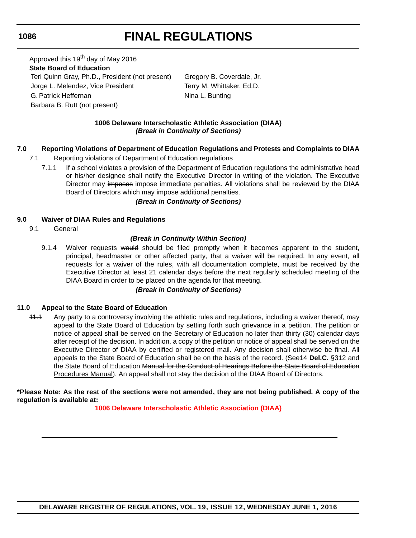Approved this 19<sup>th</sup> day of May 2016 **State Board of Education** Teri Quinn Gray, Ph.D., President (not present) Gregory B. Coverdale, Jr. Jorge L. Melendez, Vice President Terry M. Whittaker, Ed.D. G. Patrick Heffernan Nina L. Bunting Barbara B. Rutt (not present)

# **1006 Delaware Interscholastic Athletic Association (DIAA)** *(Break in Continuity of Sections)*

# **7.0 Reporting Violations of Department of Education Regulations and Protests and Complaints to DIAA**

- 7.1 Reporting violations of Department of Education regulations
	- 7.1.1 If a school violates a provision of the Department of Education regulations the administrative head or his/her designee shall notify the Executive Director in writing of the violation. The Executive Director may imposes impose immediate penalties. All violations shall be reviewed by the DIAA Board of Directors which may impose additional penalties.

## *(Break in Continuity of Sections)*

# **9.0 Waiver of DIAA Rules and Regulations**

9.1 General

# *(Break in Continuity Within Section)*

9.1.4 Waiver requests would should be filed promptly when it becomes apparent to the student, principal, headmaster or other affected party, that a waiver will be required. In any event, all requests for a waiver of the rules, with all documentation complete, must be received by the Executive Director at least 21 calendar days before the next regularly scheduled meeting of the DIAA Board in order to be placed on the agenda for that meeting.

# *(Break in Continuity of Sections)*

# **11.0 Appeal to the State Board of Education**

11.1 Any party to a controversy involving the athletic rules and regulations, including a waiver thereof, may appeal to the State Board of Education by setting forth such grievance in a petition. The petition or notice of appeal shall be served on the Secretary of Education no later than thirty (30) calendar days after receipt of the decision. In addition, a copy of the petition or notice of appeal shall be served on the Executive Director of DIAA by certified or registered mail. Any decision shall otherwise be final. All appeals to the State Board of Education shall be on the basis of the record. (See14 **Del.C.** §312 and the State Board of Education Manual for the Conduct of Hearings Before the State Board of Education Procedures Manual). An appeal shall not stay the decision of the DIAA Board of Directors.

**\*Please Note: As the rest of the sections were not amended, they are not being published. A copy of the regulation is available at:**

**[1006 Delaware Interscholastic Athletic Association \(DIAA\)](http://regulations.delaware.gov/register/june2016/final/19 DE Reg 1085 06-01-16.htm)**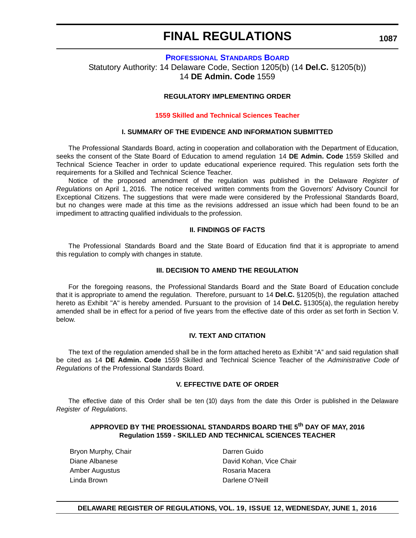**[PROFESSIONAL STANDARDS BOARD](https://pubapps.doe.k12.de.us/EducationalDirectoryPublic/pages/DDOE/WorkGroupStaff.aspx?page=branches&WGID=75&BID=1)**

Statutory Authority: 14 Delaware Code, Section 1205(b) (14 **Del.C.** §1205(b)) 14 **DE Admin. Code** 1559

#### **REGULATORY IMPLEMENTING ORDER**

#### **[1559 Skilled and Technical Sciences Teacher](#page-4-0)**

#### **I. SUMMARY OF THE EVIDENCE AND INFORMATION SUBMITTED**

The Professional Standards Board, acting in cooperation and collaboration with the Department of Education, seeks the consent of the State Board of Education to amend regulation 14 **DE Admin. Code** 1559 Skilled and Technical Science Teacher in order to update educational experience required. This regulation sets forth the requirements for a Skilled and Technical Science Teacher.

Notice of the proposed amendment of the regulation was published in the Delaware *Register of Regulations* on April 1, 2016. The notice received written comments from the Governors' Advisory Council for Exceptional Citizens. The suggestions that were made were considered by the Professional Standards Board, but no changes were made at this time as the revisions addressed an issue which had been found to be an impediment to attracting qualified individuals to the profession.

#### **II. FINDINGS OF FACTS**

The Professional Standards Board and the State Board of Education find that it is appropriate to amend this regulation to comply with changes in statute.

#### **III. DECISION TO AMEND THE REGULATION**

For the foregoing reasons, the Professional Standards Board and the State Board of Education conclude that it is appropriate to amend the regulation. Therefore, pursuant to 14 **Del.C.** §1205(b), the regulation attached hereto as Exhibit "A" is hereby amended. Pursuant to the provision of 14 **Del.C.** §1305(a), the regulation hereby amended shall be in effect for a period of five years from the effective date of this order as set forth in Section V. below.

## **IV. TEXT AND CITATION**

The text of the regulation amended shall be in the form attached hereto as Exhibit "A" and said regulation shall be cited as 14 **DE Admin. Code** 1559 Skilled and Technical Science Teacher of the *Administrative Code of Regulations* of the Professional Standards Board.

## **V. EFFECTIVE DATE OF ORDER**

The effective date of this Order shall be ten (10) days from the date this Order is published in the Delaware *Register of Regulations*.

# **APPROVED BY THE PROESSIONAL STANDARDS BOARD THE 5th DAY OF MAY, 2016 Regulation 1559 - SKILLED AND TECHNICAL SCIENCES TEACHER**

Bryon Murphy, Chair **Darren Guido Darren Guido** Amber Augustus **Amber Augustus** Rosaria Macera Linda Brown Darlene O'Neill

Diane Albanese David Kohan, Vice Chair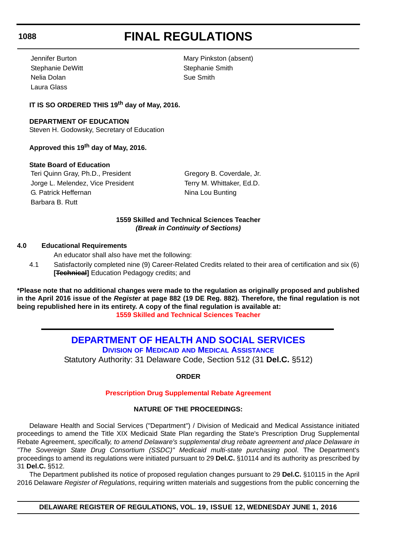# **FINAL REGULATIONS**

Stephanie DeWitt Stephanie Smith Nelia Dolan Sue Smith Laura Glass

Jennifer Burton **Mary Pinkston (absent)** Mary Pinkston (absent)

# **IT IS SO ORDERED THIS 19th day of May, 2016.**

# **DEPARTMENT OF EDUCATION**

Steven H. Godowsky, Secretary of Education

**Approved this 19th day of May, 2016.**

# **State Board of Education**

Teri Quinn Gray, Ph.D., President Gregory B. Coverdale, Jr. Jorge L. Melendez, Vice President Terry M. Whittaker, Ed.D. G. Patrick Heffernan Nina Lou Bunting Barbara B. Rutt

# **1559 Skilled and Technical Sciences Teacher** *(Break in Continuity of Sections)*

# **4.0 Educational Requirements**

An educator shall also have met the following:

4.1 Satisfactorily completed nine (9) Career-Related Credits related to their area of certification and six (6) **[Technical]** Education Pedagogy credits; and

**\*Please note that no additional changes were made to the regulation as originally proposed and published in the April 2016 issue of the** *Register* **at page 882 (19 DE Reg. 882). Therefore, the final regulation is not being republished here in its entirety. A copy of the final regulation is available at: [1559 Skilled and Technical Sciences Teacher](http://regulations.delaware.gov/register/june2016/final/19 DE Reg 1087 06-01-16.htm)**

> **[DEPARTMENT OF HEALTH AND SOCIAL SERVICES](http://dhss.delaware.gov/dhss/) DIVISION OF MEDICAID [AND MEDICAL ASSISTANCE](http://www.dhss.delaware.gov/dhss/dmma/)** Statutory Authority: 31 Delaware Code, Section 512 (31 **Del.C.** §512)

> > **ORDER**

# **[Prescription Drug Supplemental Rebate Agreement](#page-4-0)**

# **NATURE OF THE PROCEEDINGS:**

Delaware Health and Social Services ("Department") / Division of Medicaid and Medical Assistance initiated proceedings to amend the Title XIX Medicaid State Plan regarding the State's Prescription Drug Supplemental Rebate Agreement, *specifically, to amend Delaware's supplemental drug rebate agreement and place Delaware in "The Sovereign State Drug Consortium (SSDC)" Medicaid multi-state purchasing pool*. The Department's proceedings to amend its regulations were initiated pursuant to 29 **Del.C.** §10114 and its authority as prescribed by 31 **Del.C.** §512.

The Department published its notice of proposed regulation changes pursuant to 29 **Del.C.** §10115 in the April 2016 Delaware *Register of Regulations*, requiring written materials and suggestions from the public concerning the

**DELAWARE REGISTER OF REGULATIONS, VOL. 19, ISSUE 12, WEDNESDAY JUNE 1, 2016**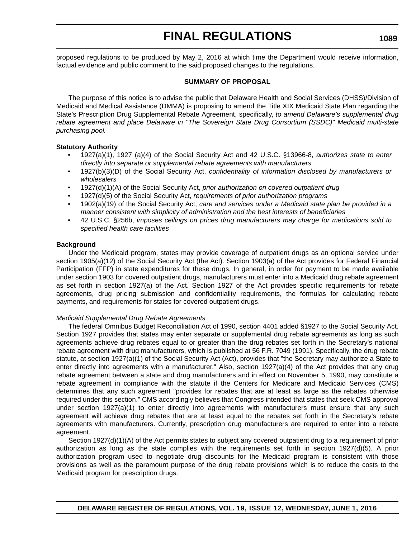proposed regulations to be produced by May 2, 2016 at which time the Department would receive information, factual evidence and public comment to the said proposed changes to the regulations.

#### **SUMMARY OF PROPOSAL**

The purpose of this notice is to advise the public that Delaware Health and Social Services (DHSS)/Division of Medicaid and Medical Assistance (DMMA) is proposing to amend the Title XIX Medicaid State Plan regarding the State's Prescription Drug Supplemental Rebate Agreement, specifically, *to amend Delaware's supplemental drug rebate agreement and place Delaware in "The Sovereign State Drug Consortium (SSDC)" Medicaid multi-state purchasing pool.*

#### **Statutory Authority**

- 1927(a)(1), 1927 (a)(4) of the Social Security Act and 42 U.S.C. §13966-8, *authorizes state to enter directly into separate or supplemental rebate agreements with manufacturers*
- 1927(b)(3)(D) of the Social Security Act, *confidentiality of information disclosed by manufacturers or wholesalers*
- 1927(d)(1)(A) of the Social Security Act, *prior authorization on covered outpatient drug*
- 1927(d)(5) of the Social Security Act, *requirements of prior authorization programs*
- 1902(a)(19) of the Social Security Act, *care and services under a Medicaid state plan be provided in a manner consistent with simplicity of administration and the best interests of beneficiaries*
- 42 U.S.C. §256b, *imposes ceilings on prices drug manufacturers may charge for medications sold to specified health care facilities*

#### **Background**

Under the Medicaid program, states may provide coverage of outpatient drugs as an optional service under section 1905(a)(12) of the Social Security Act (the Act). Section 1903(a) of the Act provides for Federal Financial Participation (FFP) in state expenditures for these drugs. In general, in order for payment to be made available under section 1903 for covered outpatient drugs, manufacturers must enter into a Medicaid drug rebate agreement as set forth in section 1927(a) of the Act. Section 1927 of the Act provides specific requirements for rebate agreements, drug pricing submission and confidentiality requirements, the formulas for calculating rebate payments, and requirements for states for covered outpatient drugs.

#### *Medicaid Supplemental Drug Rebate Agreements*

The federal Omnibus Budget Reconciliation Act of 1990, section 4401 added §1927 to the Social Security Act. Section 1927 provides that states may enter separate or supplemental drug rebate agreements as long as such agreements achieve drug rebates equal to or greater than the drug rebates set forth in the Secretary's national rebate agreement with drug manufacturers, which is published at 56 F.R. 7049 (1991). Specifically, the drug rebate statute, at section 1927(a)(1) of the Social Security Act (Act), provides that "the Secretary may authorize a State to enter directly into agreements with a manufacturer." Also, section 1927(a)(4) of the Act provides that any drug rebate agreement between a state and drug manufacturers and in effect on November 5, 1990, may constitute a rebate agreement in compliance with the statute if the Centers for Medicare and Medicaid Services (CMS) determines that any such agreement "provides for rebates that are at least as large as the rebates otherwise required under this section." CMS accordingly believes that Congress intended that states that seek CMS approval under section 1927(a)(1) to enter directly into agreements with manufacturers must ensure that any such agreement will achieve drug rebates that are at least equal to the rebates set forth in the Secretary's rebate agreements with manufacturers. Currently, prescription drug manufacturers are required to enter into a rebate agreement.

Section 1927(d)(1)(A) of the Act permits states to subject any covered outpatient drug to a requirement of prior authorization as long as the state complies with the requirements set forth in section 1927(d)(5). A prior authorization program used to negotiate drug discounts for the Medicaid program is consistent with those provisions as well as the paramount purpose of the drug rebate provisions which is to reduce the costs to the Medicaid program for prescription drugs.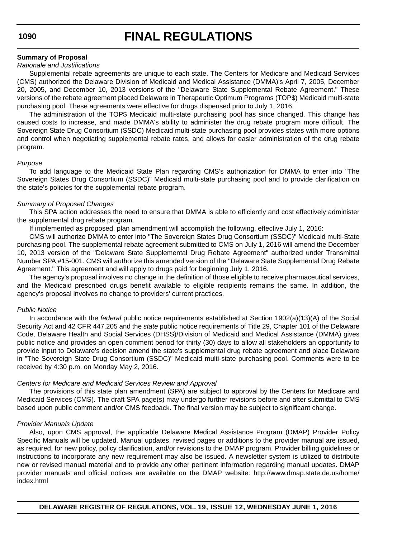#### **Summary of Proposal**

#### *Rationale and Justifications*

Supplemental rebate agreements are unique to each state. The Centers for Medicare and Medicaid Services (CMS) authorized the Delaware Division of Medicaid and Medical Assistance (DMMA)'s April 7, 2005, December 20, 2005, and December 10, 2013 versions of the "Delaware State Supplemental Rebate Agreement." These versions of the rebate agreement placed Delaware in Therapeutic Optimum Programs (TOP\$) Medicaid multi-state purchasing pool. These agreements were effective for drugs dispensed prior to July 1, 2016.

The administration of the TOP\$ Medicaid multi-state purchasing pool has since changed. This change has caused costs to increase, and made DMMA's ability to administer the drug rebate program more difficult. The Sovereign State Drug Consortium (SSDC) Medicaid multi-state purchasing pool provides states with more options and control when negotiating supplemental rebate rates, and allows for easier administration of the drug rebate program.

#### *Purpose*

To add language to the Medicaid State Plan regarding CMS's authorization for DMMA to enter into "The Sovereign States Drug Consortium (SSDC)" Medicaid multi-state purchasing pool and to provide clarification on the state's policies for the supplemental rebate program.

#### *Summary of Proposed Changes*

This SPA action addresses the need to ensure that DMMA is able to efficiently and cost effectively administer the supplemental drug rebate program.

If implemented as proposed, plan amendment will accomplish the following, effective July 1, 2016:

CMS will authorize DMMA to enter into "The Sovereign States Drug Consortium (SSDC)" Medicaid multi-State purchasing pool. The supplemental rebate agreement submitted to CMS on July 1, 2016 will amend the December 10, 2013 version of the "Delaware State Supplemental Drug Rebate Agreement" authorized under Transmittal Number SPA #15-001. CMS will authorize this amended version of the "Delaware State Supplemental Drug Rebate Agreement." This agreement and will apply to drugs paid for beginning July 1, 2016.

The agency's proposal involves no change in the definition of those eligible to receive pharmaceutical services, and the Medicaid prescribed drugs benefit available to eligible recipients remains the same. In addition, the agency's proposal involves no change to providers' current practices.

#### *Public Notice*

In accordance with the *federal* public notice requirements established at Section 1902(a)(13)(A) of the Social Security Act and 42 CFR 447.205 and the *state* public notice requirements of Title 29, Chapter 101 of the Delaware Code, Delaware Health and Social Services (DHSS)/Division of Medicaid and Medical Assistance (DMMA) gives public notice and provides an open comment period for thirty (30) days to allow all stakeholders an opportunity to provide input to Delaware's decision amend the state's supplemental drug rebate agreement and place Delaware in "The Sovereign State Drug Consortium (SSDC)" Medicaid multi-state purchasing pool. Comments were to be received by 4:30 p.m. on Monday May 2, 2016.

#### *Centers for Medicare and Medicaid Services Review and Approval*

The provisions of this state plan amendment (SPA) are subject to approval by the Centers for Medicare and Medicaid Services (CMS). The draft SPA page(s) may undergo further revisions before and after submittal to CMS based upon public comment and/or CMS feedback. The final version may be subject to significant change.

#### *Provider Manuals Update*

Also, upon CMS approval, the applicable Delaware Medical Assistance Program (DMAP) Provider Policy Specific Manuals will be updated. Manual updates, revised pages or additions to the provider manual are issued, as required, for new policy, policy clarification, and/or revisions to the DMAP program. Provider billing guidelines or instructions to incorporate any new requirement may also be issued. A newsletter system is utilized to distribute new or revised manual material and to provide any other pertinent information regarding manual updates. DMAP provider manuals and official notices are available on the DMAP website: http://www.dmap.state.de.us/home/ index.html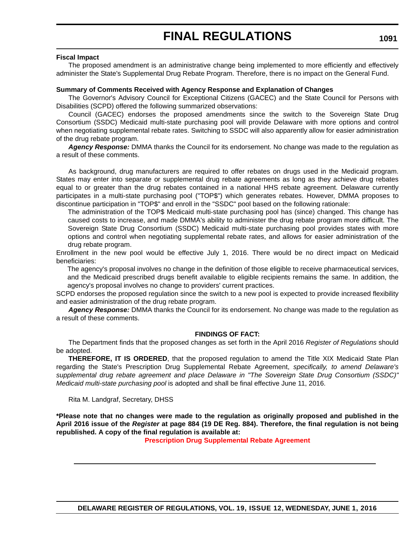#### **Fiscal Impact**

The proposed amendment is an administrative change being implemented to more efficiently and effectively administer the State's Supplemental Drug Rebate Program. Therefore, there is no impact on the General Fund.

#### **Summary of Comments Received with Agency Response and Explanation of Changes**

The Governor's Advisory Council for Exceptional Citizens (GACEC) and the State Council for Persons with Disabilities (SCPD) offered the following summarized observations:

Council (GACEC) endorses the proposed amendments since the switch to the Sovereign State Drug Consortium (SSDC) Medicaid multi-state purchasing pool will provide Delaware with more options and control when negotiating supplemental rebate rates. Switching to SSDC will also apparently allow for easier administration of the drug rebate program.

*Agency Response:* DMMA thanks the Council for its endorsement. No change was made to the regulation as a result of these comments.

As background, drug manufacturers are required to offer rebates on drugs used in the Medicaid program. States may enter into separate or supplemental drug rebate agreements as long as they achieve drug rebates equal to or greater than the drug rebates contained in a national HHS rebate agreement. Delaware currently participates in a multi-state purchasing pool ("TOP\$") which generates rebates. However, DMMA proposes to discontinue participation in "TOP\$" and enroll in the "SSDC" pool based on the following rationale:

The administration of the TOP\$ Medicaid multi-state purchasing pool has (since) changed. This change has caused costs to increase, and made DMMA's ability to administer the drug rebate program more difficult. The Sovereign State Drug Consortium (SSDC) Medicaid multi-state purchasing pool provides states with more options and control when negotiating supplemental rebate rates, and allows for easier administration of the drug rebate program.

Enrollment in the new pool would be effective July 1, 2016. There would be no direct impact on Medicaid beneficiaries:

The agency's proposal involves no change in the definition of those eligible to receive pharmaceutical services, and the Medicaid prescribed drugs benefit available to eligible recipients remains the same. In addition, the agency's proposal involves no change to providers' current practices.

SCPD endorses the proposed regulation since the switch to a new pool is expected to provide increased flexibility and easier administration of the drug rebate program.

*Agency Response:* DMMA thanks the Council for its endorsement. No change was made to the regulation as a result of these comments.

#### **FINDINGS OF FACT:**

The Department finds that the proposed changes as set forth in the April 2016 *Register of Regulations* should be adopted.

**THEREFORE, IT IS ORDERED**, that the proposed regulation to amend the Title XIX Medicaid State Plan regarding the State's Prescription Drug Supplemental Rebate Agreement, *specifically, to amend Delaware's supplemental drug rebate agreement and place Delaware in "The Sovereign State Drug Consortium (SSDC)" Medicaid multi-state purchasing pool* is adopted and shall be final effective June 11, 2016.

Rita M. Landgraf, Secretary, DHSS

**\*Please note that no changes were made to the regulation as originally proposed and published in the April 2016 issue of the** *Register* **at page 884 (19 DE Reg. 884). Therefore, the final regulation is not being republished. A copy of the final regulation is available at:**

**[Prescription Drug Supplemental Rebate Agreement](http://regulations.delaware.gov/register/june2016/final/19 DE Reg 1088 06-01-16.htm)**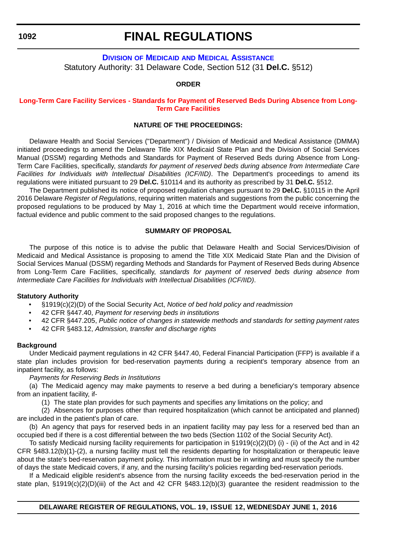# **FINAL REGULATIONS**

# **DIVISION OF MEDICAID [AND MEDICAL ASSISTANCE](http://www.dhss.delaware.gov/dhss/dmma/)** Statutory Authority: 31 Delaware Code, Section 512 (31 **Del.C.** §512)

### **ORDER**

# **[Long-Term Care Facility Services - Standards for Payment of Reserved Beds During Absence from Long-](#page-4-0)Term Care Facilities**

# **NATURE OF THE PROCEEDINGS:**

Delaware Health and Social Services ("Department") / Division of Medicaid and Medical Assistance (DMMA) initiated proceedings to amend the Delaware Title XIX Medicaid State Plan and the Division of Social Services Manual (DSSM) regarding Methods and Standards for Payment of Reserved Beds during Absence from Long-Term Care Facilities, specifically, *standards for payment of reserved beds during absence from Intermediate Care Facilities for Individuals with Intellectual Disabilities (ICF/IID)*. The Department's proceedings to amend its regulations were initiated pursuant to 29 **Del.C.** §10114 and its authority as prescribed by 31 **Del.C.** §512.

The Department published its notice of proposed regulation changes pursuant to 29 **Del.C.** §10115 in the April 2016 Delaware *Register of Regulations*, requiring written materials and suggestions from the public concerning the proposed regulations to be produced by May 1, 2016 at which time the Department would receive information, factual evidence and public comment to the said proposed changes to the regulations.

#### **SUMMARY OF PROPOSAL**

The purpose of this notice is to advise the public that Delaware Health and Social Services/Division of Medicaid and Medical Assistance is proposing to amend the Title XIX Medicaid State Plan and the Division of Social Services Manual (DSSM) regarding Methods and Standards for Payment of Reserved Beds during Absence from Long-Term Care Facilities, specifically, *standards for payment of reserved beds during absence from Intermediate Care Facilities for Individuals with Intellectual Disabilities (ICF/IID)*.

#### **Statutory Authority**

- §1919(c)(2)(D) of the Social Security Act, *Notice of bed hold policy and readmission*
- 42 CFR §447.40, *Payment for reserving beds in institutions*
- 42 CFR §447.205, *Public notice of changes in statewide methods and standards for setting payment rates*
- 42 CFR §483.12, *Admission, transfer and discharge rights*

#### **Background**

Under Medicaid payment regulations in 42 CFR §447.40, Federal Financial Participation (FFP) is available if a state plan includes provision for bed-reservation payments during a recipient's temporary absence from an inpatient facility, as follows:

*Payments for Reserving Beds in Institutions*

(a) The Medicaid agency may make payments to reserve a bed during a beneficiary's temporary absence from an inpatient facility, if-

(1) The state plan provides for such payments and specifies any limitations on the policy; and

(2) Absences for purposes other than required hospitalization (which cannot be anticipated and planned) are included in the patient's plan of care.

(b) An agency that pays for reserved beds in an inpatient facility may pay less for a reserved bed than an occupied bed if there is a cost differential between the two beds (Section 1102 of the Social Security Act).

To satisfy Medicaid nursing facility requirements for participation in §1919(c)(2)(D) (i) - (ii) of the Act and in 42 CFR §483.12(b)(1)-(2), a nursing facility must tell the residents departing for hospitalization or therapeutic leave about the state's bed-reservation payment policy. This information must be in writing and must specify the number of days the state Medicaid covers, if any, and the nursing facility's policies regarding bed-reservation periods.

If a Medicaid eligible resident's absence from the nursing facility exceeds the bed-reservation period in the state plan, §1919(c)(2)(D)(iii) of the Act and 42 CFR §483.12(b)(3) guarantee the resident readmission to the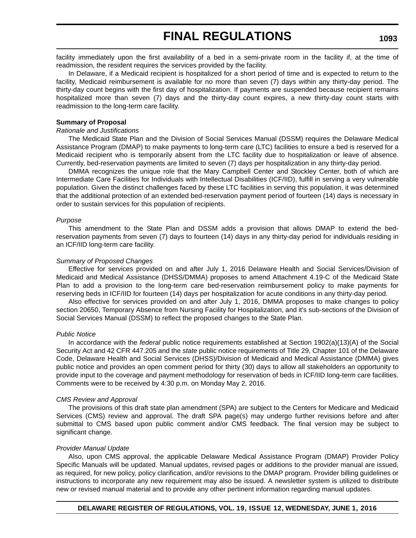facility immediately upon the first availability of a bed in a semi-private room in the facility if, at the time of readmission, the resident requires the services provided by the facility.

In Delaware, if a Medicaid recipient is hospitalized for a short period of time and is expected to return to the facility, Medicaid reimbursement is available for no more than seven (7) days within any thirty-day period. The thirty-day count begins with the first day of hospitalization. If payments are suspended because recipient remains hospitalized more than seven (7) days and the thirty-day count expires, a new thirty-day count starts with readmission to the long-term care facility.

#### **Summary of Proposal**

#### *Rationale and Justifications*

The Medicaid State Plan and the Division of Social Services Manual (DSSM) requires the Delaware Medical Assistance Program (DMAP) to make payments to long-term care (LTC) facilities to ensure a bed is reserved for a Medicaid recipient who is temporarily absent from the LTC facility due to hospitalization or leave of absence. Currently, bed-reservation payments are limited to seven (7) days per hospitalization in any thirty-day period.

DMMA recognizes the unique role that the Mary Campbell Center and Stockley Center, both of which are Intermediate Care Facilities for Individuals with Intellectual Disabilities (ICF/IID), fulfill in serving a very vulnerable population. Given the distinct challenges faced by these LTC facilities in serving this population, it was determined that the additional protection of an extended bed-reservation payment period of fourteen (14) days is necessary in order to sustain services for this population of recipients.

#### *Purpose*

This amendment to the State Plan and DSSM adds a provision that allows DMAP to extend the bedreservation payments from seven (7) days to fourteen (14) days in any thirty-day period for individuals residing in an ICF/IID long-term care facility.

#### *Summary of Proposed Changes*

Effective for services provided on and after July 1, 2016 Delaware Health and Social Services/Division of Medicaid and Medical Assistance (DHSS/DMMA) proposes to amend Attachment 4.19-C of the Medicaid State Plan to add a provision to the long-term care bed-reservation reimbursement policy to make payments for reserving beds in ICF/IID for fourteen (14) days per hospitalization for acute conditions in any thirty-day period.

Also effective for services provided on and after July 1, 2016, DMMA proposes to make changes to policy section 20650, Temporary Absence from Nursing Facility for Hospitalization, and it's sub-sections of the Division of Social Services Manual (DSSM) to reflect the proposed changes to the State Plan.

#### *Public Notice*

In accordance with the *federal* public notice requirements established at Section 1902(a)(13)(A) of the Social Security Act and 42 CFR 447.205 and the *state* public notice requirements of Title 29, Chapter 101 of the Delaware Code, Delaware Health and Social Services (DHSS)/Division of Medicaid and Medical Assistance (DMMA) gives public notice and provides an open comment period for thirty (30) days to allow all stakeholders an opportunity to provide input to the coverage and payment methodology for reservation of beds in ICF/IID long-term care facilities. Comments were to be received by 4:30 p.m. on Monday May 2, 2016.

#### *CMS Review and Approval*

The provisions of this draft state plan amendment (SPA) are subject to the Centers for Medicare and Medicaid Services (CMS) review and approval. The draft SPA page(s) may undergo further revisions before and after submittal to CMS based upon public comment and/or CMS feedback. The final version may be subject to significant change.

#### *Provider Manual Update*

Also, upon CMS approval, the applicable Delaware Medical Assistance Program (DMAP) Provider Policy Specific Manuals will be updated. Manual updates, revised pages or additions to the provider manual are issued, as required, for new policy, policy clarification, and/or revisions to the DMAP program. Provider billing guidelines or instructions to incorporate any new requirement may also be issued. A newsletter system is utilized to distribute new or revised manual material and to provide any other pertinent information regarding manual updates.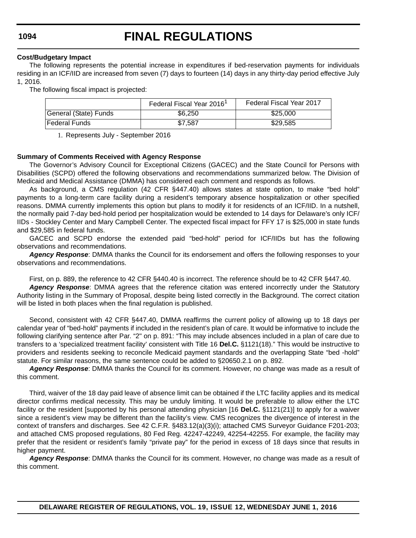# **FINAL REGULATIONS**

#### **Cost/Budgetary Impact**

The following represents the potential increase in expenditures if bed-reservation payments for individuals residing in an ICF/IID are increased from seven (7) days to fourteen (14) days in any thirty-day period effective July 1, 2016.

The following fiscal impact is projected:

|                       | Federal Fiscal Year 2016 | Federal Fiscal Year 2017 |
|-----------------------|--------------------------|--------------------------|
| General (State) Funds | \$6.250                  | \$25,000                 |
| <b>Federal Funds</b>  | \$7.587                  | \$29.585                 |

1. Represents July - September 2016

### **Summary of Comments Received with Agency Response**

The Governor's Advisory Council for Exceptional Citizens (GACEC) and the State Council for Persons with Disabilities (SCPD) offered the following observations and recommendations summarized below. The Division of Medicaid and Medical Assistance (DMMA) has considered each comment and responds as follows.

As background, a CMS regulation (42 CFR §447.40) allows states at state option, to make "bed hold" payments to a long-term care facility during a resident's temporary absence hospitalization or other specified reasons. DMMA currently implements this option but plans to modify it for residencts of an ICF/IID. In a nutshell, the normally paid 7-day bed-hold period per hospitalization would be extended to 14 days for Delaware's only ICF/ IIDs - Stockley Center and Mary Campbell Center. The expected fiscal impact for FFY 17 is \$25,000 in state funds and \$29,585 in federal funds.

GACEC and SCPD endorse the extended paid "bed-hold" period for ICF/IIDs but has the following observations and recommendations.

*Agency Response*: DMMA thanks the Council for its endorsement and offers the following responses to your observations and recommendations.

First, on p. 889, the reference to 42 CFR §440.40 is incorrect. The reference should be to 42 CFR §447.40.

*Agency Response*: DMMA agrees that the reference citation was entered incorrectly under the Statutory Authority listing in the Summary of Proposal, despite being listed correctly in the Background. The correct citation will be listed in both places when the final regulation is published.

Second, consistent with 42 CFR §447.40, DMMA reaffirms the current policy of allowing up to 18 days per calendar year of "bed-hold" payments if included in the resident's plan of care. It would be informative to include the following clarifying sentence after Par. "2" on p. 891: "This may include absences included in a plan of care due to transfers to a 'specialized treatment facility' consistent with Title 16 **Del.C.** §1121(18)." This would be instructive to providers and residents seeking to reconcile Medicaid payment standards and the overlapping State "bed -hold" statute. For similar reasons, the same sentence could be added to §20650.2.1 on p. 892.

*Agency Response*: DMMA thanks the Council for its comment. However, no change was made as a result of this comment.

Third, waiver of the 18 day paid leave of absence limit can be obtained if the LTC facility applies and its medical director confirms medical necessity. This may be unduly limiting. It would be preferable to allow either the LTC facility or the resident [supported by his personal attending physician [16 **Del.C.** §1121(21)] to apply for a waiver since a resident's view may be different than the facility's view. CMS recognizes the divergence of interest in the context of transfers and discharges. See 42 C.F.R. §483.12(a)(3)(i); attached CMS Surveyor Guidance F201-203; and attached CMS proposed regulations, 80 Fed Reg. 42247-42249, 42254-42255. For example, the facility may prefer that the resident or resident's family "private pay" for the period in excess of 18 days since that results in higher payment.

*Agency Response*: DMMA thanks the Council for its comment. However, no change was made as a result of this comment.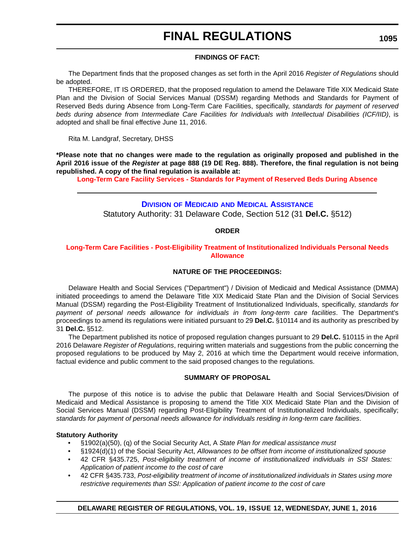### **FINDINGS OF FACT:**

The Department finds that the proposed changes as set forth in the April 2016 *Register of Regulations* should be adopted.

THEREFORE, IT IS ORDERED, that the proposed regulation to amend the Delaware Title XIX Medicaid State Plan and the Division of Social Services Manual (DSSM) regarding Methods and Standards for Payment of Reserved Beds during Absence from Long-Term Care Facilities, specifically, *standards for payment of reserved beds during absence from Intermediate Care Facilities for Individuals with Intellectual Disabilities (ICF/IID)*, is adopted and shall be final effective June 11, 2016.

Rita M. Landgraf, Secretary, DHSS

**\*Please note that no changes were made to the regulation as originally proposed and published in the April 2016 issue of the** *Register* **at page 888 (19 DE Reg. 888). Therefore, the final regulation is not being republished. A copy of the final regulation is available at:**

**[Long-Term Care Facility Services - Standards for Payment of Reserved Beds During Absence](http://regulations.delaware.gov/register/june2016/final/19 DE Reg 1092 06-01-16.htm)**

# **DIVISION OF MEDICAID [AND MEDICAL ASSISTANCE](http://www.dhss.delaware.gov/dhss/dmma/)** Statutory Authority: 31 Delaware Code, Section 512 (31 **Del.C.** §512)

#### **ORDER**

#### **[Long-Term Care Facilities - Post-Eligibility Treatment of Institutionalized Individuals Personal Needs](#page-4-0)  Allowance**

### **NATURE OF THE PROCEEDINGS:**

Delaware Health and Social Services ("Department") / Division of Medicaid and Medical Assistance (DMMA) initiated proceedings to amend the Delaware Title XIX Medicaid State Plan and the Division of Social Services Manual (DSSM) regarding the Post-Eligibility Treatment of Institutionalized Individuals, specifically, *standards for payment of personal needs allowance for individuals in from long-term care facilities*. The Department's proceedings to amend its regulations were initiated pursuant to 29 **Del.C.** §10114 and its authority as prescribed by 31 **Del.C.** §512.

The Department published its notice of proposed regulation changes pursuant to 29 **Del.C.** §10115 in the April 2016 Delaware *Register of Regulations*, requiring written materials and suggestions from the public concerning the proposed regulations to be produced by May 2, 2016 at which time the Department would receive information, factual evidence and public comment to the said proposed changes to the regulations.

#### **SUMMARY OF PROPOSAL**

The purpose of this notice is to advise the public that Delaware Health and Social Services/Division of Medicaid and Medical Assistance is proposing to amend the Title XIX Medicaid State Plan and the Division of Social Services Manual (DSSM) regarding Post-Eligibility Treatment of Institutionalized Individuals, specifically; *standards for payment of personal needs allowance for individuals residing in long-term care facilities*.

#### **Statutory Authority**

- §1902(a)(50), (q) of the Social Security Act, A *State Plan for medical assistance must*
- §1924(d)(1) of the Social Security Act, *Allowances to be offset from income of institutionalized spouse*
- 42 CFR §435.725, *Post-eligibility treatment of income of institutionalized individuals in SSI States: Application of patient income to the cost of care*
- 42 CFR §435.733, *Post-eligibility treatment of income of institutionalized individuals in States using more restrictive requirements than SSI: Application of patient income to the cost of care*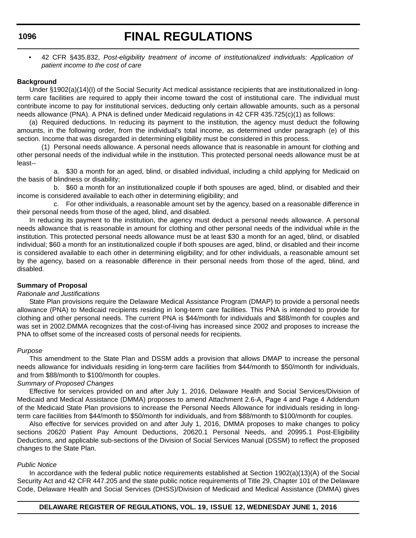# **FINAL REGULATIONS**

• 42 CFR §435.832, *Post-eligibility treatment of income of institutionalized individuals: Application of patient income to the cost of care*

#### **Background**

Under §1902(a)(14)(I) of the Social Security Act medical assistance recipients that are institutionalized in longterm care facilities are required to apply their income toward the cost of institutional care. The individual must contribute income to pay for institutional services, deducting only certain allowable amounts, such as a personal needs allowance (PNA). A PNA is defined under Medicaid regulations in 42 CFR 435.725(c)(1) as follows:

(a) Required deductions. In reducing its payment to the institution, the agency must deduct the following amounts, in the following order, from the individual's total income, as determined under paragraph (e) of this section. Income that was disregarded in determining eligibility must be considered in this process.

(1) Personal needs allowance. A personal needs allowance that is reasonable in amount for clothing and other personal needs of the individual while in the institution. This protected personal needs allowance must be at least--

a. \$30 a month for an aged, blind, or disabled individual, including a child applying for Medicaid on the basis of blindness or disability;

b. \$60 a month for an institutionalized couple if both spouses are aged, blind, or disabled and their income is considered available to each other in determining eligibility; and

c. For other individuals, a reasonable amount set by the agency, based on a reasonable difference in their personal needs from those of the aged, blind, and disabled.

In reducing its payment to the institution, the agency must deduct a personal needs allowance. A personal needs allowance that is reasonable in amount for clothing and other personal needs of the individual while in the institution. This protected personal needs allowance must be at least \$30 a month for an aged, blind, or disabled individual; \$60 a month for an institutionalized couple if both spouses are aged, blind, or disabled and their income is considered available to each other in determining eligibility; and for other individuals, a reasonable amount set by the agency, based on a reasonable difference in their personal needs from those of the aged, blind, and disabled.

#### **Summary of Proposal**

#### *Rationale and Justifications*

State Plan provisions require the Delaware Medical Assistance Program (DMAP) to provide a personal needs allowance (PNA) to Medicaid recipients residing in long-term care facilities. This PNA is intended to provide for clothing and other personal needs. The current PNA is \$44/month for individuals and \$88/month for couples and was set in 2002.DMMA recognizes that the cost-of-living has increased since 2002 and proposes to increase the PNA to offset some of the increased costs of personal needs for recipients.

#### *Purpose*

This amendment to the State Plan and DSSM adds a provision that allows DMAP to increase the personal needs allowance for individuals residing in long-term care facilities from \$44/month to \$50/month for individuals, and from \$88/month to \$100/month for couples.

# *Summary of Proposed Changes*

Effective for services provided on and after July 1, 2016, Delaware Health and Social Services/Division of Medicaid and Medical Assistance (DMMA) proposes to amend Attachment 2.6-A, Page 4 and Page 4 Addendum of the Medicaid State Plan provisions to increase the Personal Needs Allowance for individuals residing in longterm care facilities from \$44/month to \$50/month for individuals, and from \$88/month to \$100/month for couples.

Also effective for services provided on and after July 1, 2016, DMMA proposes to make changes to policy sections 20620 Patient Pay Amount Deductions, 20620.1 Personal Needs, and 20995.1 Post-Eligibility Deductions, and applicable sub-sections of the Division of Social Services Manual (DSSM) to reflect the proposed changes to the State Plan.

#### *Public Notice*

In accordance with the federal public notice requirements established at Section 1902(a)(13)(A) of the Social Security Act and 42 CFR 447.205 and the state public notice requirements of Title 29, Chapter 101 of the Delaware Code, Delaware Health and Social Services (DHSS)/Division of Medicaid and Medical Assistance (DMMA) gives

#### **DELAWARE REGISTER OF REGULATIONS, VOL. 19, ISSUE 12, WEDNESDAY JUNE 1, 2016**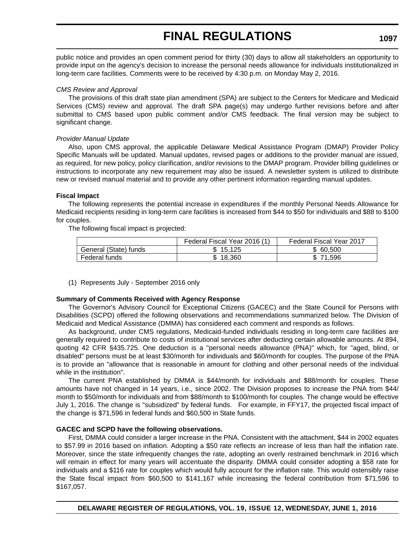public notice and provides an open comment period for thirty (30) days to allow all stakeholders an opportunity to provide input on the agency's decision to increase the personal needs allowance for individuals institutionalized in long-term care facilities. Comments were to be received by 4:30 p.m. on Monday May 2, 2016.

#### *CMS Review and Approval*

The provisions of this draft state plan amendment (SPA) are subject to the Centers for Medicare and Medicaid Services (CMS) review and approval. The draft SPA page(s) may undergo further revisions before and after submittal to CMS based upon public comment and/or CMS feedback. The final version may be subject to significant change.

#### *Provider Manual Update*

Also, upon CMS approval, the applicable Delaware Medical Assistance Program (DMAP) Provider Policy Specific Manuals will be updated. Manual updates, revised pages or additions to the provider manual are issued, as required, for new policy, policy clarification, and/or revisions to the DMAP program. Provider billing guidelines or instructions to incorporate any new requirement may also be issued. A newsletter system is utilized to distribute new or revised manual material and to provide any other pertinent information regarding manual updates.

#### **Fiscal Impact**

The following represents the potential increase in expenditures if the monthly Personal Needs Allowance for Medicaid recipients residing in long-term care facilities is increased from \$44 to \$50 for individuals and \$88 to \$100 for couples.

The following fiscal impact is projected:

|                       | Federal Fiscal Year 2016 (1) | <b>Federal Fiscal Year 2017</b> |
|-----------------------|------------------------------|---------------------------------|
| General (State) funds | \$15.125                     | \$ 60,500                       |
| Federal funds         | 18.360<br>Œ,                 | \$71.596                        |

(1) Represents July - September 2016 only

#### **Summary of Comments Received with Agency Response**

The Governor's Advisory Council for Exceptional Citizens (GACEC) and the State Council for Persons with Disabilities (SCPD) offered the following observations and recommendations summarized below. The Division of Medicaid and Medical Assistance (DMMA) has considered each comment and responds as follows.

As background, under CMS regulations, Medicaid-funded individuals residing in long-term care facilities are generally required to contribute to costs of institutional services after deducting certain allowable amounts. At 894, quoting 42 CFR §435.725. One deduction is a "personal needs allowance (PNA)" which, for "aged, blind, or disabled" persons must be at least \$30/month for individuals and \$60/month for couples. The purpose of the PNA is to provide an "allowance that is reasonable in amount for clothing and other personal needs of the individual while in the institution".

The current PNA established by DMMA is \$44/month for individuals and \$88/month for couples. These amounts have not changed in 14 years, i.e., since 2002. The Division proposes to increase the PNA from \$44/ month to \$50/month for individuals and from \$88/month to \$100/month for couples. The change would be effective July 1, 2016. The change is "subsidized" by federal funds. For example, in FFY17, the projected fiscal impact of the change is \$71,596 in federal funds and \$60,500 in State funds.

#### **GACEC and SCPD have the following observations.**

First, DMMA could consider a larger increase in the PNA. Consistent with the attachment, \$44 in 2002 equates to \$57.99 in 2016 based on inflation. Adopting a \$50 rate reflects an increase of less than half the inflation rate. Moreover, since the state infrequently changes the rate, adopting an overly restrained benchmark in 2016 which will remain in effect for many years will accentuate the disparity. DMMA could consider adopting a \$58 rate for individuals and a \$116 rate for couples which would fully account for the inflation rate. This would ostensibly raise the State fiscal impact from \$60,500 to \$141,167 while increasing the federal contribution from \$71,596 to \$167,057.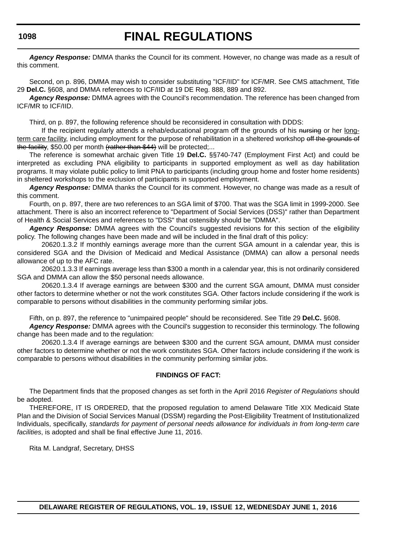# **FINAL REGULATIONS**

*Agency Response:* DMMA thanks the Council for its comment. However, no change was made as a result of this comment.

Second, on p. 896, DMMA may wish to consider substituting "ICF/IID" for ICF/MR. See CMS attachment, Title 29 **Del.C.** §608, and DMMA references to ICF/IID at 19 DE Reg. 888, 889 and 892.

*Agency Response:* DMMA agrees with the Council's recommendation. The reference has been changed from ICF/MR to ICF/IID.

Third, on p. 897, the following reference should be reconsidered in consultation with DDDS:

If the recipient regularly attends a rehab/educational program off the grounds of his nursing or her longterm care facility, including employment for the purpose of rehabilitation in a sheltered workshop off the grounds of the facility, \$50.00 per month (rather than \$44) will be protected:...

The reference is somewhat archaic given Title 19 **Del.C.** §§740-747 (Employment First Act) and could be interpreted as excluding PNA eligibility to participants in supported employment as well as day habilitation programs. It may violate public policy to limit PNA to participants (including group home and foster home residents) in sheltered workshops to the exclusion of participants in supported employment.

*Agency Response:* DMMA thanks the Council for its comment. However, no change was made as a result of this comment.

Fourth, on p. 897, there are two references to an SGA limit of \$700. That was the SGA limit in 1999-2000. See attachment. There is also an incorrect reference to "Department of Social Services (DSS)" rather than Department of Health & Social Services and references to "DSS" that ostensibly should be "DMMA".

*Agency Response:* DMMA agrees with the Council's suggested revisions for this section of the eligibility policy. The following changes have been made and will be included in the final draft of this policy:

20620.1.3.2 If monthly earnings average more than the current SGA amount in a calendar year, this is considered SGA and the Division of Medicaid and Medical Assistance (DMMA) can allow a personal needs allowance of up to the AFC rate.

20620.1.3.3 If earnings average less than \$300 a month in a calendar year, this is not ordinarily considered SGA and DMMA can allow the \$50 personal needs allowance.

20620.1.3.4 If average earnings are between \$300 and the current SGA amount, DMMA must consider other factors to determine whether or not the work constitutes SGA. Other factors include considering if the work is comparable to persons without disabilities in the community performing similar jobs.

Fifth, on p. 897, the reference to "unimpaired people" should be reconsidered. See Title 29 **Del.C.** §608.

*Agency Response:* DMMA agrees with the Council's suggestion to reconsider this terminology. The following change has been made and to the regulation:

20620.1.3.4 If average earnings are between \$300 and the current SGA amount, DMMA must consider other factors to determine whether or not the work constitutes SGA. Other factors include considering if the work is comparable to persons without disabilities in the community performing similar jobs.

#### **FINDINGS OF FACT:**

The Department finds that the proposed changes as set forth in the April 2016 *Register of Regulations* should be adopted.

THEREFORE, IT IS ORDERED, that the proposed regulation to amend Delaware Title XIX Medicaid State Plan and the Division of Social Services Manual (DSSM) regarding the Post-Eligibility Treatment of Institutionalized Individuals, specifically, *standards for payment of personal needs allowance for individuals in from long-term care facilities*, is adopted and shall be final effective June 11, 2016.

Rita M. Landgraf, Secretary, DHSS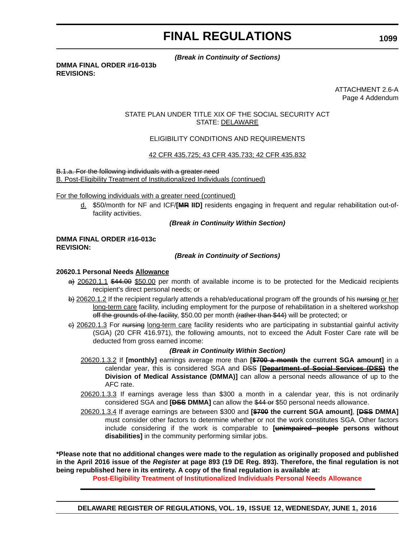#### *(Break in Continuity of Sections)*

**DMMA FINAL ORDER #16-013b REVISIONS:**

> ATTACHMENT 2.6-A Page 4 Addendum

# STATE PLAN UNDER TITLE XIX OF THE SOCIAL SECURITY ACT STATE: DELAWARE

# ELIGIBILITY CONDITIONS AND REQUIREMENTS

### 42 CFR 435.725; 43 CFR 435.733; 42 CFR 435.832

B.1.a. For the following individuals with a greater need B. Post-Eligibility Treatment of Institutionalized Individuals (continued)

For the following individuals with a greater need (continued)

d. \$50/month for NF and ICF/**[MR IID]** residents engaging in frequent and regular rehabilitation out-offacility activities.

### *(Break in Continuity Within Section)*

## **DMMA FINAL ORDER #16-013c REVISION:**

### *(Break in Continuity of Sections)*

## **20620.1 Personal Needs Allowance**

- a) 20620.1.1 \$44.00 \$50.00 per month of available income is to be protected for the Medicaid recipients recipient's direct personal needs; or
- b) 20620.1.2 If the recipient regularly attends a rehab/educational program off the grounds of his nursing or her long-term care facility, including employment for the purpose of rehabilitation in a sheltered workshop off the grounds of the facility, \$50.00 per month (rather than \$44) will be protected; or
- $\epsilon$ ) 20620.1.3 For nursing long-term care facility residents who are participating in substantial gainful activity (SGA) (20 CFR 416.971), the following amounts, not to exceed the Adult Foster Care rate will be deducted from gross earned income:

#### *(Break in Continuity Within Section)*

- 20620.1.3.2 If **[monthly]** earnings average more than **[\$700 a month the current SGA amount]** in a calendar year, this is considered SGA and DSS **[Department of Social Services (DSS) the Division of Medical Assistance (DMMA)]** can allow a personal needs allowance of up to the AFC rate.
- 20620.1.3.3 If earnings average less than \$300 a month in a calendar year, this is not ordinarily considered SGA and **[DSS DMMA]** can allow the \$44 or \$50 personal needs allowance.
- 20620.1.3.4 If average earnings are between \$300 and **[\$700 the current SGA amount]**, **[DSS DMMA]** must consider other factors to determine whether or not the work constitutes SGA. Other factors include considering if the work is comparable to **[unimpaired people persons without disabilities]** in the community performing similar jobs.

**\*Please note that no additional changes were made to the regulation as originally proposed and published in the April 2016 issue of the** *Register* **at page 893 (19 DE Reg. 893). Therefore, the final regulation is not being republished here in its entirety. A copy of the final regulation is available at:**

**[Post-Eligibility Treatment of Institutionalized Individuals Personal Needs Allowance](http://regulations.delaware.gov/register/june2016/final/19 DE Reg 1095 06-01-16.htm)**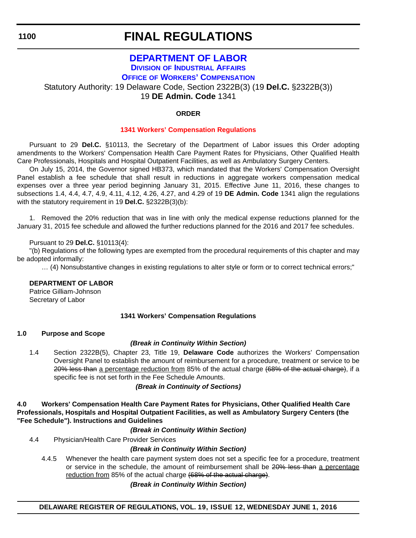# **FINAL REGULATIONS**

# **[DEPARTMENT OF LABOR](http://dol.delaware.gov/) DIVISION [OF INDUSTRIAL AFFAIRS](https://dia.delawareworks.com/)**

**OFFICE [OF WORKERS' COMPENSATION](https://dia.delawareworks.com/workers-comp/)**

Statutory Authority: 19 Delaware Code, Section 2322B(3) (19 **Del.C.** §2322B(3))

19 **DE Admin. Code** 1341

# **ORDER**

# **[1341 Workers' Compensation Regulations](#page-4-0)**

Pursuant to 29 **Del.C.** §10113, the Secretary of the Department of Labor issues this Order adopting amendments to the Workers' Compensation Health Care Payment Rates for Physicians, Other Qualified Health Care Professionals, Hospitals and Hospital Outpatient Facilities, as well as Ambulatory Surgery Centers.

On July 15, 2014, the Governor signed HB373, which mandated that the Workers' Compensation Oversight Panel establish a fee schedule that shall result in reductions in aggregate workers compensation medical expenses over a three year period beginning January 31, 2015. Effective June 11, 2016, these changes to subsections 1.4, 4.4, 4.7, 4.9, 4.11, 4.12, 4.26, 4.27, and 4.29 of 19 **DE Admin. Code** 1341 align the regulations with the statutory requirement in 19 **Del.C.** §2322B(3)(b):

1. Removed the 20% reduction that was in line with only the medical expense reductions planned for the January 31, 2015 fee schedule and allowed the further reductions planned for the 2016 and 2017 fee schedules.

# Pursuant to 29 **Del.C.** §10113(4):

"(b) Regulations of the following types are exempted from the procedural requirements of this chapter and may be adopted informally:

… (4) Nonsubstantive changes in existing regulations to alter style or form or to correct technical errors;"

# **DEPARTMENT OF LABOR**

Patrice Gilliam-Johnson Secretary of Labor

# **1341 Workers' Compensation Regulations**

# **1.0 Purpose and Scope**

# *(Break in Continuity Within Section)*

1.4 Section 2322B(5), Chapter 23, Title 19, **Delaware Code** authorizes the Workers' Compensation Oversight Panel to establish the amount of reimbursement for a procedure, treatment or service to be 20% less than a percentage reduction from 85% of the actual charge (68% of the actual charge), if a specific fee is not set forth in the Fee Schedule Amounts.

# *(Break in Continuity of Sections)*

**4.0 Workers' Compensation Health Care Payment Rates for Physicians, Other Qualified Health Care Professionals, Hospitals and Hospital Outpatient Facilities, as well as Ambulatory Surgery Centers (the "Fee Schedule"). Instructions and Guidelines**

*(Break in Continuity Within Section)*

4.4 Physician/Health Care Provider Services

# *(Break in Continuity Within Section)*

4.4.5 Whenever the health care payment system does not set a specific fee for a procedure, treatment or service in the schedule, the amount of reimbursement shall be 20% less than a percentage reduction from 85% of the actual charge (68% of the actual charge).

# *(Break in Continuity Within Section)*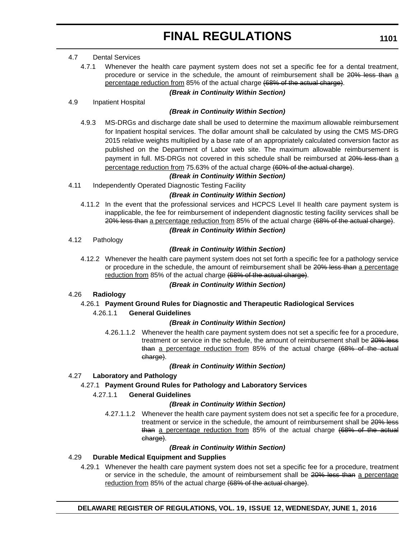# 4.7 Dental Services

4.7.1 Whenever the health care payment system does not set a specific fee for a dental treatment, procedure or service in the schedule, the amount of reimbursement shall be 20% less than a percentage reduction from 85% of the actual charge (68% of the actual charge).

## *(Break in Continuity Within Section)*

# 4.9 Inpatient Hospital

# *(Break in Continuity Within Section)*

4.9.3 MS-DRGs and discharge date shall be used to determine the maximum allowable reimbursement for Inpatient hospital services. The dollar amount shall be calculated by using the CMS MS-DRG 2015 relative weights multiplied by a base rate of an appropriately calculated conversion factor as published on the Department of Labor web site. The maximum allowable reimbursement is payment in full. MS-DRGs not covered in this schedule shall be reimbursed at 20% less than a percentage reduction from 75.63% of the actual charge (60% of the actual charge).

# *(Break in Continuity Within Section)*

4.11 Independently Operated Diagnostic Testing Facility

# *(Break in Continuity Within Section)*

4.11.2 In the event that the professional services and HCPCS Level II health care payment system is inapplicable, the fee for reimbursement of independent diagnostic testing facility services shall be 20% less than a percentage reduction from 85% of the actual charge (68% of the actual charge).

### *(Break in Continuity Within Section)*

### 4.12 Pathology

# *(Break in Continuity Within Section)*

4.12.2 Whenever the health care payment system does not set forth a specific fee for a pathology service or procedure in the schedule, the amount of reimbursement shall be 20% less than a percentage reduction from 85% of the actual charge (68% of the actual charge).

# *(Break in Continuity Within Section)*

# 4.26 **Radiology**

# 4.26.1 **Payment Ground Rules for Diagnostic and Therapeutic Radiological Services**

#### 4.26.1.1 **General Guidelines**

# *(Break in Continuity Within Section)*

4.26.1.1.2 Whenever the health care payment system does not set a specific fee for a procedure, treatment or service in the schedule, the amount of reimbursement shall be 20% less than a percentage reduction from 85% of the actual charge (68% of the actual charge).

# *(Break in Continuity Within Section)*

# 4.27 **Laboratory and Pathology**

# 4.27.1 **Payment Ground Rules for Pathology and Laboratory Services**

# 4.27.1.1 **General Guidelines**

# *(Break in Continuity Within Section)*

4.27.1.1.2 Whenever the health care payment system does not set a specific fee for a procedure, treatment or service in the schedule, the amount of reimbursement shall be 20% less than a percentage reduction from 85% of the actual charge (68% of the actual charge).

#### *(Break in Continuity Within Section)*

# 4.29 **Durable Medical Equipment and Supplies**

4.29.1 Whenever the health care payment system does not set a specific fee for a procedure, treatment or service in the schedule, the amount of reimbursement shall be 20% less than a percentage reduction from 85% of the actual charge (68% of the actual charge).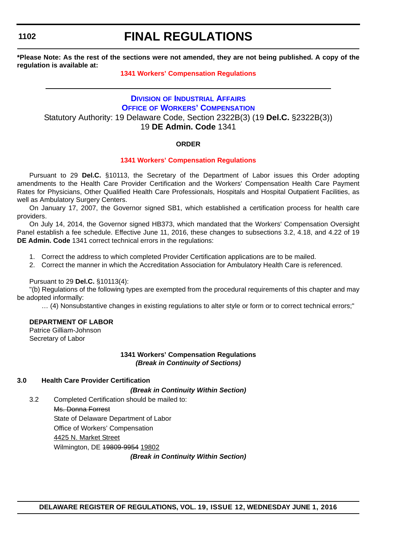# **FINAL REGULATIONS**

**\*Please Note: As the rest of the sections were not amended, they are not being published. A copy of the regulation is available at:**

# **[1341 Workers' Compensation Regulations](http://regulations.delaware.gov/register/june2016/final/19 DE Reg 1100 06-01-16.htm)**

# **DIVISION [OF INDUSTRIAL AFFAIRS](https://dia.delawareworks.com/) OFFICE [OF WORKERS' COMPENSATION](https://dia.delawareworks.com/workers-comp/)** Statutory Authority: 19 Delaware Code, Section 2322B(3) (19 **Del.C.** §2322B(3)) 19 **DE Admin. Code** 1341

# **ORDER**

# **[1341 Workers' Compensation Regulations](#page-4-0)**

Pursuant to 29 **Del.C.** §10113, the Secretary of the Department of Labor issues this Order adopting amendments to the Health Care Provider Certification and the Workers' Compensation Health Care Payment Rates for Physicians, Other Qualified Health Care Professionals, Hospitals and Hospital Outpatient Facilities, as well as Ambulatory Surgery Centers.

On January 17, 2007, the Governor signed SB1, which established a certification process for health care providers.

On July 14, 2014, the Governor signed HB373, which mandated that the Workers' Compensation Oversight Panel establish a fee schedule. Effective June 11, 2016, these changes to subsections 3.2, 4.18, and 4.22 of 19 **DE Admin. Code** 1341 correct technical errors in the regulations:

- 1. Correct the address to which completed Provider Certification applications are to be mailed.
- 2. Correct the manner in which the Accreditation Association for Ambulatory Health Care is referenced.

Pursuant to 29 **Del.C.** §10113(4):

"(b) Regulations of the following types are exempted from the procedural requirements of this chapter and may be adopted informally:

… (4) Nonsubstantive changes in existing regulations to alter style or form or to correct technical errors;"

# **DEPARTMENT OF LABOR**

Patrice Gilliam-Johnson Secretary of Labor

# **1341 Workers' Compensation Regulations** *(Break in Continuity of Sections)*

# **3.0 Health Care Provider Certification**

*(Break in Continuity Within Section)*

3.2 Completed Certification should be mailed to: Ms. Donna Forrest State of Delaware Department of Labor Office of Workers' Compensation 4425 N. Market Street Wilmington, DE 19809-9954 19802

*(Break in Continuity Within Section)*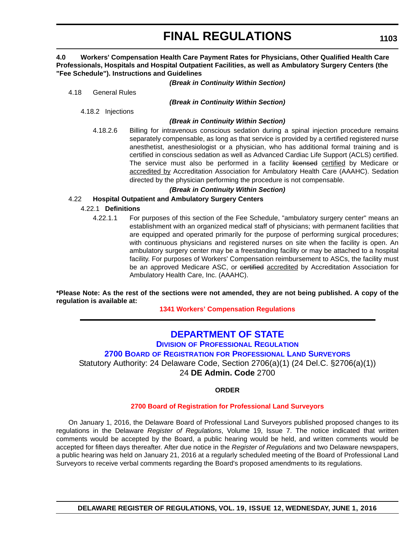#### **4.0 Workers' Compensation Health Care Payment Rates for Physicians, Other Qualified Health Care Professionals, Hospitals and Hospital Outpatient Facilities, as well as Ambulatory Surgery Centers (the "Fee Schedule"). Instructions and Guidelines**

#### *(Break in Continuity Within Section)*

4.18 General Rules

*(Break in Continuity Within Section)*

4.18.2 Injections

#### *(Break in Continuity Within Section)*

4.18.2.6 Billing for intravenous conscious sedation during a spinal injection procedure remains separately compensable, as long as that service is provided by a certified registered nurse anesthetist, anesthesiologist or a physician, who has additional formal training and is certified in conscious sedation as well as Advanced Cardiac Life Support (ACLS) certified. The service must also be performed in a facility licensed certified by Medicare or accredited by Accreditation Association for Ambulatory Health Care (AAAHC). Sedation directed by the physician performing the procedure is not compensable.

### *(Break in Continuity Within Section)*

### 4.22 **Hospital Outpatient and Ambulatory Surgery Centers**

### 4.22.1 **Definitions**

4.22.1.1 For purposes of this section of the Fee Schedule, "ambulatory surgery center" means an establishment with an organized medical staff of physicians; with permanent facilities that are equipped and operated primarily for the purpose of performing surgical procedures; with continuous physicians and registered nurses on site when the facility is open. An ambulatory surgery center may be a freestanding facility or may be attached to a hospital facility. For purposes of Workers' Compensation reimbursement to ASCs, the facility must be an approved Medicare ASC, or certified accredited by Accreditation Association for Ambulatory Health Care, Inc. (AAAHC).

#### **\*Please Note: As the rest of the sections were not amended, they are not being published. A copy of the regulation is available at:**

**[1341 Workers' Compensation Regulations](http://regulations.delaware.gov/register/june2016/final/19 DE Reg 1102 06-01-16.htm)**

# **[DEPARTMENT OF STATE](http://sos.delaware.gov/)**

**DIVISION [OF PROFESSIONAL REGULATION](http://dpr.delaware.gov/)**

# **2700 BOARD OF REGISTRATION [FOR PROFESSIONAL LAND SURVEYORS](http://dpr.delaware.gov/boards/landsurveyors/index.shtml)**

Statutory Authority: 24 Delaware Code, Section 2706(a)(1) (24 Del.C. §2706(a)(1)) 24 **DE Admin. Code** 2700

#### **ORDER**

#### **[2700 Board of Registration for Professional Land Surveyors](#page-4-0)**

On January 1, 2016, the Delaware Board of Professional Land Surveyors published proposed changes to its regulations in the Delaware *Register of Regulations*, Volume 19, Issue 7. The notice indicated that written comments would be accepted by the Board, a public hearing would be held, and written comments would be accepted for fifteen days thereafter. After due notice in the *Register of Regulations* and two Delaware newspapers, a public hearing was held on January 21, 2016 at a regularly scheduled meeting of the Board of Professional Land Surveyors to receive verbal comments regarding the Board's proposed amendments to its regulations.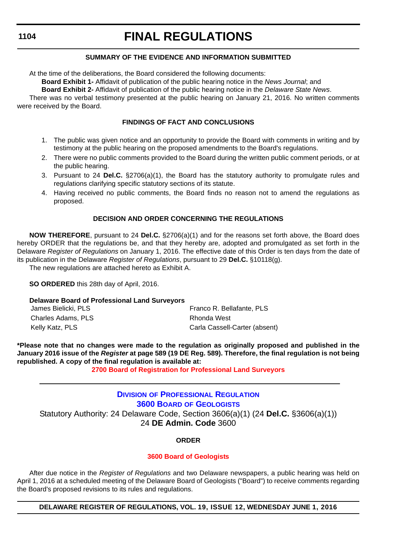# **SUMMARY OF THE EVIDENCE AND INFORMATION SUBMITTED**

At the time of the deliberations, the Board considered the following documents:

**Board Exhibit 1-** Affidavit of publication of the public hearing notice in the *News Journal*; and

**Board Exhibit 2-** Affidavit of publication of the public hearing notice in the *Delaware State News*.

There was no verbal testimony presented at the public hearing on January 21, 2016. No written comments were received by the Board.

### **FINDINGS OF FACT AND CONCLUSIONS**

- 1. The public was given notice and an opportunity to provide the Board with comments in writing and by testimony at the public hearing on the proposed amendments to the Board's regulations.
- 2. There were no public comments provided to the Board during the written public comment periods, or at the public hearing.
- 3. Pursuant to 24 **Del.C.** §2706(a)(1), the Board has the statutory authority to promulgate rules and regulations clarifying specific statutory sections of its statute.
- 4. Having received no public comments, the Board finds no reason not to amend the regulations as proposed.

# **DECISION AND ORDER CONCERNING THE REGULATIONS**

**NOW THEREFORE**, pursuant to 24 **Del.C.** §2706(a)(1) and for the reasons set forth above, the Board does hereby ORDER that the regulations be, and that they hereby are, adopted and promulgated as set forth in the Delaware *Register of Regulations* on January 1, 2016. The effective date of this Order is ten days from the date of its publication in the Delaware *Register of Regulations*, pursuant to 29 **Del.C.** §10118(g).

The new regulations are attached hereto as Exhibit A.

**SO ORDERED** this 28th day of April, 2016.

#### **Delaware Board of Professional Land Surveyors**

| James Bielicki, PLS | Franco R. Bellafante, PLS     |
|---------------------|-------------------------------|
| Charles Adams, PLS  | Rhonda West                   |
| Kelly Katz, PLS     | Carla Cassell-Carter (absent) |

**\*Please note that no changes were made to the regulation as originally proposed and published in the January 2016 issue of the** *Register* **at page 589 (19 DE Reg. 589). Therefore, the final regulation is not being republished. A copy of the final regulation is available at:**

**[2700 Board of Registration for Professional Land Surveyors](http://regulations.delaware.gov/register/june2016/final/19 DE Reg 1103 06-01-16.htm)**

# **DIVISION [OF PROFESSIONAL REGULATION](http://dpr.delaware.gov/) 3600 BOARD [OF GEOLOGISTS](http://dpr.delaware.gov/boards/geology/index.shtml)** Statutory Authority: 24 Delaware Code, Section 3606(a)(1) (24 **Del.C.** §3606(a)(1)) 24 **DE Admin. Code** 3600

# **ORDER**

# **[3600 Board of Geologists](#page-4-0)**

After due notice in the *Register of Regulations* and two Delaware newspapers, a public hearing was held on April 1, 2016 at a scheduled meeting of the Delaware Board of Geologists ("Board") to receive comments regarding the Board's proposed revisions to its rules and regulations.

**DELAWARE REGISTER OF REGULATIONS, VOL. 19, ISSUE 12, WEDNESDAY JUNE 1, 2016**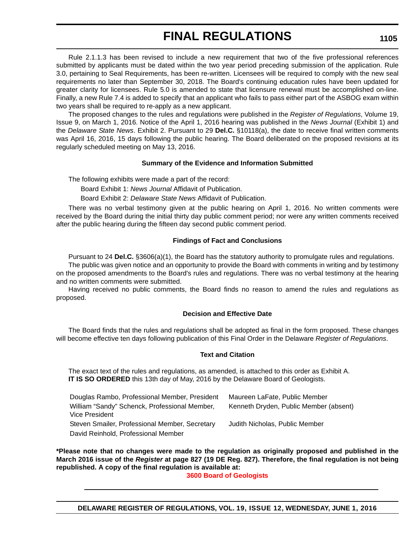Rule 2.1.1.3 has been revised to include a new requirement that two of the five professional references submitted by applicants must be dated within the two year period preceding submission of the application. Rule 3.0, pertaining to Seal Requirements, has been re-written. Licensees will be required to comply with the new seal requirements no later than September 30, 2018. The Board's continuing education rules have been updated for greater clarity for licensees. Rule 5.0 is amended to state that licensure renewal must be accomplished on-line. Finally, a new Rule 7.4 is added to specify that an applicant who fails to pass either part of the ASBOG exam within two years shall be required to re-apply as a new applicant.

The proposed changes to the rules and regulations were published in the *Register of Regulations*, Volume 19, Issue 9, on March 1, 2016. Notice of the April 1, 2016 hearing was published in the *News Journal* (Exhibit 1) and the *Delaware State News*. Exhibit 2. Pursuant to 29 **Del.C.** §10118(a), the date to receive final written comments was April 16, 2016, 15 days following the public hearing. The Board deliberated on the proposed revisions at its regularly scheduled meeting on May 13, 2016.

### **Summary of the Evidence and Information Submitted**

The following exhibits were made a part of the record:

Board Exhibit 1: *News Journal* Affidavit of Publication.

Board Exhibit 2: *Delaware State News* Affidavit of Publication.

There was no verbal testimony given at the public hearing on April 1, 2016. No written comments were received by the Board during the initial thirty day public comment period; nor were any written comments received after the public hearing during the fifteen day second public comment period.

### **Findings of Fact and Conclusions**

Pursuant to 24 **Del.C.** §3606(a)(1), the Board has the statutory authority to promulgate rules and regulations.

The public was given notice and an opportunity to provide the Board with comments in writing and by testimony on the proposed amendments to the Board's rules and regulations. There was no verbal testimony at the hearing and no written comments were submitted.

Having received no public comments, the Board finds no reason to amend the rules and regulations as proposed.

# **Decision and Effective Date**

The Board finds that the rules and regulations shall be adopted as final in the form proposed. These changes will become effective ten days following publication of this Final Order in the Delaware *Register of Regulations*.

#### **Text and Citation**

The exact text of the rules and regulations, as amended, is attached to this order as Exhibit A. **IT IS SO ORDERED** this 13th day of May, 2016 by the Delaware Board of Geologists.

| Douglas Rambo, Professional Member, President  | Maureen LaFate, Public Member          |
|------------------------------------------------|----------------------------------------|
| William "Sandy" Schenck, Professional Member,  | Kenneth Dryden, Public Member (absent) |
| Vice President                                 |                                        |
| Steven Smailer, Professional Member, Secretary | Judith Nicholas, Public Member         |
| David Reinhold, Professional Member            |                                        |

**\*Please note that no changes were made to the regulation as originally proposed and published in the March 2016 issue of the** *Register* **at page 827 (19 DE Reg. 827). Therefore, the final regulation is not being republished. A copy of the final regulation is available at:**

**[3600 Board of Geologists](http://regulations.delaware.gov/register/june2016/final/19 DE Reg 1104 06-01-16.htm)**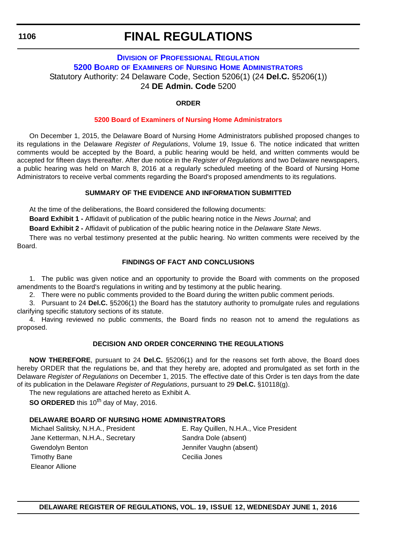# **FINAL REGULATIONS**

# **DIVISION [OF PROFESSIONAL REGULATION](http://dpr.delaware.gov/) 5200 BOARD OF EXAMINERS [OF NURSING HOME ADMINISTRATORS](http://dpr.delaware.gov/boards/nursinghomeadmin/index.shtml)** Statutory Authority: 24 Delaware Code, Section 5206(1) (24 **Del.C.** §5206(1)) 24 **DE Admin. Code** 5200

# **ORDER**

# **[5200 Board of Examiners of Nursing Home Administrators](#page-4-0)**

On December 1, 2015, the Delaware Board of Nursing Home Administrators published proposed changes to its regulations in the Delaware *Register of Regulations*, Volume 19, Issue 6. The notice indicated that written comments would be accepted by the Board, a public hearing would be held, and written comments would be accepted for fifteen days thereafter. After due notice in the *Register of Regulations* and two Delaware newspapers, a public hearing was held on March 8, 2016 at a regularly scheduled meeting of the Board of Nursing Home Administrators to receive verbal comments regarding the Board's proposed amendments to its regulations.

# **SUMMARY OF THE EVIDENCE AND INFORMATION SUBMITTED**

At the time of the deliberations, the Board considered the following documents:

**Board Exhibit 1 -** Affidavit of publication of the public hearing notice in the *News Journal*; and

**Board Exhibit 2 -** Affidavit of publication of the public hearing notice in the *Delaware State News*.

There was no verbal testimony presented at the public hearing. No written comments were received by the Board.

# **FINDINGS OF FACT AND CONCLUSIONS**

1. The public was given notice and an opportunity to provide the Board with comments on the proposed amendments to the Board's regulations in writing and by testimony at the public hearing.

2. There were no public comments provided to the Board during the written public comment periods.

3. Pursuant to 24 **Del.C.** §5206(1) the Board has the statutory authority to promulgate rules and regulations clarifying specific statutory sections of its statute.

4. Having reviewed no public comments, the Board finds no reason not to amend the regulations as proposed.

# **DECISION AND ORDER CONCERNING THE REGULATIONS**

**NOW THEREFORE**, pursuant to 24 **Del.C.** §5206(1) and for the reasons set forth above, the Board does hereby ORDER that the regulations be, and that they hereby are, adopted and promulgated as set forth in the Delaware *Register of Regulations* on December 1, 2015. The effective date of this Order is ten days from the date of its publication in the Delaware *Register of Regulations*, pursuant to 29 **Del.C.** §10118(g).

The new regulations are attached hereto as Exhibit A.

**SO ORDERED** this 10<sup>th</sup> day of May, 2016.

# **DELAWARE BOARD OF NURSING HOME ADMINISTRATORS**

Jane Ketterman, N.H.A., Secretary Sandra Dole (absent) Gwendolyn Benton **Gwendolyn Benton** Jennifer Vaughn (absent) Timothy Bane **Cecilia** Jones Eleanor Allione

Michael Salitsky, N.H.A., President E. Ray Quillen, N.H.A., Vice President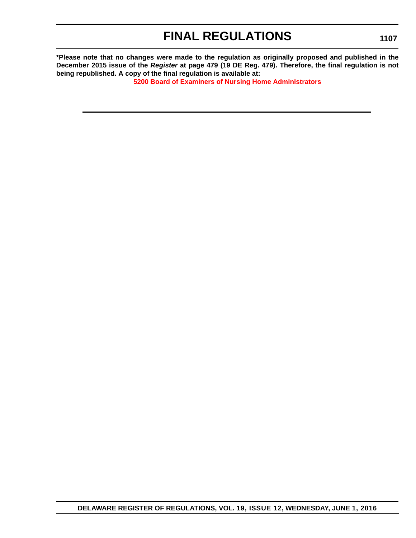**\*Please note that no changes were made to the regulation as originally proposed and published in the December 2015 issue of the** *Register* **at page 479 (19 DE Reg. 479). Therefore, the final regulation is not being republished. A copy of the final regulation is available at:**

**[5200 Board of Examiners of Nursing Home Administrators](http://regulations.delaware.gov/register/june2016/final/19 DE Reg 1106 06-01-16.htm)**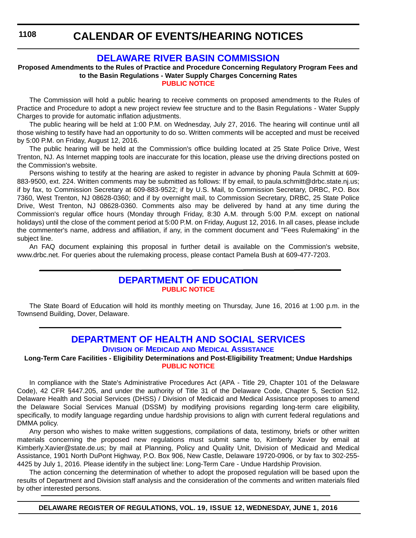**1108**

# **CALENDAR OF EVENTS/HEARING NOTICES**

## **[DELAWARE RIVER BASIN COMMISSION](http://www.nj.gov/drbc/)**

#### **Proposed Amendments to the Rules of Practice and Procedure Concerning Regulatory Program Fees and to the Basin Regulations - Water Supply Charges Concerning Rates [PUBLIC NOTICE](#page-4-0)**

The Commission will hold a public hearing to receive comments on proposed amendments to the Rules of Practice and Procedure to adopt a new project review fee structure and to the Basin Regulations - Water Supply Charges to provide for automatic inflation adjustments.

The public hearing will be held at 1:00 P.M. on Wednesday, July 27, 2016. The hearing will continue until all those wishing to testify have had an opportunity to do so. Written comments will be accepted and must be received by 5:00 P.M. on Friday, August 12, 2016.

The public hearing will be held at the Commission's office building located at 25 State Police Drive, West Trenton, NJ. As Internet mapping tools are inaccurate for this location, please use the driving directions posted on the Commission's website.

Persons wishing to testify at the hearing are asked to register in advance by phoning Paula Schmitt at 609- 883-9500, ext. 224. Written comments may be submitted as follows: If by email, to paula.schmitt@drbc.state.nj.us; if by fax, to Commission Secretary at 609-883-9522; if by U.S. Mail, to Commission Secretary, DRBC, P.O. Box 7360, West Trenton, NJ 08628-0360; and if by overnight mail, to Commission Secretary, DRBC, 25 State Police Drive, West Trenton, NJ 08628-0360. Comments also may be delivered by hand at any time during the Commission's regular office hours (Monday through Friday, 8:30 A.M. through 5:00 P.M. except on national holidays) until the close of the comment period at 5:00 P.M. on Friday, August 12, 2016. In all cases, please include the commenter's name, address and affiliation, if any, in the comment document and "Fees Rulemaking" in the subject line.

An FAQ document explaining this proposal in further detail is available on the Commission's website, www.drbc.net. For queries about the rulemaking process, please contact Pamela Bush at 609-477-7203.

### **[DEPARTMENT OF EDUCATION](http://www.doe.k12.de.us/) [PUBLIC NOTICE](#page-4-0)**

The State Board of Education will hold its monthly meeting on Thursday, June 16, 2016 at 1:00 p.m. in the Townsend Building, Dover, Delaware.

# **[DEPARTMENT OF HEALTH AND SOCIAL SERVICES](http://dhss.delaware.gov/dhss/)**

#### **DIVISION OF MEDICAID [AND MEDICAL ASSISTANCE](http://www.dhss.delaware.gov/dhss/dmma/)**

**Long-Term Care Facilities - Eligibility Determinations and Post-Eligibility Treatment; Undue Hardships [PUBLIC NOTICE](#page-4-0)**

In compliance with the State's Administrative Procedures Act (APA - Title 29, Chapter 101 of the Delaware Code), 42 CFR §447.205, and under the authority of Title 31 of the Delaware Code, Chapter 5, Section 512, Delaware Health and Social Services (DHSS) / Division of Medicaid and Medical Assistance proposes to amend the Delaware Social Services Manual (DSSM) by modifying provisions regarding long-term care eligibility, specifically, to modify language regarding undue hardship provisions to align with current federal regulations and DMMA policy.

Any person who wishes to make written suggestions, compilations of data, testimony, briefs or other written materials concerning the proposed new regulations must submit same to, Kimberly Xavier by email at Kimberly.Xavier@state.de.us; by mail at Planning, Policy and Quality Unit, Division of Medicaid and Medical Assistance, 1901 North DuPont Highway, P.O. Box 906, New Castle, Delaware 19720-0906, or by fax to 302-255- 4425 by July 1, 2016. Please identify in the subject line: Long-Term Care - Undue Hardship Provision.

The action concerning the determination of whether to adopt the proposed regulation will be based upon the results of Department and Division staff analysis and the consideration of the comments and written materials filed by other interested persons.

**DELAWARE REGISTER OF REGULATIONS, VOL. 19, ISSUE 12, WEDNESDAY, JUNE 1, 2016**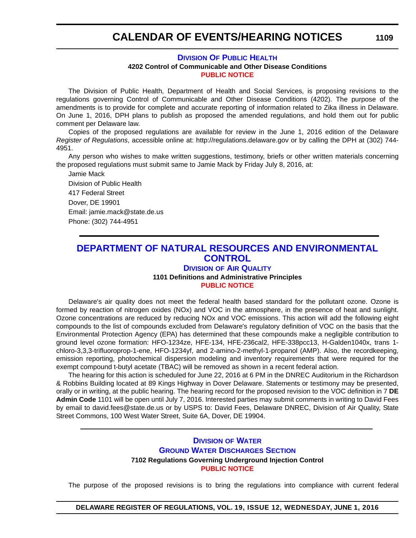# **CALENDAR OF EVENTS/HEARING NOTICES**

#### **[DIVISION OF PUBLIC HEALTH](http://www.dhss.delaware.gov/dhss/dph/index.html) 4202 Control of Communicable and Other Disease Conditions [PUBLIC NOTICE](#page-4-0)**

The Division of Public Health, Department of Health and Social Services, is proposing revisions to the regulations governing Control of Communicable and Other Disease Conditions (4202). The purpose of the amendments is to provide for complete and accurate reporting of information related to Zika illness in Delaware. On June 1, 2016, DPH plans to publish as proposed the amended regulations, and hold them out for public comment per Delaware law.

Copies of the proposed regulations are available for review in the June 1, 2016 edition of the Delaware *Register of Regulations*, accessible online at: http://regulations.delaware.gov or by calling the DPH at (302) 744- 4951.

Any person who wishes to make written suggestions, testimony, briefs or other written materials concerning the proposed regulations must submit same to Jamie Mack by Friday July 8, 2016, at:

Jamie Mack Division of Public Health 417 Federal Street Dover, DE 19901 Email: jamie.mack@state.de.us Phone: (302) 744-4951

## **[DEPARTMENT OF NATURAL RESOURCES AND ENVIRONMENTAL](http://www.dnrec.delaware.gov/Pages/Portal.aspx)  CONTROL**

#### **DIVISION [OF AIR QUALITY](http://www.dnrec.delaware.gov/air/Pages/Default.aspx) 1101 Definitions and Administrative Principles [PUBLIC NOTICE](#page-4-0)**

Delaware's air quality does not meet the federal health based standard for the pollutant ozone. Ozone is formed by reaction of nitrogen oxides (NOx) and VOC in the atmosphere, in the presence of heat and sunlight. Ozone concentrations are reduced by reducing NOx and VOC emissions. This action will add the following eight compounds to the list of compounds excluded from Delaware's regulatory definition of VOC on the basis that the Environmental Protection Agency (EPA) has determined that these compounds make a negligible contribution to ground level ozone formation: HFO-1234ze, HFE-134, HFE-236cal2, HFE-338pcc13, H-Galden1040x, trans 1 chloro-3,3,3-trifluoroprop-1-ene, HFO-1234yf, and 2-amino-2-methyl-1-propanol (AMP). Also, the recordkeeping, emission reporting, photochemical dispersion modeling and inventory requirements that were required for the exempt compound t-butyl acetate (TBAC) will be removed as shown in a recent federal action.

The hearing for this action is scheduled for June 22, 2016 at 6 PM in the DNREC Auditorium in the Richardson & Robbins Building located at 89 Kings Highway in Dover Delaware. Statements or testimony may be presented, orally or in writing, at the public hearing. The hearing record for the proposed revision to the VOC definition in 7 **DE Admin Code** 1101 will be open until July 7, 2016. Interested parties may submit comments in writing to David Fees by email to david.fees@state.de.us or by USPS to: David Fees, Delaware DNREC, Division of Air Quality, State Street Commons, 100 West Water Street, Suite 6A, Dover, DE 19904.

### **DIVISION [OF WATER](http://www.dnrec.delaware.gov/wr/Pages/Default.aspx) [GROUND WATER DISCHARGES SECTION](http://www.dnrec.delaware.gov/wr/Services/Pages/GroundWaterDischarges.aspx) 7102 Regulations Governing Underground Injection Control PUBLIC NOTICE**

The purpose of the proposed revisions is to bring the regulations into compliance with current federal

**DELAWARE REGISTER OF REGULATIONS, VOL. 19, ISSUE 12, WEDNESDAY, JUNE 1, 2016**

#### **1109**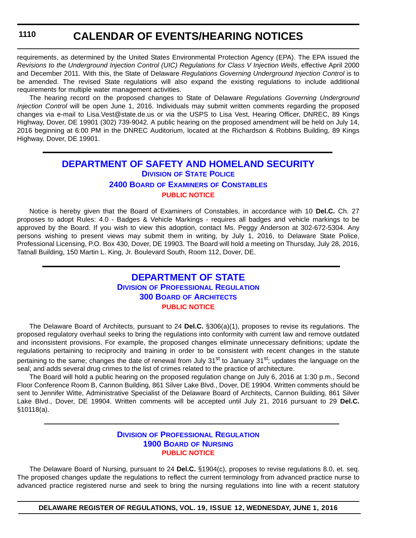**1110**

# **CALENDAR OF EVENTS/HEARING NOTICES**

requirements, as determined by the United States Environmental Protection Agency (EPA). The EPA issued the *Revisions to the Underground Injection Control (UIC) Regulations for Class V Injection Wells*, effective April 2000 and December 2011. With this, the State of Delaware *Regulations Governing Underground Injection Control* is to be amended. The revised State regulations will also expand the existing regulations to include additional requirements for multiple water management activities.

The hearing record on the proposed changes to State of Delaware *Regulations Governing Underground Injection Control* will be open June 1, 2016. Individuals may submit written comments regarding the proposed changes via e-mail to Lisa.Vest@state.de.us or via the USPS to Lisa Vest, Hearing Officer, DNREC, 89 Kings Highway, Dover, DE 19901 (302) 739-9042. A public hearing on the proposed amendment will be held on July 14, 2016 beginning at 6:00 PM in the DNREC Auditorium, located at the Richardson & Robbins Building, 89 Kings Highway, Dover, DE 19901.

## **[DEPARTMENT OF SAFETY AND HOMELAND SECURITY](http://dshs.delaware.gov/) DIVISION [OF STATE POLICE](http://dsp.delaware.gov/) 2400 BOARD OF EXAMINERS [OF CONSTABLES](http://dsp.delaware.gov/constables.shtml) [PUBLIC NOTICE](#page-4-0)**

Notice is hereby given that the Board of Examiners of Constables, in accordance with 10 **Del.C.** Ch. 27 proposes to adopt Rules: 4.0 - Badges & Vehicle Markings - requires all badges and vehicle markings to be approved by the Board. If you wish to view this adoption, contact Ms. Peggy Anderson at 302-672-5304. Any persons wishing to present views may submit them in writing, by July 1, 2016, to Delaware State Police, Professional Licensing, P.O. Box 430, Dover, DE 19903. The Board will hold a meeting on Thursday, July 28, 2016, Tatnall Building, 150 Martin L. King, Jr. Boulevard South, Room 112, Dover, DE.

### **[DEPARTMENT OF STATE](http://sos.delaware.gov/) DIVISION [OF PROFESSIONAL REGULATION](http://dpr.delaware.gov/) 300 BOARD [OF ARCHITECTS](http://dpr.delaware.gov/boards/architects/index.shtml) [PUBLIC NOTICE](#page-4-0)**

The Delaware Board of Architects, pursuant to 24 **Del.C.** §306(a)(1), proposes to revise its regulations. The proposed regulatory overhaul seeks to bring the regulations into conformity with current law and remove outdated and inconsistent provisions. For example, the proposed changes eliminate unnecessary definitions; update the regulations pertaining to reciprocity and training in order to be consistent with recent changes in the statute pertaining to the same; changes the date of renewal from July 31<sup>st</sup> to January 31<sup>st</sup>; updates the language on the seal; and adds several drug crimes to the list of crimes related to the practice of architecture.

The Board will hold a public hearing on the proposed regulation change on July 6, 2016 at 1:30 p.m., Second Floor Conference Room B, Cannon Building, 861 Silver Lake Blvd., Dover, DE 19904. Written comments should be sent to Jennifer Witte, Administrative Specialist of the Delaware Board of Architects, Cannon Building, 861 Silver Lake Blvd., Dover, DE 19904. Written comments will be accepted until July 21, 2016 pursuant to 29 **Del.C.** §10118(a).

### **DIVISION [OF PROFESSIONAL REGULATION](http://dpr.delaware.gov/) [1900 BOARD](http://dpr.delaware.gov/boards/nursing/index.shtml) OF NURSING [PUBLIC NOTICE](#page-4-0)**

The Delaware Board of Nursing, pursuant to 24 **Del.C.** §1904(c), proposes to revise regulations 8.0, et. seq. The proposed changes update the regulations to reflect the current terminology from advanced practice nurse to advanced practice registered nurse and seek to bring the nursing regulations into line with a recent statutory

**DELAWARE REGISTER OF REGULATIONS, VOL. 19, ISSUE 12, WEDNESDAY, JUNE 1, 2016**